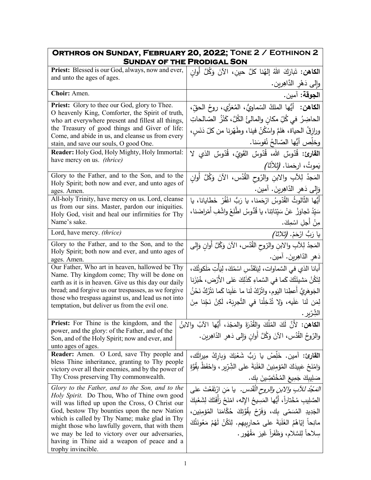| <b>SUNDAY OF THE PRODIGAL SON</b><br>Priest: Blessed is our God, always, now and ever,<br>ا <b>لكاهن:</b> تَبارَكَ اللهُ إلهُنا كلَّ حينِ، الآنَ وَكُلَّ أُوانِ<br>and unto the ages of ages.<br>وإلى دَهْرِ الدَّاهِرِينِ.<br>Choir: Amen.<br>ا <b>لجوقة:</b> آمين.<br><b>Priest:</b> Glory to thee our God, glory to Thee.<br>ا <b>لكاهن:</b> أَيُّها الملكُ السّماويُّ، المُعَزِّي، روحُ الحقّ،<br>O heavenly King, Comforter, the Spirit of truth,<br>الحاضِرُ  في كُلِّ مكان والمالئُ الكُلَّ، كَنْزُ  الصّالحاتِ<br>who art everywhere present and fillest all things,<br>the Treasury of good things and Giver of life:<br>ورازقُ الحياة، هَلمَّ واسْكُنْ فينا، وطَهَّرنا من كلّ دَنَسٍ،<br>Come, and abide in us, and cleanse us from every<br>وخلِّص أيُّها الصّالحُ نُفوسَنا.<br>stain, and save our souls, O good One.<br>Reader: Holy God, Holy Mighty, Holy Immortal:<br>ا <b>لقارئ:</b> قُدّوسٌ الله، قُدّوسٌ القَوِيّ، قُدّوسٌ الذي لا<br>have mercy on us. (thrice)<br>يَموتُ، ارجَمنا. <i>(ثلاثًا)</i><br>المَجدُ لِلآبِ والابنِ والرّوحِ القُدُس، الآنَ وَكُلَّ أَوانٍ<br>Glory to the Father, and to the Son, and to the<br>Holy Spirit; both now and ever, and unto ages of<br>وَإِلَى دَهرِ الدّاهِرِينَ. آمين.<br>ages. Amen.<br>أَيُّها الثَّالوثُ القُدّوسُ ارْحَمنا، يا رَبُّ اغْفُرْ خَطايانا، يا<br>All-holy Trinity, have mercy on us. Lord, cleanse<br>us from our sins. Master, pardon our iniquities.<br>سَيّدُ تَجاوَزْ عَنْ سَيّئاتِنا، يا قُدُّوسُ اطّلِعْ واشْفِ أمْراضَنا،<br>Holy God, visit and heal our infirmities for Thy<br>مِنْ أُجلِ اسْمِكَ.<br>Name's sake.<br>Lord, have mercy. (thrice)<br>يا رَبُّ ارْحَمْ. <i>(ثلاثا)</i><br>Glory to the Father, and to the Son, and to the<br>المَجدُ لِلآبِ والابنِ والرّوحِ القُدُسِ، الآنَ وَكُلَّ أُوانِ وَإِلى<br>Holy Spirit; both now and ever, and unto ages of<br>دَهرِ الدّاهِرينَ. آمين.<br>ages. Amen.<br>Our Father, Who art in heaven, hallowed be Thy<br>أبانا الذي في السَّماوات، لِيَتَقَدَّسِ اسْمُكَ، لِيَأْتِ مَلَكوتُكَ،<br>Name. Thy kingdom come; Thy will be done on<br>لِتَكُنْ مَشيئَتُكَ كَما في السَّماءِ كَذَلِكَ عَلى الأَرْض، خُبْزَنِا<br>earth as it is in heaven. Give us this day our daily<br>الجَوهَريَّ أَعطِنا اليَومِ، واتْرُكْ لَنا ما عَلَينا كَما نَتْرُكُ نَحْنُ<br>bread; and forgive us our trespasses, as we forgive<br>those who trespass against us, and lead us not into<br>لِمَن لَنا عَلَيه، وَلا تُذْخِلْنا في التَّجرِبَة، لَكِنْ نَجِّنا مِنَ<br>temptation, but deliver us from the evil one.<br>الشِّرْيِرِ .<br>Priest: For Thine is the kingdom, and the<br>ا <b>لكاهن:</b> لأَنَّ لَكَ المُلْكَ والقُدْرَةَ والمَجْدَ، أَيُّها الآبُ والابنُ<br>power, and the glory: of the Father, and of the<br>والرّوحُ القُدُس، الآنَ وَكُلَّ أُوانٍ وَإِلَى دَهْرِ الدّاهِرِينِ.<br>Son, and of the Holy Spirit; now and ever, and<br>unto ages of ages.<br>Reader: Amen. O Lord, save Thy people and<br>القارئ: آمين. خَلِّصْ يا رَبُّ شَعْبَكَ وَبِارِكْ مِيراثَك،<br>bless Thine inheritance, granting to Thy people<br>وَامْنَحْ عَبِيدَكَ المُؤمِنِينَ الغَلَبَةَ على الشِّرّيرِ ، وَاحْفَظْ بِقُوَّةِ<br>victory over all their enemies, and by the power of<br>صَلِيبِكَ جَمِيعَ الْمُخْتَصِّينَ بِك.<br>Thy Cross preserving Thy commonwealth.<br><i>المَجْدُ للأبِ والابنِ والروحِ الْقُدْس.</i> يا مَنِ ارْتَفَعْتَ على<br>Glory to the Father, and to the Son, and to the<br>Holy Spirit. Do Thou, Who of Thine own good<br>الصَّلِيبِ مُخْتاراً، أَيُّها المَسِيحُ اﻹله، امْنَحْ رَأَفَتَكَ لِشَعْبِكَ<br>will was lifted up upon the Cross, O Christ our<br>الْجَدِيدِ الْمُسَمّى بِكَ، وَفَرّحْ بِقُوَّتِكَ حُكَّامَنا الْمُؤْمِنِينِ،<br>God, bestow Thy bounties upon the new Nation<br>which is called by Thy Name; make glad in Thy<br>مانِحاً إِيّاهُمُ الغَلَبَةَ على مُحارِبِيهِم. لِتَكُنْ لَهُمْ مَعُونَتُكَ<br>might those who lawfully govern, that with them<br>سِلاحاً لِلسَّلامِ، وَظَفَراً غَيرَ مَقْهُورٍ .<br>we may be led to victory over our adversaries,<br>having in Thine aid a weapon of peace and a | ORTHROS ON SUNDAY, FEBRUARY 20, 2022; TONE 2 / EOTHINON 2 |  |  |  |  |
|----------------------------------------------------------------------------------------------------------------------------------------------------------------------------------------------------------------------------------------------------------------------------------------------------------------------------------------------------------------------------------------------------------------------------------------------------------------------------------------------------------------------------------------------------------------------------------------------------------------------------------------------------------------------------------------------------------------------------------------------------------------------------------------------------------------------------------------------------------------------------------------------------------------------------------------------------------------------------------------------------------------------------------------------------------------------------------------------------------------------------------------------------------------------------------------------------------------------------------------------------------------------------------------------------------------------------------------------------------------------------------------------------------------------------------------------------------------------------------------------------------------------------------------------------------------------------------------------------------------------------------------------------------------------------------------------------------------------------------------------------------------------------------------------------------------------------------------------------------------------------------------------------------------------------------------------------------------------------------------------------------------------------------------------------------------------------------------------------------------------------------------------------------------------------------------------------------------------------------------------------------------------------------------------------------------------------------------------------------------------------------------------------------------------------------------------------------------------------------------------------------------------------------------------------------------------------------------------------------------------------------------------------------------------------------------------------------------------------------------------------------------------------------------------------------------------------------------------------------------------------------------------------------------------------------------------------------------------------------------------------------------------------------------------------------------------------------------------------------------------------------------------------------------------------------------------------------------------------------------------------------------------------------------------------------------------------------------------------------------------------------------------------------------------------------------------------------------------------------------------------------------------------------------------------------------------------------------------------------------------------------------------------------------------------------------------------------------------------------------------------------------------------------------------------------------------------------------------------------------------------------------------------------------------------------------------------------------------------------------------------------------------------------------------------------------------------------|-----------------------------------------------------------|--|--|--|--|
|                                                                                                                                                                                                                                                                                                                                                                                                                                                                                                                                                                                                                                                                                                                                                                                                                                                                                                                                                                                                                                                                                                                                                                                                                                                                                                                                                                                                                                                                                                                                                                                                                                                                                                                                                                                                                                                                                                                                                                                                                                                                                                                                                                                                                                                                                                                                                                                                                                                                                                                                                                                                                                                                                                                                                                                                                                                                                                                                                                                                                                                                                                                                                                                                                                                                                                                                                                                                                                                                                                                                                                                                                                                                                                                                                                                                                                                                                                                                                                                                                                                                                  |                                                           |  |  |  |  |
|                                                                                                                                                                                                                                                                                                                                                                                                                                                                                                                                                                                                                                                                                                                                                                                                                                                                                                                                                                                                                                                                                                                                                                                                                                                                                                                                                                                                                                                                                                                                                                                                                                                                                                                                                                                                                                                                                                                                                                                                                                                                                                                                                                                                                                                                                                                                                                                                                                                                                                                                                                                                                                                                                                                                                                                                                                                                                                                                                                                                                                                                                                                                                                                                                                                                                                                                                                                                                                                                                                                                                                                                                                                                                                                                                                                                                                                                                                                                                                                                                                                                                  |                                                           |  |  |  |  |
|                                                                                                                                                                                                                                                                                                                                                                                                                                                                                                                                                                                                                                                                                                                                                                                                                                                                                                                                                                                                                                                                                                                                                                                                                                                                                                                                                                                                                                                                                                                                                                                                                                                                                                                                                                                                                                                                                                                                                                                                                                                                                                                                                                                                                                                                                                                                                                                                                                                                                                                                                                                                                                                                                                                                                                                                                                                                                                                                                                                                                                                                                                                                                                                                                                                                                                                                                                                                                                                                                                                                                                                                                                                                                                                                                                                                                                                                                                                                                                                                                                                                                  |                                                           |  |  |  |  |
|                                                                                                                                                                                                                                                                                                                                                                                                                                                                                                                                                                                                                                                                                                                                                                                                                                                                                                                                                                                                                                                                                                                                                                                                                                                                                                                                                                                                                                                                                                                                                                                                                                                                                                                                                                                                                                                                                                                                                                                                                                                                                                                                                                                                                                                                                                                                                                                                                                                                                                                                                                                                                                                                                                                                                                                                                                                                                                                                                                                                                                                                                                                                                                                                                                                                                                                                                                                                                                                                                                                                                                                                                                                                                                                                                                                                                                                                                                                                                                                                                                                                                  |                                                           |  |  |  |  |
|                                                                                                                                                                                                                                                                                                                                                                                                                                                                                                                                                                                                                                                                                                                                                                                                                                                                                                                                                                                                                                                                                                                                                                                                                                                                                                                                                                                                                                                                                                                                                                                                                                                                                                                                                                                                                                                                                                                                                                                                                                                                                                                                                                                                                                                                                                                                                                                                                                                                                                                                                                                                                                                                                                                                                                                                                                                                                                                                                                                                                                                                                                                                                                                                                                                                                                                                                                                                                                                                                                                                                                                                                                                                                                                                                                                                                                                                                                                                                                                                                                                                                  |                                                           |  |  |  |  |
|                                                                                                                                                                                                                                                                                                                                                                                                                                                                                                                                                                                                                                                                                                                                                                                                                                                                                                                                                                                                                                                                                                                                                                                                                                                                                                                                                                                                                                                                                                                                                                                                                                                                                                                                                                                                                                                                                                                                                                                                                                                                                                                                                                                                                                                                                                                                                                                                                                                                                                                                                                                                                                                                                                                                                                                                                                                                                                                                                                                                                                                                                                                                                                                                                                                                                                                                                                                                                                                                                                                                                                                                                                                                                                                                                                                                                                                                                                                                                                                                                                                                                  |                                                           |  |  |  |  |
|                                                                                                                                                                                                                                                                                                                                                                                                                                                                                                                                                                                                                                                                                                                                                                                                                                                                                                                                                                                                                                                                                                                                                                                                                                                                                                                                                                                                                                                                                                                                                                                                                                                                                                                                                                                                                                                                                                                                                                                                                                                                                                                                                                                                                                                                                                                                                                                                                                                                                                                                                                                                                                                                                                                                                                                                                                                                                                                                                                                                                                                                                                                                                                                                                                                                                                                                                                                                                                                                                                                                                                                                                                                                                                                                                                                                                                                                                                                                                                                                                                                                                  |                                                           |  |  |  |  |
|                                                                                                                                                                                                                                                                                                                                                                                                                                                                                                                                                                                                                                                                                                                                                                                                                                                                                                                                                                                                                                                                                                                                                                                                                                                                                                                                                                                                                                                                                                                                                                                                                                                                                                                                                                                                                                                                                                                                                                                                                                                                                                                                                                                                                                                                                                                                                                                                                                                                                                                                                                                                                                                                                                                                                                                                                                                                                                                                                                                                                                                                                                                                                                                                                                                                                                                                                                                                                                                                                                                                                                                                                                                                                                                                                                                                                                                                                                                                                                                                                                                                                  |                                                           |  |  |  |  |
|                                                                                                                                                                                                                                                                                                                                                                                                                                                                                                                                                                                                                                                                                                                                                                                                                                                                                                                                                                                                                                                                                                                                                                                                                                                                                                                                                                                                                                                                                                                                                                                                                                                                                                                                                                                                                                                                                                                                                                                                                                                                                                                                                                                                                                                                                                                                                                                                                                                                                                                                                                                                                                                                                                                                                                                                                                                                                                                                                                                                                                                                                                                                                                                                                                                                                                                                                                                                                                                                                                                                                                                                                                                                                                                                                                                                                                                                                                                                                                                                                                                                                  |                                                           |  |  |  |  |
|                                                                                                                                                                                                                                                                                                                                                                                                                                                                                                                                                                                                                                                                                                                                                                                                                                                                                                                                                                                                                                                                                                                                                                                                                                                                                                                                                                                                                                                                                                                                                                                                                                                                                                                                                                                                                                                                                                                                                                                                                                                                                                                                                                                                                                                                                                                                                                                                                                                                                                                                                                                                                                                                                                                                                                                                                                                                                                                                                                                                                                                                                                                                                                                                                                                                                                                                                                                                                                                                                                                                                                                                                                                                                                                                                                                                                                                                                                                                                                                                                                                                                  |                                                           |  |  |  |  |
|                                                                                                                                                                                                                                                                                                                                                                                                                                                                                                                                                                                                                                                                                                                                                                                                                                                                                                                                                                                                                                                                                                                                                                                                                                                                                                                                                                                                                                                                                                                                                                                                                                                                                                                                                                                                                                                                                                                                                                                                                                                                                                                                                                                                                                                                                                                                                                                                                                                                                                                                                                                                                                                                                                                                                                                                                                                                                                                                                                                                                                                                                                                                                                                                                                                                                                                                                                                                                                                                                                                                                                                                                                                                                                                                                                                                                                                                                                                                                                                                                                                                                  |                                                           |  |  |  |  |
|                                                                                                                                                                                                                                                                                                                                                                                                                                                                                                                                                                                                                                                                                                                                                                                                                                                                                                                                                                                                                                                                                                                                                                                                                                                                                                                                                                                                                                                                                                                                                                                                                                                                                                                                                                                                                                                                                                                                                                                                                                                                                                                                                                                                                                                                                                                                                                                                                                                                                                                                                                                                                                                                                                                                                                                                                                                                                                                                                                                                                                                                                                                                                                                                                                                                                                                                                                                                                                                                                                                                                                                                                                                                                                                                                                                                                                                                                                                                                                                                                                                                                  |                                                           |  |  |  |  |
|                                                                                                                                                                                                                                                                                                                                                                                                                                                                                                                                                                                                                                                                                                                                                                                                                                                                                                                                                                                                                                                                                                                                                                                                                                                                                                                                                                                                                                                                                                                                                                                                                                                                                                                                                                                                                                                                                                                                                                                                                                                                                                                                                                                                                                                                                                                                                                                                                                                                                                                                                                                                                                                                                                                                                                                                                                                                                                                                                                                                                                                                                                                                                                                                                                                                                                                                                                                                                                                                                                                                                                                                                                                                                                                                                                                                                                                                                                                                                                                                                                                                                  |                                                           |  |  |  |  |
|                                                                                                                                                                                                                                                                                                                                                                                                                                                                                                                                                                                                                                                                                                                                                                                                                                                                                                                                                                                                                                                                                                                                                                                                                                                                                                                                                                                                                                                                                                                                                                                                                                                                                                                                                                                                                                                                                                                                                                                                                                                                                                                                                                                                                                                                                                                                                                                                                                                                                                                                                                                                                                                                                                                                                                                                                                                                                                                                                                                                                                                                                                                                                                                                                                                                                                                                                                                                                                                                                                                                                                                                                                                                                                                                                                                                                                                                                                                                                                                                                                                                                  |                                                           |  |  |  |  |
|                                                                                                                                                                                                                                                                                                                                                                                                                                                                                                                                                                                                                                                                                                                                                                                                                                                                                                                                                                                                                                                                                                                                                                                                                                                                                                                                                                                                                                                                                                                                                                                                                                                                                                                                                                                                                                                                                                                                                                                                                                                                                                                                                                                                                                                                                                                                                                                                                                                                                                                                                                                                                                                                                                                                                                                                                                                                                                                                                                                                                                                                                                                                                                                                                                                                                                                                                                                                                                                                                                                                                                                                                                                                                                                                                                                                                                                                                                                                                                                                                                                                                  |                                                           |  |  |  |  |
|                                                                                                                                                                                                                                                                                                                                                                                                                                                                                                                                                                                                                                                                                                                                                                                                                                                                                                                                                                                                                                                                                                                                                                                                                                                                                                                                                                                                                                                                                                                                                                                                                                                                                                                                                                                                                                                                                                                                                                                                                                                                                                                                                                                                                                                                                                                                                                                                                                                                                                                                                                                                                                                                                                                                                                                                                                                                                                                                                                                                                                                                                                                                                                                                                                                                                                                                                                                                                                                                                                                                                                                                                                                                                                                                                                                                                                                                                                                                                                                                                                                                                  |                                                           |  |  |  |  |
|                                                                                                                                                                                                                                                                                                                                                                                                                                                                                                                                                                                                                                                                                                                                                                                                                                                                                                                                                                                                                                                                                                                                                                                                                                                                                                                                                                                                                                                                                                                                                                                                                                                                                                                                                                                                                                                                                                                                                                                                                                                                                                                                                                                                                                                                                                                                                                                                                                                                                                                                                                                                                                                                                                                                                                                                                                                                                                                                                                                                                                                                                                                                                                                                                                                                                                                                                                                                                                                                                                                                                                                                                                                                                                                                                                                                                                                                                                                                                                                                                                                                                  |                                                           |  |  |  |  |
|                                                                                                                                                                                                                                                                                                                                                                                                                                                                                                                                                                                                                                                                                                                                                                                                                                                                                                                                                                                                                                                                                                                                                                                                                                                                                                                                                                                                                                                                                                                                                                                                                                                                                                                                                                                                                                                                                                                                                                                                                                                                                                                                                                                                                                                                                                                                                                                                                                                                                                                                                                                                                                                                                                                                                                                                                                                                                                                                                                                                                                                                                                                                                                                                                                                                                                                                                                                                                                                                                                                                                                                                                                                                                                                                                                                                                                                                                                                                                                                                                                                                                  |                                                           |  |  |  |  |
|                                                                                                                                                                                                                                                                                                                                                                                                                                                                                                                                                                                                                                                                                                                                                                                                                                                                                                                                                                                                                                                                                                                                                                                                                                                                                                                                                                                                                                                                                                                                                                                                                                                                                                                                                                                                                                                                                                                                                                                                                                                                                                                                                                                                                                                                                                                                                                                                                                                                                                                                                                                                                                                                                                                                                                                                                                                                                                                                                                                                                                                                                                                                                                                                                                                                                                                                                                                                                                                                                                                                                                                                                                                                                                                                                                                                                                                                                                                                                                                                                                                                                  |                                                           |  |  |  |  |
|                                                                                                                                                                                                                                                                                                                                                                                                                                                                                                                                                                                                                                                                                                                                                                                                                                                                                                                                                                                                                                                                                                                                                                                                                                                                                                                                                                                                                                                                                                                                                                                                                                                                                                                                                                                                                                                                                                                                                                                                                                                                                                                                                                                                                                                                                                                                                                                                                                                                                                                                                                                                                                                                                                                                                                                                                                                                                                                                                                                                                                                                                                                                                                                                                                                                                                                                                                                                                                                                                                                                                                                                                                                                                                                                                                                                                                                                                                                                                                                                                                                                                  |                                                           |  |  |  |  |
|                                                                                                                                                                                                                                                                                                                                                                                                                                                                                                                                                                                                                                                                                                                                                                                                                                                                                                                                                                                                                                                                                                                                                                                                                                                                                                                                                                                                                                                                                                                                                                                                                                                                                                                                                                                                                                                                                                                                                                                                                                                                                                                                                                                                                                                                                                                                                                                                                                                                                                                                                                                                                                                                                                                                                                                                                                                                                                                                                                                                                                                                                                                                                                                                                                                                                                                                                                                                                                                                                                                                                                                                                                                                                                                                                                                                                                                                                                                                                                                                                                                                                  |                                                           |  |  |  |  |
|                                                                                                                                                                                                                                                                                                                                                                                                                                                                                                                                                                                                                                                                                                                                                                                                                                                                                                                                                                                                                                                                                                                                                                                                                                                                                                                                                                                                                                                                                                                                                                                                                                                                                                                                                                                                                                                                                                                                                                                                                                                                                                                                                                                                                                                                                                                                                                                                                                                                                                                                                                                                                                                                                                                                                                                                                                                                                                                                                                                                                                                                                                                                                                                                                                                                                                                                                                                                                                                                                                                                                                                                                                                                                                                                                                                                                                                                                                                                                                                                                                                                                  |                                                           |  |  |  |  |
|                                                                                                                                                                                                                                                                                                                                                                                                                                                                                                                                                                                                                                                                                                                                                                                                                                                                                                                                                                                                                                                                                                                                                                                                                                                                                                                                                                                                                                                                                                                                                                                                                                                                                                                                                                                                                                                                                                                                                                                                                                                                                                                                                                                                                                                                                                                                                                                                                                                                                                                                                                                                                                                                                                                                                                                                                                                                                                                                                                                                                                                                                                                                                                                                                                                                                                                                                                                                                                                                                                                                                                                                                                                                                                                                                                                                                                                                                                                                                                                                                                                                                  |                                                           |  |  |  |  |
|                                                                                                                                                                                                                                                                                                                                                                                                                                                                                                                                                                                                                                                                                                                                                                                                                                                                                                                                                                                                                                                                                                                                                                                                                                                                                                                                                                                                                                                                                                                                                                                                                                                                                                                                                                                                                                                                                                                                                                                                                                                                                                                                                                                                                                                                                                                                                                                                                                                                                                                                                                                                                                                                                                                                                                                                                                                                                                                                                                                                                                                                                                                                                                                                                                                                                                                                                                                                                                                                                                                                                                                                                                                                                                                                                                                                                                                                                                                                                                                                                                                                                  |                                                           |  |  |  |  |
|                                                                                                                                                                                                                                                                                                                                                                                                                                                                                                                                                                                                                                                                                                                                                                                                                                                                                                                                                                                                                                                                                                                                                                                                                                                                                                                                                                                                                                                                                                                                                                                                                                                                                                                                                                                                                                                                                                                                                                                                                                                                                                                                                                                                                                                                                                                                                                                                                                                                                                                                                                                                                                                                                                                                                                                                                                                                                                                                                                                                                                                                                                                                                                                                                                                                                                                                                                                                                                                                                                                                                                                                                                                                                                                                                                                                                                                                                                                                                                                                                                                                                  |                                                           |  |  |  |  |
|                                                                                                                                                                                                                                                                                                                                                                                                                                                                                                                                                                                                                                                                                                                                                                                                                                                                                                                                                                                                                                                                                                                                                                                                                                                                                                                                                                                                                                                                                                                                                                                                                                                                                                                                                                                                                                                                                                                                                                                                                                                                                                                                                                                                                                                                                                                                                                                                                                                                                                                                                                                                                                                                                                                                                                                                                                                                                                                                                                                                                                                                                                                                                                                                                                                                                                                                                                                                                                                                                                                                                                                                                                                                                                                                                                                                                                                                                                                                                                                                                                                                                  |                                                           |  |  |  |  |
|                                                                                                                                                                                                                                                                                                                                                                                                                                                                                                                                                                                                                                                                                                                                                                                                                                                                                                                                                                                                                                                                                                                                                                                                                                                                                                                                                                                                                                                                                                                                                                                                                                                                                                                                                                                                                                                                                                                                                                                                                                                                                                                                                                                                                                                                                                                                                                                                                                                                                                                                                                                                                                                                                                                                                                                                                                                                                                                                                                                                                                                                                                                                                                                                                                                                                                                                                                                                                                                                                                                                                                                                                                                                                                                                                                                                                                                                                                                                                                                                                                                                                  |                                                           |  |  |  |  |
|                                                                                                                                                                                                                                                                                                                                                                                                                                                                                                                                                                                                                                                                                                                                                                                                                                                                                                                                                                                                                                                                                                                                                                                                                                                                                                                                                                                                                                                                                                                                                                                                                                                                                                                                                                                                                                                                                                                                                                                                                                                                                                                                                                                                                                                                                                                                                                                                                                                                                                                                                                                                                                                                                                                                                                                                                                                                                                                                                                                                                                                                                                                                                                                                                                                                                                                                                                                                                                                                                                                                                                                                                                                                                                                                                                                                                                                                                                                                                                                                                                                                                  |                                                           |  |  |  |  |
|                                                                                                                                                                                                                                                                                                                                                                                                                                                                                                                                                                                                                                                                                                                                                                                                                                                                                                                                                                                                                                                                                                                                                                                                                                                                                                                                                                                                                                                                                                                                                                                                                                                                                                                                                                                                                                                                                                                                                                                                                                                                                                                                                                                                                                                                                                                                                                                                                                                                                                                                                                                                                                                                                                                                                                                                                                                                                                                                                                                                                                                                                                                                                                                                                                                                                                                                                                                                                                                                                                                                                                                                                                                                                                                                                                                                                                                                                                                                                                                                                                                                                  |                                                           |  |  |  |  |
|                                                                                                                                                                                                                                                                                                                                                                                                                                                                                                                                                                                                                                                                                                                                                                                                                                                                                                                                                                                                                                                                                                                                                                                                                                                                                                                                                                                                                                                                                                                                                                                                                                                                                                                                                                                                                                                                                                                                                                                                                                                                                                                                                                                                                                                                                                                                                                                                                                                                                                                                                                                                                                                                                                                                                                                                                                                                                                                                                                                                                                                                                                                                                                                                                                                                                                                                                                                                                                                                                                                                                                                                                                                                                                                                                                                                                                                                                                                                                                                                                                                                                  |                                                           |  |  |  |  |
|                                                                                                                                                                                                                                                                                                                                                                                                                                                                                                                                                                                                                                                                                                                                                                                                                                                                                                                                                                                                                                                                                                                                                                                                                                                                                                                                                                                                                                                                                                                                                                                                                                                                                                                                                                                                                                                                                                                                                                                                                                                                                                                                                                                                                                                                                                                                                                                                                                                                                                                                                                                                                                                                                                                                                                                                                                                                                                                                                                                                                                                                                                                                                                                                                                                                                                                                                                                                                                                                                                                                                                                                                                                                                                                                                                                                                                                                                                                                                                                                                                                                                  |                                                           |  |  |  |  |
|                                                                                                                                                                                                                                                                                                                                                                                                                                                                                                                                                                                                                                                                                                                                                                                                                                                                                                                                                                                                                                                                                                                                                                                                                                                                                                                                                                                                                                                                                                                                                                                                                                                                                                                                                                                                                                                                                                                                                                                                                                                                                                                                                                                                                                                                                                                                                                                                                                                                                                                                                                                                                                                                                                                                                                                                                                                                                                                                                                                                                                                                                                                                                                                                                                                                                                                                                                                                                                                                                                                                                                                                                                                                                                                                                                                                                                                                                                                                                                                                                                                                                  |                                                           |  |  |  |  |
|                                                                                                                                                                                                                                                                                                                                                                                                                                                                                                                                                                                                                                                                                                                                                                                                                                                                                                                                                                                                                                                                                                                                                                                                                                                                                                                                                                                                                                                                                                                                                                                                                                                                                                                                                                                                                                                                                                                                                                                                                                                                                                                                                                                                                                                                                                                                                                                                                                                                                                                                                                                                                                                                                                                                                                                                                                                                                                                                                                                                                                                                                                                                                                                                                                                                                                                                                                                                                                                                                                                                                                                                                                                                                                                                                                                                                                                                                                                                                                                                                                                                                  |                                                           |  |  |  |  |
|                                                                                                                                                                                                                                                                                                                                                                                                                                                                                                                                                                                                                                                                                                                                                                                                                                                                                                                                                                                                                                                                                                                                                                                                                                                                                                                                                                                                                                                                                                                                                                                                                                                                                                                                                                                                                                                                                                                                                                                                                                                                                                                                                                                                                                                                                                                                                                                                                                                                                                                                                                                                                                                                                                                                                                                                                                                                                                                                                                                                                                                                                                                                                                                                                                                                                                                                                                                                                                                                                                                                                                                                                                                                                                                                                                                                                                                                                                                                                                                                                                                                                  |                                                           |  |  |  |  |
|                                                                                                                                                                                                                                                                                                                                                                                                                                                                                                                                                                                                                                                                                                                                                                                                                                                                                                                                                                                                                                                                                                                                                                                                                                                                                                                                                                                                                                                                                                                                                                                                                                                                                                                                                                                                                                                                                                                                                                                                                                                                                                                                                                                                                                                                                                                                                                                                                                                                                                                                                                                                                                                                                                                                                                                                                                                                                                                                                                                                                                                                                                                                                                                                                                                                                                                                                                                                                                                                                                                                                                                                                                                                                                                                                                                                                                                                                                                                                                                                                                                                                  |                                                           |  |  |  |  |
|                                                                                                                                                                                                                                                                                                                                                                                                                                                                                                                                                                                                                                                                                                                                                                                                                                                                                                                                                                                                                                                                                                                                                                                                                                                                                                                                                                                                                                                                                                                                                                                                                                                                                                                                                                                                                                                                                                                                                                                                                                                                                                                                                                                                                                                                                                                                                                                                                                                                                                                                                                                                                                                                                                                                                                                                                                                                                                                                                                                                                                                                                                                                                                                                                                                                                                                                                                                                                                                                                                                                                                                                                                                                                                                                                                                                                                                                                                                                                                                                                                                                                  |                                                           |  |  |  |  |
|                                                                                                                                                                                                                                                                                                                                                                                                                                                                                                                                                                                                                                                                                                                                                                                                                                                                                                                                                                                                                                                                                                                                                                                                                                                                                                                                                                                                                                                                                                                                                                                                                                                                                                                                                                                                                                                                                                                                                                                                                                                                                                                                                                                                                                                                                                                                                                                                                                                                                                                                                                                                                                                                                                                                                                                                                                                                                                                                                                                                                                                                                                                                                                                                                                                                                                                                                                                                                                                                                                                                                                                                                                                                                                                                                                                                                                                                                                                                                                                                                                                                                  |                                                           |  |  |  |  |
|                                                                                                                                                                                                                                                                                                                                                                                                                                                                                                                                                                                                                                                                                                                                                                                                                                                                                                                                                                                                                                                                                                                                                                                                                                                                                                                                                                                                                                                                                                                                                                                                                                                                                                                                                                                                                                                                                                                                                                                                                                                                                                                                                                                                                                                                                                                                                                                                                                                                                                                                                                                                                                                                                                                                                                                                                                                                                                                                                                                                                                                                                                                                                                                                                                                                                                                                                                                                                                                                                                                                                                                                                                                                                                                                                                                                                                                                                                                                                                                                                                                                                  | trophy invincible.                                        |  |  |  |  |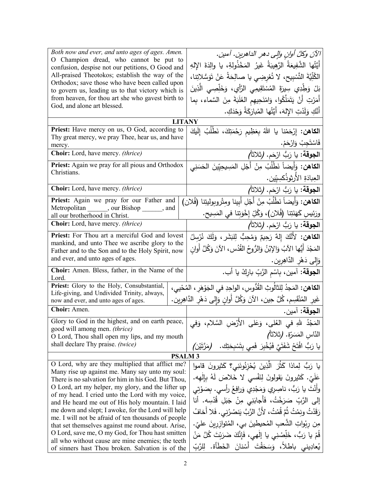| Both now and ever, and unto ages of ages. Amen.<br>O Champion dread, who cannot be put to<br>confusion, despise not our petitions, O Good and<br>All-praised Theotokos; establish the way of the<br>Orthodox; save those who have been called upon<br>to govern us, leading us to that victory which is<br>from heaven, for thou art she who gavest birth to<br>God, and alone art blessed. | الآنَ وكلَّ أوانِ والِي دهرِ الداهرينِ. آمينِ.<br>أَيَّتُها الشَّفِيعَةُ الرَّهِيبَةُ غَيرُ المَخْذُولةِ، يا والِدَةَ الإِلهِ<br>الكُلِّيَّةَ التَّسْبِيحِ، لا تُعْرِضِي يا صالِحَةُ عَنْ تَوَسُّلاتِنا،<br>بَلْ وَطِّدِي سِيرَةَ المُسْتَقِيمِي الرَّأْيِ، وَخَلِّصِي الَّذِينَ<br>أَمَرْتِ أَنْ يَتَمَلَّكُوا، وَامْنَحِيهِم الغَلَبَةَ مِنَ السَّماء، بِما<br>أَنَّكِ وَلَدْتِ الإِلهَ، أَيَّتُها المُبارَكَةُ وَحْدَكِ. |  |  |  |
|---------------------------------------------------------------------------------------------------------------------------------------------------------------------------------------------------------------------------------------------------------------------------------------------------------------------------------------------------------------------------------------------|-----------------------------------------------------------------------------------------------------------------------------------------------------------------------------------------------------------------------------------------------------------------------------------------------------------------------------------------------------------------------------------------------------------------------------|--|--|--|
| <b>LITANY</b>                                                                                                                                                                                                                                                                                                                                                                               |                                                                                                                                                                                                                                                                                                                                                                                                                             |  |  |  |
| Priest: Have mercy on us, O God, according to<br>Thy great mercy, we pray Thee, hear us, and have<br>mercy.                                                                                                                                                                                                                                                                                 | ا <b>لكاهن:</b> إِرْحَمْنا يا اللهُ بِعَظِيم رَحْمَتِكَ، نَطْلُبُ إِلَيكَ<br>فَاسْتَجِبْ وَارْحَمْ.                                                                                                                                                                                                                                                                                                                         |  |  |  |
| Choir: Lord, have mercy. (thrice)                                                                                                                                                                                                                                                                                                                                                           | ا <b>لجوقة:</b> يا رَبُّ ارْحَم. (ثلاثاً <i>)</i>                                                                                                                                                                                                                                                                                                                                                                           |  |  |  |
| Priest: Again we pray for all pious and Orthodox<br>Christians.                                                                                                                                                                                                                                                                                                                             | ا <b>لكاهن:</b> وَأَيضاً نَطْلُبُ مِنْ أَجْلِ المَسِيحِيِّينَ الحَسَنِي<br>العِبادَةِ الأَرثوذُكسِيّين.                                                                                                                                                                                                                                                                                                                     |  |  |  |
| Choir: Lord, have mercy. (thrice)                                                                                                                                                                                                                                                                                                                                                           | ا <b>لجوقة</b> : يا رَبُّ ارْحَم. (ثلاثاً)                                                                                                                                                                                                                                                                                                                                                                                  |  |  |  |
| Priest: Again we pray for our Father and                                                                                                                                                                                                                                                                                                                                                    | الكاهن: وَأَيضاً نَطْلُبُ مِنْ أَجْلِ أَبِينا ومِتْروبوليتِنا (فُلان)                                                                                                                                                                                                                                                                                                                                                       |  |  |  |
| Metropolitan _______, our Bishop _______, and<br>all our brotherhood in Christ.                                                                                                                                                                                                                                                                                                             | ورَئِيسِ كَهَنَتِنا (فُلان)، وَكُلِّ إِخْوَتِنا في المَسِيحِ.                                                                                                                                                                                                                                                                                                                                                               |  |  |  |
| Choir: Lord, have mercy. (thrice)                                                                                                                                                                                                                                                                                                                                                           | ا <b>لجوقة:</b> يا رَبُّ ارْحَم. (ثلاثاً <i>)</i>                                                                                                                                                                                                                                                                                                                                                                           |  |  |  |
| Priest: For Thou art a merciful God and lovest<br>mankind, and unto Thee we ascribe glory to the<br>Father and to the Son and to the Holy Spirit, now<br>and ever, and unto ages of ages.                                                                                                                                                                                                   | ا <b>لكاهن:</b> لأَنَّكَ إِلهٌ رَحِيمٌ وَمُحِبٌّ لِلبَشَرِ ، وَلَكَ نُرْسِلُ<br>المَجْدَ أَيُّها الآبُ وَالإِبْنُ وَالرُّوحُ القُدُسِ، الآنَ وَكُلَّ أُوانٍ                                                                                                                                                                                                                                                                 |  |  |  |
|                                                                                                                                                                                                                                                                                                                                                                                             | وَإِلَى دَهْرِ الدَّاهِرِينِ.                                                                                                                                                                                                                                                                                                                                                                                               |  |  |  |
| Choir: Amen. Bless, father, in the Name of the<br>Lord.                                                                                                                                                                                                                                                                                                                                     | ا <b>لجوقة</b> : آمين، بِاسْم الرَّبِّ بارِكْ يا أب.                                                                                                                                                                                                                                                                                                                                                                        |  |  |  |
| Priest: Glory to the Holy, Consubstantial,<br>Life-giving, and Undivided Trinity, always,<br>now and ever, and unto ages of ages.                                                                                                                                                                                                                                                           | ا <b>لكاهن:</b> المَجدُ لِلثالُوثِ القُدُّوسِ، الواحِدِ في الجَوْهَرِ ، المُحْيي،<br>غَيرِ المُنْقَسِم، كُلَّ حِين، الآنَ وَكُلَّ أُوانِ وَإِلى دَهْرِ الدَّاهِرِينِ.                                                                                                                                                                                                                                                       |  |  |  |
| Choir: Amen.                                                                                                                                                                                                                                                                                                                                                                                | ا <b>لجوقة:</b> آمين.                                                                                                                                                                                                                                                                                                                                                                                                       |  |  |  |
| Glory to God in the highest, and on earth peace,<br>good will among men. <i>(thrice)</i>                                                                                                                                                                                                                                                                                                    | المَجْدُ للهِ في العُلي، وَعَلى الأَرْضِ السَّلامِ، وَفِي                                                                                                                                                                                                                                                                                                                                                                   |  |  |  |
| O Lord, Thou shall open my lips, and my mouth                                                                                                                                                                                                                                                                                                                                               | النّاس المَسَرّة. (ثلاثاً)                                                                                                                                                                                                                                                                                                                                                                                                  |  |  |  |
| shall declare Thy praise. (twice)                                                                                                                                                                                                                                                                                                                                                           | يا رَبُّ افْتَحْ شَفَتَيَّ فَيُخْبِرَ فَمِي بِتَسْبِحَتِك.<br>(مَرَّتَيْن)                                                                                                                                                                                                                                                                                                                                                  |  |  |  |
| <b>PSALM3</b>                                                                                                                                                                                                                                                                                                                                                                               |                                                                                                                                                                                                                                                                                                                                                                                                                             |  |  |  |
| O Lord, why are they multiplied that afflict me?<br>Many rise up against me. Many say unto my soul:<br>There is no salvation for him in his God. But Thou,                                                                                                                                                                                                                                  | يا رَبُّ لِماذا كَثُرَ الَّذِينَ يُحْزِنُونَنِي؟ كَثيرونَ قاموا<br>عَلَيّ. كَثيرونَ يَقولونَ لِنَفْسى لا خَلاصَ لَهُ بِالْمه.                                                                                                                                                                                                                                                                                               |  |  |  |
| O Lord, art my helper, my glory, and the lifter up<br>of my head. I cried unto the Lord with my voice,<br>and He heard me out of His holy mountain. I laid                                                                                                                                                                                                                                  | وأَنْتَ يا رَبُّ، ناصِري وَمَجْدِي وَرافِعُ رأسي. بِصَوْتِي<br>إِلَى الرَّبِّ صَرَخْتُ، فَأَجابَنِي مِنْ جَبَلِ قُدْسِه. أنا                                                                                                                                                                                                                                                                                                |  |  |  |
| me down and slept; I awoke, for the Lord will help<br>me. I will not be afraid of ten thousands of people                                                                                                                                                                                                                                                                                   | رَقَدْتُ ونِمْتُ ثُمَّ قُمْتُ، لأَنَّ الرَّبَّ يَنصُرُنِي. فَلا أخافُ                                                                                                                                                                                                                                                                                                                                                       |  |  |  |
| that set themselves against me round about. Arise,                                                                                                                                                                                                                                                                                                                                          | مِن رِبْواتِ الشَّعبِ المُحيطينَ بي، المُتوازرينَ عليّ.                                                                                                                                                                                                                                                                                                                                                                     |  |  |  |
| O Lord, save me, O my God, for Thou hast smitten<br>all who without cause are mine enemies; the teeth<br>of sinners hast Thou broken. Salvation is of the                                                                                                                                                                                                                                   | قُمْ يا رَبُّ، خَلِّصْنِي يا إلْهي، فَإِنَّكَ ضَرَبْتَ كُلَّ مَنْ<br>يُعادِيني باطلاً، وَسَحَقْتَ أَسْنانَ الخَطَأة. لِلرَّبِّ                                                                                                                                                                                                                                                                                              |  |  |  |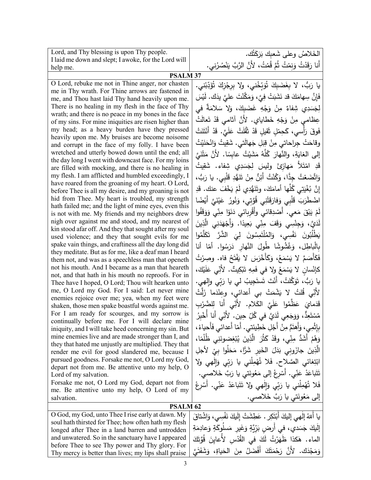| Lord, and Thy blessing is upon Thy people.                                                                  | الخَلاصُ وعلى شَعبك بَرَكَتُك.                                         |
|-------------------------------------------------------------------------------------------------------------|------------------------------------------------------------------------|
| I laid me down and slept; I awoke, for the Lord will                                                        |                                                                        |
| help me.                                                                                                    | أَنا رَقَدْتُ وَنِمْتُ ثُمَّ قُمْتُ، لأَنَّ الرَّبَّ يَنْصُرُني.       |
| <b>PSALM 37</b>                                                                                             |                                                                        |
| O Lord, rebuke me not in Thine anger, nor chasten                                                           | يا رَبُّ، لا بِغَضَبِكَ تُوَبِّخْني، ولا بِرِجْزِكَ تُؤَدِّبْني.       |
| me in Thy wrath. For Thine arrows are fastened in                                                           | فَإِنَّ سِهامَكَ قد نَشَبَتْ فِيَّ، وَمَكَّنْتَ عليَّ يذَك. لَيْسَ     |
| me, and Thou hast laid Thy hand heavily upon me.<br>There is no healing in my flesh in the face of Thy      |                                                                        |
| wrath; and there is no peace in my bones in the face                                                        | لِجَسَدِي شِفاءٌ مِنْ وَجْهِ غَضَبِكَ، وَلا سَلامَةٌ في                |
| of my sins. For mine iniquities are risen higher than                                                       | عِظامي مِنْ وَجْهِ خَطايايِ. لأَنَّ آثامي قَدْ تَعالَتْ                |
| my head; as a heavy burden have they pressed                                                                | فَوقَ رَأْسي، كَحِمْلٍ ثَقيلٍ قَدْ ثَقُلَتْ عَلَيَّ. قَدْ أَنْتَنَتْ   |
| heavily upon me. My bruises are become noisome                                                              | وقاحَتْ جِراحاتي مِنْ قِبَلِ جَهالَتي. شَقِيتُ وَانْحَنَيْتُ           |
| and corrupt in the face of my folly. I have been                                                            |                                                                        |
| wretched and utterly bowed down until the end; all                                                          | إلى الغايَةِ، والنَّهارَ كُلَّهُ مَشَيْتُ عابِسًا. لأنَّ مَتْنَيَّ     |
| the day long I went with downcast face. For my loins<br>are filled with mocking, and there is no healing in | قَدِ امْتَلاً مَهازِئَ وليسَ لِجَسَدِي شِفاء. شَقِيتُ                  |
| my flesh. I am afflicted and humbled exceedingly, I                                                         |                                                                        |
| have roared from the groaning of my heart. O Lord,                                                          | وَاتَّضَعْتُ جِدًّا، وَكُنْتُ أَئِنٌ مِنْ تَنَهُّدِ قَلْبِي. يا رَبُّ، |
| before Thee is all my desire, and my groaning is not                                                        | إِنَّ بُغْيَتِي كُلُّها أَمامَكَ، وتَنَهُّدِي لَمْ يَخْفَ عنك. قَدِ    |
| hid from Thee. My heart is troubled, my strength                                                            | اضْطَرَبَ قَلْبِي وَفارَقَتْنِي قُوَّتِي، وَنُورُ  عَيْنَيَّ أَيْضًا   |
| hath failed me; and the light of mine eyes, even this                                                       |                                                                        |
| is not with me. My friends and my neighbors drew                                                            | لَمْ يَبْقَ مَعى. أَصْدِقائي وأَقْرِبائي دَنَوْا مِنِّي وَوَقَفُوا     |
| nigh over against me and stood, and my nearest of                                                           | لَدَيَّ، وَجِنْسِي وَقَفَ مِنِّي بَعِيدًا. وَأَجْهَدَنِي الَّذِينَ     |
| kin stood afar off. And they that sought after my soul<br>used violence; and they that sought evils for me  | يَطْلُبُونَ نَفْسِى، وَالمُلْتَمِسُونَ لِيَ الشَّرَّ تَكَلَّمُوا       |
| spake vain things, and craftiness all the day long did                                                      |                                                                        |
| they meditate. But as for me, like a deaf man I heard                                                       | بِالْبِاطِل، وَغُشُوشًا طُولَ النَّهار دَرَسُوا. أَمَّا أَنا           |
| them not, and was as a speechless man that openeth                                                          | فَكَأْصَمَّ لا يَسْمَعُ، وَكَأَخْرَسَ لا يَفْتَحُ فاه. وصِرْتُ         |
| not his mouth. And I became as a man that heareth                                                           | كَإِنْسانِ لا يَسْمَعُ ولا في فَمِهِ تَبْكِيتٌ. لأَنِّي عَلَيْكَ،      |
| not, and that hath in his mouth no reproofs. For in                                                         |                                                                        |
| Thee have I hoped, O Lord; Thou wilt hearken unto                                                           | يا رَبُ، تَوَكَّلتُ، أَنْتَ تَستَجِيبُ لي يا رَبِّي وإِلهي.            |
| me, O Lord my God. For I said: Let never mine                                                               | لأَنِّي قُلتُ لا يَشْمَتْ بي أعدائي، وعِنْدَما زَلَّتْ                 |
| enemies rejoice over me; yea, when my feet were<br>shaken, those men spake boastful words against me.       | قَدَمايَ عَظَّمُوا عَلَيَّ الكَلام. لأَنِّى أنا لِلضَّرْبِ             |
| For I am ready for scourges, and my sorrow is                                                               | مُسْتَعِدٌّ، وَوَجَعِي لَدَيَّ في كُلِّ حِين. لأَنِّي أَنا أُخْبِرُ    |
| continually before me. For I will declare mine                                                              |                                                                        |
| iniquity, and I will take heed concerning my sin. But                                                       | بِإِثْمِي، وَأَهتَمُّ مِنْ أَجْلِ خَطِيئتي. أَمّا أَعدائي فَأَحياءُ،   |
| mine enemies live and are made stronger than I, and                                                         | وَهُمْ أَشَدُّ مِنِّي، وقَدْ كَثُّرَ الَّذِينَ يُبْغِضونَنِي ظُلْمًا،  |
| they that hated me unjustly are multiplied. They that<br>render me evil for good slandered me, because I    | الَّذِينَ جازَوني بَدَلَ الخَيرِ شَرًّا، مَحَلُوا بيْ لأجلِ            |
| pursued goodness. Forsake me not, O Lord my God,                                                            | ابْتِغائي الصَّلاح. فَلا تُهْمِلْني يا رَبِّي وَإِلْهِي ولا            |
| depart not from me. Be attentive unto my help, O                                                            |                                                                        |
| Lord of my salvation.                                                                                       | تَتَباعَدْ عَنِّي. أَسْرِعْ إلى مَعُونَتى يا رَبَّ خَلاصى.             |
| Forsake me not, O Lord my God, depart not from<br>me. Be attentive unto my help, O Lord of my               | فَلا تُهْمِلْني يا رَبِّي وَإِلْهِي ولا تَتَباعَدْ عَنِّي. أَسْرِعْ    |
| salvation.                                                                                                  | إلى مَعُونَتي يا رَبَّ خَلاصي.                                         |
| <b>PSALM 62</b>                                                                                             |                                                                        |
| O God, my God, unto Thee I rise early at dawn. My                                                           |                                                                        |
| soul hath thirsted for Thee; how often hath my flesh                                                        | يا أللهُ إلٰهي إليكَ أَبْتَكِرٍ . عَطِشَتْ إِلَيكَ نَفْسِي، وَاشْتاقَ  |
| longed after Thee in a land barren and untrodden                                                            | إِلَيكَ جَسَدي، في أَرضِ بَرِّيَّةٍ وَغَيرِ مَسلَوكَةٍ وَعادِمَةِ      |
| and unwatered. So in the sanctuary have I appeared                                                          | الماء. هٰكذا ظَهَرْتُ لَكَ في القُدْسِ لأعايِنَ قَوَّتَكَ              |
| before Thee to see Thy power and Thy glory. For                                                             |                                                                        |
| Thy mercy is better than lives; my lips shall praise                                                        | وَمَجْدَك. لأَنَّ رَحْمَتَكَ أَفْضَلُ مِنَ الْحَياةِ، وَشَفَتَيَّ      |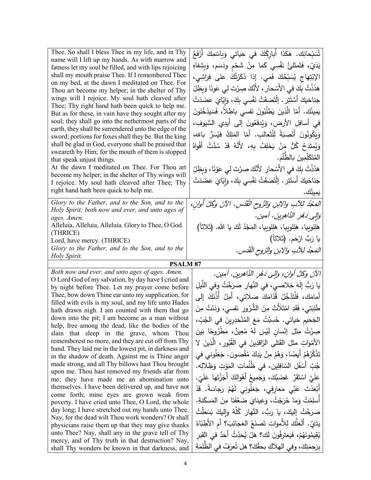| Thee. So shall I bless Thee in my life, and in Thy<br>name will I lift up my hands. As with marrow and<br>fatness let my soul be filled, and with lips rejoicing<br>shall my mouth praise Thee. If I remembered Thee<br>on my bed, at the dawn I meditated on Thee. For<br>Thou art become my helper; in the shelter of Thy<br>wings will I rejoice. My soul hath cleaved after<br>Thee; Thy right hand hath been quick to help me.<br>But as for these, in vain have they sought after my<br>soul; they shall go into the nethermost parts of the<br>earth, they shall be surrendered unto the edge of the<br>sword; portions for foxes shall they be. But the king<br>shall be glad in God, everyone shall be praised that<br>sweareth by Him; for the mouth of them is stopped<br>that speak unjust things.<br>At the dawn I meditated on Thee. For Thou art<br>become my helper; in the shelter of Thy wings will<br>I rejoice. My soul hath cleaved after Thee; Thy<br>right hand hath been quick to help me. | تُسَبِّحانِك. هٰكذا أَبارِكُكَ في حَياتي وَبِاسْمِكَ أَرْفَعُ<br>يَدَيّ، فَتَمتَلئُ نَفْسِي كَما مِنْ شَحْمٍ ودَسَم، وَبِشِفاهِ<br>الإِبْتِهاج يُسَبِّحُكَ فَمي. إذا ذَكَرْتُكَ على فِراشِي،<br>هَذَنْتُ بِكَ في الأَسْحارِ ، لأَنَّكَ صِرْتَ لِي عَونًا وَبِظِلِّ<br>جَناحَيكَ أَسْتَتِرٍ . اِلْتَصَقَتْ نَفْسِى بِكَ، وَإِيّايَ عَضَدَتْ<br>يَمِينُك. أَمّا الَّذِينَ يَطْلُبُونَ نَفسي باطِلاً، فَسَيَدْخُلونَ<br>ّ في أسافِلِ الأرض، وَيُدفَعُونَ إلى أَيدِي السُّيوفِ،<br>وَيَكُونُونَ أَنْصِبَةً لِلْثَعالبِ. أمّا المَلِكُ فيُسَرُّ بالله،<br>وَيُمتَدَحُ كُلُّ مَنْ يَحْلِفُ بِهِ، لأَنَّهُ قَدْ سُدَّتْ أَفْواهُ<br>المُتَكَلِّمِينَ بِالظَّلْمِ.<br>هَذَذْتُ بِكَ في الأَسْحارِ  لأَنَّكَ صِرْتَ لِي عَوْنًا، وَبِظِلِّ<br>جَناحَيكَ أَستَتِر . إِلْتَصَقَتْ نَفْسِي بِكَ، وَإِيّايَ عَضَدَتْ<br>يَمِينُك. |
|--------------------------------------------------------------------------------------------------------------------------------------------------------------------------------------------------------------------------------------------------------------------------------------------------------------------------------------------------------------------------------------------------------------------------------------------------------------------------------------------------------------------------------------------------------------------------------------------------------------------------------------------------------------------------------------------------------------------------------------------------------------------------------------------------------------------------------------------------------------------------------------------------------------------------------------------------------------------------------------------------------------------|----------------------------------------------------------------------------------------------------------------------------------------------------------------------------------------------------------------------------------------------------------------------------------------------------------------------------------------------------------------------------------------------------------------------------------------------------------------------------------------------------------------------------------------------------------------------------------------------------------------------------------------------------------------------------------------------------------------------------------------------------------------------------------------------------------------------|
| Glory to the Father, and to the Son, and to the<br>Holy Spirit; both now and ever, and unto ages of                                                                                                                                                                                                                                                                                                                                                                                                                                                                                                                                                                                                                                                                                                                                                                                                                                                                                                                | المَعْبُدُ لِلِآبِ وَالِإِبنِ وَالرُّوحِ الْقُدْسِ. الآنَ وَكُلَّ أُوانِ،                                                                                                                                                                                                                                                                                                                                                                                                                                                                                                                                                                                                                                                                                                                                            |
| ages. Amen.<br>Alleluia, Alleluia, Alleluia. Glory to Thee, O God.                                                                                                                                                                                                                                                                                                                                                                                                                                                                                                                                                                                                                                                                                                                                                                                                                                                                                                                                                 | َوَالِي َدَهُرِ الذَّاهِرِينَ. آمين.                                                                                                                                                                                                                                                                                                                                                                                                                                                                                                                                                                                                                                                                                                                                                                                 |
| (THRICE)                                                                                                                                                                                                                                                                                                                                                                                                                                                                                                                                                                                                                                                                                                                                                                                                                                                                                                                                                                                                           | هَلِلوبِيا، هَلِلوبِيا، هَلِلوبِيا، المَجْدُ لَكَ يا الله. (ثلاثاً)                                                                                                                                                                                                                                                                                                                                                                                                                                                                                                                                                                                                                                                                                                                                                  |
| Lord, have mercy. (THRICE)                                                                                                                                                                                                                                                                                                                                                                                                                                                                                                                                                                                                                                                                                                                                                                                                                                                                                                                                                                                         | يا رَبُّ ارْحَم. (ثلاثاً)                                                                                                                                                                                                                                                                                                                                                                                                                                                                                                                                                                                                                                                                                                                                                                                            |
| Glory to the Father, and to the Son, and to the<br>Holy Spirit.                                                                                                                                                                                                                                                                                                                                                                                                                                                                                                                                                                                                                                                                                                                                                                                                                                                                                                                                                    | المَحِدُ للِآبِ والابنِ والرّوحِ الْقُدُسِ.                                                                                                                                                                                                                                                                                                                                                                                                                                                                                                                                                                                                                                                                                                                                                                          |
| <b>PSALM 87</b>                                                                                                                                                                                                                                                                                                                                                                                                                                                                                                                                                                                                                                                                                                                                                                                                                                                                                                                                                                                                    |                                                                                                                                                                                                                                                                                                                                                                                                                                                                                                                                                                                                                                                                                                                                                                                                                      |
| Both now and ever, and unto ages of ages. Amen.<br>O Lord God of my salvation, by day have I cried and                                                                                                                                                                                                                                                                                                                                                                                                                                                                                                                                                                                                                                                                                                                                                                                                                                                                                                             | الآنَ وكلَّ أُوانٍ، وإلى دَهْرِ الدَّاهرينِ. آمين.<br>يا رَبُّ إلٰهَ خلاصي، في النَّهارِ صَرَخْتُ وفي اللَّيلِ                                                                                                                                                                                                                                                                                                                                                                                                                                                                                                                                                                                                                                                                                                       |
| by night before Thee. Let my prayer come before<br>Thee, bow down Thine ear unto my supplication, for                                                                                                                                                                                                                                                                                                                                                                                                                                                                                                                                                                                                                                                                                                                                                                                                                                                                                                              | أَمامَكَ، فَلْتَذْخُلْ قُدّامَكَ صَلاتي، أَمِلْ أَذُنَكَ إلى                                                                                                                                                                                                                                                                                                                                                                                                                                                                                                                                                                                                                                                                                                                                                         |
| filled with evils is my soul, and my life unto Hades<br>hath drawn nigh. I am counted with them that go                                                                                                                                                                                                                                                                                                                                                                                                                                                                                                                                                                                                                                                                                                                                                                                                                                                                                                            | طَٰلِبَتِي، فَقَدِ امْتَلَأَتْ مِنَ الشَّرُورِ نَفسى، وَدَنَتْ مِنَ                                                                                                                                                                                                                                                                                                                                                                                                                                                                                                                                                                                                                                                                                                                                                  |
| down into the pit; I am become as a man without                                                                                                                                                                                                                                                                                                                                                                                                                                                                                                                                                                                                                                                                                                                                                                                                                                                                                                                                                                    | الجَحيم حَياتي. حُسِبْتُ مَعَ المُنْحَدِرِينَ في الجُبِّ،                                                                                                                                                                                                                                                                                                                                                                                                                                                                                                                                                                                                                                                                                                                                                            |
| help, free among the dead, like the bodies of the<br>slain that sleep in the grave, whom Thou                                                                                                                                                                                                                                                                                                                                                                                                                                                                                                                                                                                                                                                                                                                                                                                                                                                                                                                      | صِرْتُ مِثْلَ إِنْسانٍ لَيْسَ لَهُ مُعِينٌ، مَطْرُوحًا بَينَ                                                                                                                                                                                                                                                                                                                                                                                                                                                                                                                                                                                                                                                                                                                                                         |
| rememberest no more, and they are cut off from Thy                                                                                                                                                                                                                                                                                                                                                                                                                                                                                                                                                                                                                                                                                                                                                                                                                                                                                                                                                                 | الأَمْواتِ مثلَ القَتلى الرّاقدِينَ في القُبُورِ ، الَّذِينَ لا                                                                                                                                                                                                                                                                                                                                                                                                                                                                                                                                                                                                                                                                                                                                                      |
| hand. They laid me in the lowest pit, in darkness and                                                                                                                                                                                                                                                                                                                                                                                                                                                                                                                                                                                                                                                                                                                                                                                                                                                                                                                                                              |                                                                                                                                                                                                                                                                                                                                                                                                                                                                                                                                                                                                                                                                                                                                                                                                                      |
| in the shadow of death. Against me is Thine anger                                                                                                                                                                                                                                                                                                                                                                                                                                                                                                                                                                                                                                                                                                                                                                                                                                                                                                                                                                  |                                                                                                                                                                                                                                                                                                                                                                                                                                                                                                                                                                                                                                                                                                                                                                                                                      |
|                                                                                                                                                                                                                                                                                                                                                                                                                                                                                                                                                                                                                                                                                                                                                                                                                                                                                                                                                                                                                    | تَذْكُرُهُمْ أَيضًا، وَهُمْ مِنْ يَدِكَ مُقْصَونٍ. جَعَلُوني في                                                                                                                                                                                                                                                                                                                                                                                                                                                                                                                                                                                                                                                                                                                                                      |
| made strong, and all Thy billows hast Thou brought                                                                                                                                                                                                                                                                                                                                                                                                                                                                                                                                                                                                                                                                                                                                                                                                                                                                                                                                                                 | جُبّ أَسْفَلِ السّافِلِينِ، في ظُلُماتِ المَوْتِ وَظِلالِهِ.                                                                                                                                                                                                                                                                                                                                                                                                                                                                                                                                                                                                                                                                                                                                                         |
| upon me. Thou hast removed my friends afar from<br>me; they have made me an abomination unto                                                                                                                                                                                                                                                                                                                                                                                                                                                                                                                                                                                                                                                                                                                                                                                                                                                                                                                       | عَلَيَّ اسْتَقَرَّ غَضَبُكَ، وَجَمِيعُ أَهْوالِكَ أَجَزْتَها عَلَيِّ.                                                                                                                                                                                                                                                                                                                                                                                                                                                                                                                                                                                                                                                                                                                                                |
| themselves. I have been delivered up, and have not                                                                                                                                                                                                                                                                                                                                                                                                                                                                                                                                                                                                                                                                                                                                                                                                                                                                                                                                                                 | أَبْعَدْتَ عَنِّي مَعارِفِي، جَعَلُونِي لَهُمْ رَجاسَةً. قَدْ                                                                                                                                                                                                                                                                                                                                                                                                                                                                                                                                                                                                                                                                                                                                                        |
| come forth; mine eyes are grown weak from                                                                                                                                                                                                                                                                                                                                                                                                                                                                                                                                                                                                                                                                                                                                                                                                                                                                                                                                                                          | أَسلِمْتُ وَما خَرَجْتُ، وَعَيناىَ ضَعُفَتا مِنَ المَسكَنةِ.                                                                                                                                                                                                                                                                                                                                                                                                                                                                                                                                                                                                                                                                                                                                                         |
| poverty. I have cried unto Thee, O Lord, the whole<br>day long; I have stretched out my hands unto Thee.                                                                                                                                                                                                                                                                                                                                                                                                                                                                                                                                                                                                                                                                                                                                                                                                                                                                                                           |                                                                                                                                                                                                                                                                                                                                                                                                                                                                                                                                                                                                                                                                                                                                                                                                                      |
| Nay, for the dead wilt Thou work wonders? Or shall                                                                                                                                                                                                                                                                                                                                                                                                                                                                                                                                                                                                                                                                                                                                                                                                                                                                                                                                                                 | صَرَخْتُ إِلَيْكَ، يا رَبُّ، النَّهارَ كُلَّهُ واليكَ بَسَطْتُ                                                                                                                                                                                                                                                                                                                                                                                                                                                                                                                                                                                                                                                                                                                                                       |
| physicians raise them up that they may give thanks                                                                                                                                                                                                                                                                                                                                                                                                                                                                                                                                                                                                                                                                                                                                                                                                                                                                                                                                                                 | يَدَيِّ. أَلَعَلَّكَ لِلأَمواتِ تَصنَعُ العَجائِبَ؟ أم الأَطِبّاءُ                                                                                                                                                                                                                                                                                                                                                                                                                                                                                                                                                                                                                                                                                                                                                   |
| unto Thee? Nay, shall any in the grave tell of Thy<br>mercy, and of Thy truth in that destruction? Nay,                                                                                                                                                                                                                                                                                                                                                                                                                                                                                                                                                                                                                                                                                                                                                                                                                                                                                                            | يُقِيمُونَهُمْ، فَيَعترفُونَ لَك؟ هَلْ يُحَدِّثُ أَحَدٌ فـى القبر<br>بِرَحمَتِكَ، وفي الهلاكِ بحقِّكَ؟ هل تُعرَفُ في الظَّلمَةِ                                                                                                                                                                                                                                                                                                                                                                                                                                                                                                                                                                                                                                                                                      |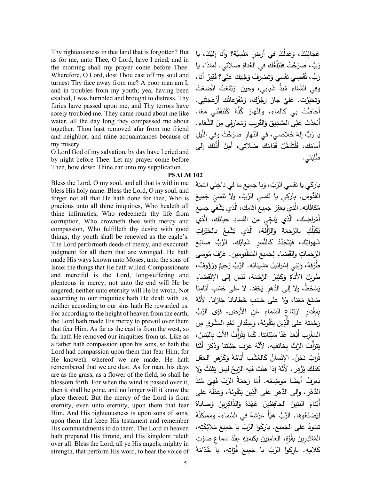| Thy righteousness in that land that is forgotten? But<br>as for me, unto Thee, O Lord, have I cried; and in<br>the morning shall my prayer come before Thee.<br>Wherefore, O Lord, dost Thou cast off my soul and<br>turnest Thy face away from me? A poor man am I,<br>and in troubles from my youth; yea, having been<br>exalted, I was humbled and brought to distress. Thy<br>furies have passed upon me, and Thy terrors have<br>sorely troubled me. They came round about me like<br>water, all the day long they compassed me about<br>together. Thou hast removed afar from me friend<br>and neighbor, and mine acquaintances because of<br>my misery.<br>O Lord God of my salvation, by day have I cried and<br>by night before Thee. Let my prayer come before<br>Thee, bow down Thine ear unto my supplication.                                                                                                                                                                                                                                                                                                                                                                                                                                                                                                                                                                                                                                                                                                                                                                                                                                                                                                                                                                                                                                               | عَجائِبُكَ، وَعَدلَكَ في أَرضِ مَنْسِيَّة؟ وأنا إليْكَ، يا<br>رَبُّ، صَرَخْتُ فَتَبْلُغُكَ في الغَداةِ صَلاتي. لِماذا، يا<br>رَبُّ، تُقْصِى نَفْسى وَتَصْرِفُ وَجْهَكَ عَنِّى؟ فَقِيرٌ أَنا،<br>وفي الشَّقاءِ مُنذُ شَبابي، وحينَ ارْتَفَعْتُ اتَّضَعْتُ<br>وَتَحَيَّرْت. عَلَيَّ جازَ رِجْزُكَ، وَمُفْزِعاتُك أَزْعَجَتْنِي.<br>أَحاطَتْ بي كالماءِ، والنَّهارَ كُلَّهُ اكْتَنَفَتْنِي مَعًا.<br>أَبْعَدْتَ عَنِّى الصَّدِيقَ وَالقَرِيبَ وَمَعارِفِي مِنَ الشَّقاءِ .<br>يا رَبُّ إِلٰهَ خَلاصي، في النَّهارِ صَرَخْتُ وفي اللَّيلِ<br>أمامَكَ، فَلْتَدْخُلْ قُدّامَكَ صَلاتي، أَمِلْ أَذُنَكَ إلى<br>طلِبَتِي.                                                                                                                                                                                                                                                                                                                                                                                                                                                                                                                                                                                                                                                                                                                                                                                                                                                                                                                                                                                                                      |
|--------------------------------------------------------------------------------------------------------------------------------------------------------------------------------------------------------------------------------------------------------------------------------------------------------------------------------------------------------------------------------------------------------------------------------------------------------------------------------------------------------------------------------------------------------------------------------------------------------------------------------------------------------------------------------------------------------------------------------------------------------------------------------------------------------------------------------------------------------------------------------------------------------------------------------------------------------------------------------------------------------------------------------------------------------------------------------------------------------------------------------------------------------------------------------------------------------------------------------------------------------------------------------------------------------------------------------------------------------------------------------------------------------------------------------------------------------------------------------------------------------------------------------------------------------------------------------------------------------------------------------------------------------------------------------------------------------------------------------------------------------------------------------------------------------------------------------------------------------------------------|----------------------------------------------------------------------------------------------------------------------------------------------------------------------------------------------------------------------------------------------------------------------------------------------------------------------------------------------------------------------------------------------------------------------------------------------------------------------------------------------------------------------------------------------------------------------------------------------------------------------------------------------------------------------------------------------------------------------------------------------------------------------------------------------------------------------------------------------------------------------------------------------------------------------------------------------------------------------------------------------------------------------------------------------------------------------------------------------------------------------------------------------------------------------------------------------------------------------------------------------------------------------------------------------------------------------------------------------------------------------------------------------------------------------------------------------------------------------------------------------------------------------------------------------------------------------------------------------------------------------------------------|
| PSALM <sub>102</sub>                                                                                                                                                                                                                                                                                                                                                                                                                                                                                                                                                                                                                                                                                                                                                                                                                                                                                                                                                                                                                                                                                                                                                                                                                                                                                                                                                                                                                                                                                                                                                                                                                                                                                                                                                                                                                                                     |                                                                                                                                                                                                                                                                                                                                                                                                                                                                                                                                                                                                                                                                                                                                                                                                                                                                                                                                                                                                                                                                                                                                                                                                                                                                                                                                                                                                                                                                                                                                                                                                                                        |
| Bless the Lord, O my soul, and all that is within me<br>bless His holy name. Bless the Lord, O my soul, and<br>forget not all that He hath done for thee, Who is<br>gracious unto all thine iniquities, Who healeth all<br>thine infirmities, Who redeemeth thy life from<br>corruption, Who crowneth thee with mercy and<br>compassion, Who fulfilleth thy desire with good<br>things; thy youth shall be renewed as the eagle's.<br>The Lord performeth deeds of mercy, and executeth<br>judgment for all them that are wronged. He hath<br>made His ways known unto Moses, unto the sons of<br>Israel the things that He hath willed. Compassionate<br>and merciful is the Lord, long-suffering and<br>plenteous in mercy; not unto the end will He be<br>angered; neither unto eternity will He be wroth. Not<br>according to our iniquities hath He dealt with us,<br>neither according to our sins hath He rewarded us.<br>For according to the height of heaven from the earth,<br>the Lord hath made His mercy to prevail over them<br>that fear Him. As far as the east is from the west, so<br>far hath He removed our iniquities from us. Like as<br>a father hath compassion upon his sons, so hath the<br>Lord had compassion upon them that fear Him; for<br>He knoweth whereof we are made, He hath<br>remembered that we are dust. As for man, his days<br>are as the grass; as a flower of the field, so shall he<br>blossom forth. For when the wind is passed over it,<br>then it shall be gone, and no longer will it know the<br>place thereof. But the mercy of the Lord is from<br>eternity, even unto eternity, upon them that fear<br>Him. And His righteousness is upon sons of sons,<br>upon them that keep His testament and remember<br>His commandments to do them. The Lord in heaven<br>hath prepared His throne, and His kingdom ruleth | بارِكي يا نَفسي الرَّبَّ، وَيا جَمِيعَ ما في داخِلي اسْمَهُ<br>القُدُّوس. باركي يا نَفسي الرَّبَّ، ولا نَتَسَىُّ جَمِيعَ<br>مُكافَأَتِه. الَّذي يَغفِرُ جَمِيعَ أثامِك، الَّذي يَشْفي جَميعَ<br>أَمْراضِكِ، الَّذي يُنَجِّى مِنَ الفَسادِ حياتَكِ، الَّذي<br>يُكَلِّلُكِ   بالرَّحمَةِ   وَالرَّأفة،    الَّذي    يُشْبِعُ   بالخَيْراتِ<br>شَهَواتِكِ، فَيَتَجَدَّدُ كَالنَّسرِ شَبابُكِ. الرَّبُّ صانِعُ<br>الرَّحَماتِ والقَضاءِ لِجَميعِ المَظْلُومين. عَرَّفَ مُوسى<br>طُرُقَهُ، وَبَنِي إِسْرائيلَ مَشِيئاتِه. الرَّبُّ رَحِيمٌ وَرَؤُوفٌ،<br>طُويِلُ الأَناةِ وَكَثِيرُ الرَّحْمَةِ، لَيْسَ إِلَى الإِنْقِضاءِ<br>يَسْخَطُ، ولا إلى الدَّهر يَحْقِد. لا على حَسْبِ آثامِنَا<br>صَنَعَ مَعَنا، ولا على حَسْبِ خَطايانا جَازانا. لأَنَّهُ<br>بِمِقْدارِ ارْتِفاعِ السَّماءِ عَنِ الأرضِ، قَوَّى الرَّبُّ<br>رَحْمَتَهُ على الَّذِينَ يَتَّقُونَهُ، وَبِمِقْدارِ بُعْدِ المَشْرِقِ مِنَ<br>المَغْرِبِ أَبْعَدَ عَنَّا سَيِّئَاتِنا. كَما يَتَرَأَفُ الأَبُ بِالْبَنِينَ،<br>يَتَزَأْفُ الرَّبُّ بخائفيه، لأَنَّهُ عَرَفَ جَبْلَتَنا وَذَكَرَ أَنَّنا<br>تُرابٌ نَحْنُ. الإِنْسانُ كَالغُشْبِ أَيّامُهُ وَكَزَهِرِ الْحَقِلِ<br>كذلكَ يُزْهِرٍ ، لأنَّهُ إذا هَبَّتْ فيهِ الرّيحُ ليسَ يَثْبُتُ ولا<br>يُعرَفُ أيضًا مَوضِعُه. أمّا رَحمَةُ الرَّبِّ فَهِيَ مُنذُ<br>الدَّهْرِ ، وإِلى الدَّهرِ على الَّذِينَ يَتَّقُونَهُ، وَعَذْلُهُ على<br>أَبْناءِ البَنِينَ الحافِظِينَ عَهْدَهُ وَالذَّاكِرِينَ وَصاياهُ<br>لِيَصْنَعُوها. الرَّبُّ هَيَّأَ عَرْشَهُ في السَّماءِ، وَمَملَكَتُهُ<br>تَسُودُ على الجَميع. باركُوا الرَّبَّ يا جَمِيعَ مَلائِكَتِهِ،<br>المُقتَدِرِينَ بِقُوَّةٍ، العامِلِينَ بِكَلِمَتِهِ عِنْدَ سَماعٍ صَوْتِ |
| over all. Bless the Lord, all ye His angels, mighty in                                                                                                                                                                                                                                                                                                                                                                                                                                                                                                                                                                                                                                                                                                                                                                                                                                                                                                                                                                                                                                                                                                                                                                                                                                                                                                                                                                                                                                                                                                                                                                                                                                                                                                                                                                                                                   |                                                                                                                                                                                                                                                                                                                                                                                                                                                                                                                                                                                                                                                                                                                                                                                                                                                                                                                                                                                                                                                                                                                                                                                                                                                                                                                                                                                                                                                                                                                                                                                                                                        |
| strength, that perform His word, to hear the voice of                                                                                                                                                                                                                                                                                                                                                                                                                                                                                                                                                                                                                                                                                                                                                                                                                                                                                                                                                                                                                                                                                                                                                                                                                                                                                                                                                                                                                                                                                                                                                                                                                                                                                                                                                                                                                    | كَلامِهِ. باركوا الرَّبَّ يا جَمِيعَ قَوّاتِهِ، يا خُدّامَهُ                                                                                                                                                                                                                                                                                                                                                                                                                                                                                                                                                                                                                                                                                                                                                                                                                                                                                                                                                                                                                                                                                                                                                                                                                                                                                                                                                                                                                                                                                                                                                                           |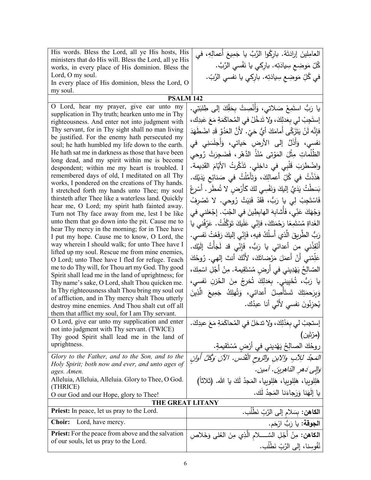| His words. Bless the Lord, all ye His hosts, His                                                        | العامِلينَ إرادَتَهُ. بارِكُوا الرَّبَّ يا جَمِيعَ أعمالِهِ، في                |
|---------------------------------------------------------------------------------------------------------|--------------------------------------------------------------------------------|
| ministers that do His will. Bless the Lord, all ye His                                                  |                                                                                |
| works, in every place of His dominion. Bless the<br>Lord, O my soul.                                    | كُلّ مَوضِعٍ سِيادَتِه. بارِكي يا نَفْسي الرَّبَّ.                             |
| In every place of His dominion, bless the Lord, O                                                       | في كُلِّ مَوضِعٍ سِيادَتِه. بارِكي يا نفسي الرَّبّ.                            |
| my soul.                                                                                                |                                                                                |
| <b>PSALM 142</b>                                                                                        |                                                                                |
| O Lord, hear my prayer, give ear unto my                                                                | يا رَبُّ استَمِعْ صَلاتي، وَأَنْصِتْ بِحَقِّكَ إِلَى طِلْبَتِي.                |
| supplication in Thy truth; hearken unto me in Thy                                                       |                                                                                |
| righteousness. And enter not into judgment with                                                         | إستَجِبْ لي بِعَدلِكَ، ولا تَدخُلْ في المُحاكَمَةِ مَعَ عَبدِكَ،               |
| Thy servant, for in Thy sight shall no man living                                                       | فإِنَّه لَنْ يَتَزَكَّى أَمامَكَ أَيُّ حَيٍّ. لأَنَّ الْعَدُوَّ قَدِ اضْطَهَدَ |
| be justified. For the enemy hath persecuted my<br>soul; he hath humbled my life down to the earth.      | نفسى، وَأَذَلَّ إِلَى الأَرضِ حَياتي، وَأَجلَسَنِي في                          |
| He hath sat me in darkness as those that have been                                                      | الظُلُماتِ مِثْلَ المَوْتي مُنْذُ الدَّهْرِ ، فَضَجِرَتْ رُوحي                 |
| long dead, and my spirit within me is become                                                            |                                                                                |
| despondent; within me my heart is troubled. I                                                           | واضْطْرَبَ قَلْبِي في داخِلي. تَذَكَّرتُ الأيّامَ القَدِيمة.                   |
| remembered days of old, I meditated on all Thy<br>works, I pondered on the creations of Thy hands.      | هَذَذْتُ في كُلِّ أَعمالِكَ، وَتَأَمَّلْتُ في صَنائِع يَدَيْك.                 |
| I stretched forth my hands unto Thee; my soul                                                           | بَسَطْتُ يَدَيَّ إِليكَ وَنَفْسِى لكَ كَأَرْضٍ لا تُمطَّر . أَسْرِعْ           |
| thirsteth after Thee like a waterless land. Quickly                                                     | فَاسْتَجِبْ لِي يا رَبُّ، فَقَدْ فَنِيَتْ رُوِحي. لا تَصْرِفْ                  |
| hear me, O Lord; my spirit hath fainted away.                                                           | وَجْهَكَ عَنِّي، فَأَشابِهَ الهابِطِينَ في الجُبِّ. إِجْعَلني في               |
| Turn not Thy face away from me, lest I be like<br>unto them that go down into the pit. Cause me to      |                                                                                |
| hear Thy mercy in the morning; for in Thee have                                                         | الغَداةِ مُسْتَمِعًا رَحْمَتَكَ، فإنِّي عَلَيكَ تَوَكَّلْتُ. عَرّفْني يا       |
| I put my hope. Cause me to know, O Lord, the                                                            | رَبُّ الطَّرِيقَ الَّذي أَسلُكُ فيهِ، فَإِنِّي إليكَ رَفَعْتُ نَفسي.           |
| way wherein I should walk; for unto Thee have I                                                         | أَنْقِذْني من أعدائي يا رَبٌّ، فَإِنِّي قد لَجَأْتُ إِلَيْك.                   |
| lifted up my soul. Rescue me from mine enemies,<br>O Lord; unto Thee have I fled for refuge. Teach      | عَلِّمْنِي أَنْ أَعمَلَ مَرْضاتَكَ، لأَنَّكَ أَنتَ إلهي. رُوحُكَ               |
| me to do Thy will, for Thou art my God. Thy good                                                        | الصّالِحُ يَهْدِيني في أرضٍ مُسْتَقِيمة. مِنْ أَجْلِ اسْمِكَ،                  |
| Spirit shall lead me in the land of uprightness; for                                                    |                                                                                |
| Thy name's sake, O Lord, shalt Thou quicken me.                                                         | يا رَبُّ، تُحْيِيني. بِعَدلِكَ تُخرجُ مِنَ الحُزنِ نَفسي،                      |
| In Thy righteousness shalt Thou bring my soul out<br>of affliction, and in Thy mercy shalt Thou utterly | وَبِرَحمَتِكَ شَسْتَأْصِلُ أَعدائي، وَتُهلِكُ جَمِيعَ الَّذِينَ                |
| destroy mine enemies. And Thou shalt cut off all                                                        | يُحزِثُونَ نفسي لأَنَّى أنا عبدُك.                                             |
| them that afflict my soul, for I am Thy servant.                                                        |                                                                                |
| O Lord, give ear unto my supplication and enter                                                         | إستجبْ لي بعَدْلِكَ، ولا تدخلْ في المُحاكَمَةِ مَعَ عبدِكَ.                    |
| not into judgment with Thy servant. (TWICE)                                                             | (مرّتَين)                                                                      |
| Thy good Spirit shall lead me in the land of<br>uprightness.                                            |                                                                                |
|                                                                                                         | روحُكَ الصالِحُ يَهْديني في أَرْضٍ مُسْتَقيمةٍ.                                |
| Glory to the Father, and to the Son, and to the<br>Holy Spirit; both now and ever, and unto ages of     | المَجْد للِآبِ والابنِ والرّوحِ الْقُدْسِ. الآنَ وَكُلَّ أُولنٍ                |
| ages. Amen.                                                                                             | وَإِلِي دَهرِ الدَّاهِرِينَ. آمين.                                             |
| Alleluia, Alleluia, Alleluia. Glory to Thee, O God.                                                     | هَلِلوبيا، هَلِلوبيا، هَلِلوبيا، المَجِدُ لَكَ يا الله. (ثلاثاً)               |
| (THRICE)                                                                                                | يا إلهَنا وَرَجاءَنا المَجدُ لَك.                                              |
| O our God and our Hope, glory to Thee!<br>THE GREAT LITANY                                              |                                                                                |
| Priest: In peace, let us pray to the Lord.                                                              | ا <b>لكاهن:</b> بِسَلام إلى الرَّبِّ نَطْلُب.                                  |
| Lord, have mercy.<br>Choir:                                                                             | ا <b>لجوقة:</b> يا رَبُّ ارْحَم.                                               |
| <b>Priest:</b> For the peace from above and the salvation                                               | ا <b>لكاهن:</b> مِنْ أَجْلِ السَّــــلام الَّذِي مِنَ الْعُلَى وَخَلاصِ        |
| of our souls, let us pray to the Lord.                                                                  |                                                                                |
|                                                                                                         | نُفُوسِنا، إِلى الرَّبِّ نَطْلُب.                                              |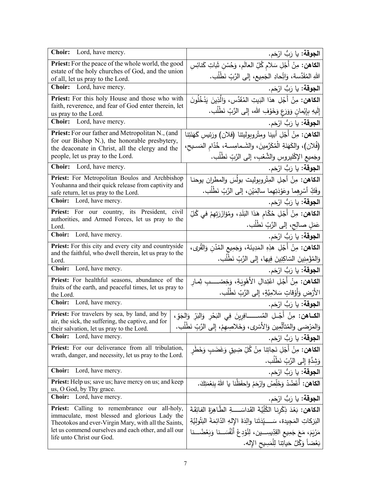| Choir: Lord, have mercy.                                                                               | ا <b>لجوقة:</b> يا رَبُّ ارْحَم.                                                        |  |  |  |
|--------------------------------------------------------------------------------------------------------|-----------------------------------------------------------------------------------------|--|--|--|
| Priest: For the peace of the whole world, the good                                                     | <b>الكاهن:</b> مِنْ أَجْلِ سَلام كُلِّ العالَم، وَحُسْنِ شَاتِ كَنائِسِ                 |  |  |  |
| estate of the holy churches of God, and the union<br>of all, let us pray to the Lord.                  | اللهِ المُقَدَّسة، وَاتِّحادِ الجَمِيعِ، إِلـى الرَّبِّ نَطْلُبٍ.                       |  |  |  |
| Choir: Lord, have mercy.                                                                               | ا <b>لجوقة:</b> يا رَبُّ ارْحَم.                                                        |  |  |  |
| <b>Priest:</b> For this holy House and those who with                                                  | ا <b>لكاهن:</b> مِنْ أَجْلِ هذا البَيتِ المُقَدَّسِ، وَالَّذِينَ يَدْخُلُونَ            |  |  |  |
| faith, reverence, and fear of God enter therein, let<br>us pray to the Lord.                           | إِلَيهِ بِإِيْمانٍ وَوَرَعٍ وَخَوْفِ الله، إِلى الرَّبِّ نَطْلُب.                       |  |  |  |
| <b>Choir:</b> Lord, have mercy.                                                                        | ا <b>لجوقة:</b> يا رَبُّ ارْحَم.                                                        |  |  |  |
| Priest: For our father and Metropolitan N., (and                                                       | ا <b>لكاهن:</b> مِنْ أَجْلِ أبينا ومِثْروبوليتنا (فلان) ورَئِيسِ كَهَنَتِنا             |  |  |  |
| for our Bishop N.), the honorable presbytery,<br>the deaconate in Christ, all the clergy and the       | (فُلان)، والكَهَنَةِ الْمُكَرَّمينَ، والشَـمامِسـة، خُدّامِ المَسـيحِ،                  |  |  |  |
| people, let us pray to the Lord.                                                                       | وجَميع الإكْليروسِ والشَّعْبِ، إلى الرَّبِّ نَطْلَب.                                    |  |  |  |
| Choir: Lord, have mercy.                                                                               | ا <b>لجوقة:</b> يا رَبُّ ارْحَم.                                                        |  |  |  |
| Priest: For Metropolitan Boulos and Archbishop                                                         | ا <b>لكاهن:</b> مِنْ أجلِ المِثْروبوليت بولُسَ والمطران يوحنـا                          |  |  |  |
| Youhanna and their quick release from captivity and<br>safe return, let us pray to the Lord.           | وفَكِّ أَسْرِهِما وعَوْدَتِهِما سالِمَيْنِ، إلى الرَّبِّ نَطْلُبٍ.                      |  |  |  |
| Choir: Lord, have mercy.                                                                               | ا <b>لجوقة:</b> يا رَبُّ ارْحَم.                                                        |  |  |  |
| Priest: For our country, its President, civil                                                          | ا <b>لكاهن:</b> مِنْ أَجْلِ حُكّام هَذا البَلَدِ، ومُؤازَرَتِهِمْ في كُلِّ              |  |  |  |
| authorities, and Armed Forces, let us pray to the<br>Lord.                                             | عَمَلٍ صالِحٍ، إلى الرَّبِّ نَطْلُبٍ.                                                   |  |  |  |
| Choir: Lord, have mercy.                                                                               | ا <b>لجوقة:</b> يا رَبُّ ارْحَم.                                                        |  |  |  |
| Priest: For this city and every city and countryside                                                   | ا <b>لكاهن:</b> مِنْ أَجْلِ هذِهِ المَدِينَة، وَجَمِيعِ المُدُنِ وَالقُرى،              |  |  |  |
| and the faithful, who dwell therein, let us pray to the<br>Lord.                                       | وَالِمُؤْمِنِينَ السّاكِنِينَ فِيها، إِلَى الرَّبِّ نَطْلُبٍ.                           |  |  |  |
| Lord, have mercy.<br><b>Choir:</b>                                                                     | ا <b>لجوقة:</b> يا رَبُّ ارْحَم.                                                        |  |  |  |
| Priest: For healthful seasons, abundance of the                                                        | ا <b>لكاهن:</b> مِنْ أَجْلِ اعْتِدالِ الأَهْوِيَةِ، وَخِصْـــــبِ ثِمار                 |  |  |  |
| fruits of the earth, and peaceful times, let us pray to<br>the Lord.                                   | الأَرْضِ وَأَوْقَاتٍ سَلامِيَّةٍ، إِلَى الرَّبِّ نَطْلُب.                               |  |  |  |
| Choir: Lord, have mercy.                                                                               | ا <b>لجوقة:</b> يا رَبُّ ارْحَم.                                                        |  |  |  |
| Priest: For travelers by sea, by land, and by                                                          | ا <b>لكــاهن:</b> مِنْ أَجْــلِ المُســـــــافِرِينَ فِي النَحْرِ وَالنَّرِّ وَالجَوِّ، |  |  |  |
| air, the sick, the suffering, the captive, and for<br>their salvation, let us pray to the Lord.        | وَالمَرْضـى والمُتألِّمِين وَالأَسْرِي، وَخَلاصِهِمْ، إلى الرَّبّ نَطْلُب.              |  |  |  |
| Choir: Lord, have mercy.                                                                               | ا <b>لجوقة:</b> يا رَبُّ ارْحَم.                                                        |  |  |  |
| Priest: For our deliverance from all tribulation,                                                      | <b>الكاهن:</b> مِنْ أَجْلِ نَجاتِنا مِنْ كُلِّ ضِيقٍ وَغَضَبٍ وَخَطَر                   |  |  |  |
| wrath, danger, and necessity, let us pray to the Lord.                                                 | وَشِدَّةٍ إِلَى الرَّبِّ نَطْلُب.                                                       |  |  |  |
| <b>Choir:</b><br>Lord, have mercy.                                                                     | ا <b>لجوقة:</b> يا رَبُّ ارْحَم.                                                        |  |  |  |
| Priest: Help us; save us; have mercy on us; and keep<br>us, O God, by Thy grace.                       | ا <b>لكاهن:</b> أَعْضُدْ وَخَلِّصْ وارْحَمْ واحفَظْنا يا اللهُ بِنِعْمَتِكَ.            |  |  |  |
| Lord, have mercy.<br>Choir:                                                                            | ا <b>لجوقة:</b> يا رَبُّ ارْحَم.                                                        |  |  |  |
| Priest: Calling to remembrance our all-holy,                                                           | المكاهن: بَعْدَ ذِكْرِنا الكُلِّيَّةَ القَداسَــــةِ الطَّاهِرَةَ الفائِقَةَ            |  |  |  |
| immaculate, most blessed and glorious Lady the<br>Theotokos and ever-Virgin Mary, with all the Saints, | البَرَكاتِ المَجِيدة، سَــــيّدَتَنا والِدَةَ الإِلهِ الدّائِمَةَ البَتُولِيَّةِ        |  |  |  |
| let us commend ourselves and each other, and all our<br>life unto Christ our God.                      | مَرْيَمَ، مَعَ جَمِيعِ القِدِّيسِـــينِ، لِنُوْدِعْ أَنْفُسَــنا وَيَعْضُـــنا          |  |  |  |
|                                                                                                        | بَعْضاً وَكُلَّ حَياتِنا لِلْمَسِيحِ الإِله.                                            |  |  |  |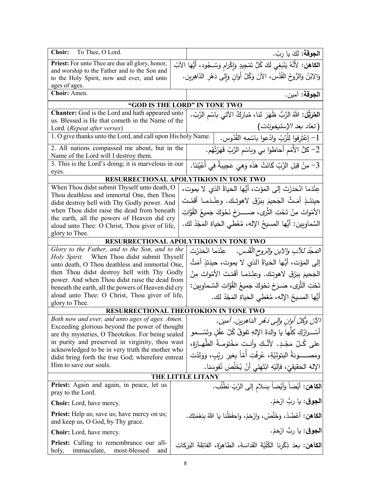| To Thee, O Lord.<br>Choir:                                                                            | ا <b>لجوقة:</b> لَكَ يا رَبّ.                                                                |  |  |  |
|-------------------------------------------------------------------------------------------------------|----------------------------------------------------------------------------------------------|--|--|--|
| <b>Priest:</b> For unto Thee are due all glory, honor,                                                | ا <b>لكاهن:</b> لأَنَّهُ يَنْبَغِي لَكَ كُلُّ تَمْجِيدٍ وَإِكْرامٍ وَسُـجُودٍ، أَيُّها الآبُ |  |  |  |
| and worship to the Father and to the Son and<br>to the Holy Spirit, now and ever, and unto            | وَالِإِبْنُ وَالرُّوحُ القُدُس، الآنَ وَكُلَّ أُوانِ وَإِلى دَهْرِ الدّاهِرِين.              |  |  |  |
| ages of ages.                                                                                         |                                                                                              |  |  |  |
| Choir: Amen.                                                                                          | ا <b>لجوقة:</b> آمين.                                                                        |  |  |  |
|                                                                                                       | "GOD IS THE LORD" IN TONE TWO                                                                |  |  |  |
| Chanter: God is the Lord and hath appeared unto                                                       | المُعَرَّقِل: اللهُ الرَّبُّ ظَهَرَ لنا، مُبارَكٌ الآتي باسْم الرَّبّ.                       |  |  |  |
| us. Blessed is He that cometh in the Name of the                                                      | (تعاد بعد الإستيخونات)                                                                       |  |  |  |
| Lord. (Repeat after verses)<br>1. O give thanks unto the Lord, and call upon His holy Name.           |                                                                                              |  |  |  |
|                                                                                                       | 1– إعْتَرفوا لِلْرَّبِّ وإدْعوا باسْمِهِ القُدّوسِ.                                          |  |  |  |
| 2. All nations compassed me about, but in the                                                         | 2– كلُّ الأُمَم أَحاطوا بي وبِاسْمِ الرَّبِّ قَهَرْتُهُم.                                    |  |  |  |
| Name of the Lord will I destroy them.<br>3. This is the Lord's doing; it is marvelous in our          |                                                                                              |  |  |  |
| eyes.                                                                                                 | 3– مِنْ قِبَلِ الرَّبِّ كَانَتْ هَذَه وَهِيَ عَجِيبةٌ فِي أَعْيُنِنَا.                       |  |  |  |
|                                                                                                       | RESURRECTIONAL APOLYTIKION IN TONE TWO                                                       |  |  |  |
| When Thou didst submit Thyself unto death, O                                                          | عِنْدَما انْحَدَرْتَ إِلَى المَوْتِ، أَيُّها الْحَياةُ الذي لا يموت،                         |  |  |  |
| Thou deathless and immortal One, then Thou                                                            | حينئـذٍ أَمَـتَّ الْجَحيمَ ببَرْقٍ لاهوتـك. وعِنْـدَمــا أَقَمْـتَ                           |  |  |  |
| didst destroy hell with Thy Godly power. And<br>when Thou didst raise the dead from beneath           |                                                                                              |  |  |  |
| the earth, all the powers of Heaven did cry                                                           | الأَمْواتَ مِنْ تَحْتِ الثُّرى، صَـــــرَخَ نَحْوَكَ جَميعُ القُوَّاتِ                       |  |  |  |
| aloud unto Thee: O Christ, Thou giver of life,                                                        | السَّماويين: أيُّها المسيحُ اﻹله، مُعْطى الحَياةِ المَجْدُ لك.                               |  |  |  |
| glory to Thee.                                                                                        |                                                                                              |  |  |  |
|                                                                                                       | RESURRECTIONAL APOLYTIKION IN TONE TWO                                                       |  |  |  |
| Glory to the Father, and to the Son, and to the<br>Holy Spirit. When Thou didst submit Thyself        | <i>المَجْد للآبِ والابنِ والروح القُدُسِ.</i> عِنْدَما انْحَدَرْتَ                           |  |  |  |
| unto death, O Thou deathless and immortal One,                                                        | إلى المَوْت، أَيُّها الحَياةُ الذي لا يموت، حينئذٍ أمَتَّ                                    |  |  |  |
| then Thou didst destroy hell with Thy Godly                                                           | الجَحيمَ بِبَرْقِ لاهوتك. وعِنْدَمـا أَقَمْتَ الأَمْواتَ مِنْ                                |  |  |  |
| power. And when Thou didst raise the dead from                                                        | تَحْتِ الثَّرى، صَـرَخَ نَحْوَكَ جَميعُ القُوَّاتِ السَّـماوِيين:                            |  |  |  |
| beneath the earth, all the powers of Heaven did cry<br>aloud unto Thee: O Christ, Thou giver of life, |                                                                                              |  |  |  |
| glory to Thee.                                                                                        | أَيُّها المسيحُ اﻹله، مُعْطى الحَياةِ المَجْدُ لك.                                           |  |  |  |
|                                                                                                       | RESURRECTIONAL THEOTOKION IN TONE TWO                                                        |  |  |  |
| Both now and ever, and unto ages of ages. Amen.                                                       | الآنَ وكُلَّ أُوانٍ وإلى دَهْرِ الداهِرِينِ. آمينِ.                                          |  |  |  |
| Exceeding glorious beyond the power of thought<br>are thy mysteries, O Theotokos. For being sealed    | أَسْــــــــرارُكِ كلُّها يا والدةَ الإِلـهِ تَفوقُ كُلَّ عقْلٍ وتَسْــــمو                  |  |  |  |
| in purity and preserved in virginity, thou wast                                                       | على كُلّ مَجْدٍ. لأَنَّكِ وأنتِ مَخْتومةُ الطَّهـارَة،                                       |  |  |  |
| acknowledged to be in very truth the mother who                                                       |                                                                                              |  |  |  |
| didst bring forth the true God; wherefore entreat                                                     | ومَصــــــونةُ البَتولِيَّةِ، عُرفْتِ أَمّاً بغير رِيْبٍ، وَوَلِدْتِ                         |  |  |  |
| Him to save our souls.                                                                                | الإِلهَ الحَقيقيِّ، فإِلَيْهِ ابْتَهلي أَنْ يُخَلِّصَ نُفوسَنا.                              |  |  |  |
| THE LITTLE LITANY                                                                                     |                                                                                              |  |  |  |
| <b>Priest:</b> Again and again, in peace, let us<br>pray to the Lord.                                 | الكاهن: أَيْضاً وأَيْضاً بِسَلام إلى الرَّبِّ نَطْلُب.                                       |  |  |  |
| <b>Choir:</b> Lord, have mercy.                                                                       | ا <b>لجوق</b> : يا ربُّ ارْحَمْ.                                                             |  |  |  |
| Priest: Help us; save us; have mercy on us;<br>and keep us, O God, by Thy grace.                      | الكاهن: أعْضُدْ، وَخَلِّصْ، وارْحَمْ، واحفَظْنا يا اللهُ بِنِعْمَتِكَ.                       |  |  |  |
| <b>Choir:</b> Lord, have mercy.                                                                       | ا <b>لجوق</b> : يا ربُّ ارْحَمْ.                                                             |  |  |  |
| <b>Priest:</b> Calling to remembrance our all-                                                        | الكاهن: بعدَ ذِكْرِنا الكُلِّيَّةَ القَداسَةِ، الطاهِرَةَ، الفائِقَةَ البَرَكاتِ             |  |  |  |
| immaculate,<br>most-blessed<br>holy,<br>and                                                           |                                                                                              |  |  |  |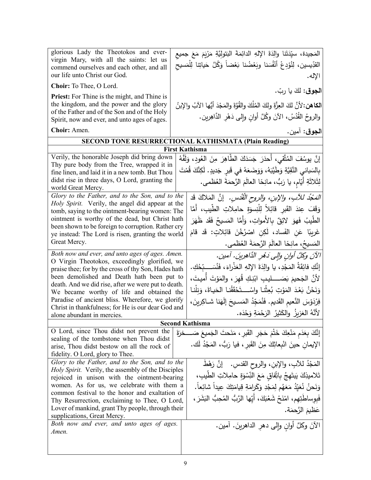| glorious Lady the Theotokos and ever-<br>virgin Mary, with all the saints: let us<br>commend ourselves and each other, and all<br>our life unto Christ our God.                                                                                                                                                                                                                                                                                                                                                                                                                                                                                                                                                                                                                                                                                                                                                                                                                                                    | المَجيدة، سيِّدَتَنا والِدَةَ الإِلهِ الدائِمَةَ البَتولِيَّةِ مَرْيَمَ مَعَ جميع<br>القدِّيسين، لِنُوْدِعْ أَنْفُسَنا وبَعْضُنا بَعْضاً وَكُلَّ حَياتِنا لِلْمَسيح<br>الإله.            |                                                                                                                                                                                                                                                                                                                                                                                                                                                                                                                                                                                                                                                                                                                                                                                                                                                                                                                                                                                              |  |
|--------------------------------------------------------------------------------------------------------------------------------------------------------------------------------------------------------------------------------------------------------------------------------------------------------------------------------------------------------------------------------------------------------------------------------------------------------------------------------------------------------------------------------------------------------------------------------------------------------------------------------------------------------------------------------------------------------------------------------------------------------------------------------------------------------------------------------------------------------------------------------------------------------------------------------------------------------------------------------------------------------------------|------------------------------------------------------------------------------------------------------------------------------------------------------------------------------------------|----------------------------------------------------------------------------------------------------------------------------------------------------------------------------------------------------------------------------------------------------------------------------------------------------------------------------------------------------------------------------------------------------------------------------------------------------------------------------------------------------------------------------------------------------------------------------------------------------------------------------------------------------------------------------------------------------------------------------------------------------------------------------------------------------------------------------------------------------------------------------------------------------------------------------------------------------------------------------------------------|--|
| Choir: To Thee, O Lord.                                                                                                                                                                                                                                                                                                                                                                                                                                                                                                                                                                                                                                                                                                                                                                                                                                                                                                                                                                                            |                                                                                                                                                                                          |                                                                                                                                                                                                                                                                                                                                                                                                                                                                                                                                                                                                                                                                                                                                                                                                                                                                                                                                                                                              |  |
| <b>Priest:</b> For Thine is the might, and Thine is<br>the kingdom, and the power and the glory<br>of the Father and of the Son and of the Holy<br>Spirit, now and ever, and unto ages of ages.                                                                                                                                                                                                                                                                                                                                                                                                                                                                                                                                                                                                                                                                                                                                                                                                                    | ا <b>لجوق</b> : لكَ يا ربّ.<br>الكاهن: لأنَّ لكَ العِزَّةَ ولكَ المُلْكَ والقُوَّةَ والمَجْدَ أَيُّها الآبُ والإبنُ<br>والروحُ القُدُسُ، الآنَ وكُلَّ أُوانِ وإِلَى دَهْرِ الدَّاهِرينِ. |                                                                                                                                                                                                                                                                                                                                                                                                                                                                                                                                                                                                                                                                                                                                                                                                                                                                                                                                                                                              |  |
| Choir: Amen.                                                                                                                                                                                                                                                                                                                                                                                                                                                                                                                                                                                                                                                                                                                                                                                                                                                                                                                                                                                                       |                                                                                                                                                                                          | ا <b>لجوق</b> : آمين.                                                                                                                                                                                                                                                                                                                                                                                                                                                                                                                                                                                                                                                                                                                                                                                                                                                                                                                                                                        |  |
|                                                                                                                                                                                                                                                                                                                                                                                                                                                                                                                                                                                                                                                                                                                                                                                                                                                                                                                                                                                                                    |                                                                                                                                                                                          | <b>SECOND TONE RESURRECTIONAL KATHISMATA (Plain Reading)</b><br><b>First Kathisma</b>                                                                                                                                                                                                                                                                                                                                                                                                                                                                                                                                                                                                                                                                                                                                                                                                                                                                                                        |  |
| Verily, the honorable Joseph did bring down<br>Thy pure body from the Tree, wrapped it in<br>fine linen, and laid it in a new tomb. But Thou<br>didst rise in three days, O Lord, granting the<br>world Great Mercy.<br>Glory to the Father, and to the Son, and to the<br>Holy Spirit. Verily, the angel did appear at the<br>tomb, saying to the ointment-bearing women: The<br>ointment is worthy of the dead, but Christ hath<br>been shown to be foreign to corruption. Rather cry<br>ye instead: The Lord is risen, granting the world<br>Great Mercy.<br>Both now and ever, and unto ages of ages. Amen.<br>O Virgin Theotokos, exceedingly glorified, we<br>praise thee; for by the cross of thy Son, Hades hath<br>been demolished and Death hath been put to<br>death. And we did rise, after we were put to death.<br>We became worthy of life and obtained the<br>Paradise of ancient bliss. Wherefore, we glorify<br>Christ in thankfulness; for He is our dear God and<br>alone abundant in mercies. |                                                                                                                                                                                          | إِنَّ يوسُفَ المُتَّقى، أَحدَرَ جَسَدَكَ الطَّاهِرَ مِنَ العُودِ، وَلَفَّهُ<br>بِالسَباني النَّقِيَّةِ وَطَيَّبَهُ، وَوَضَعَهُ في قَبرِ جَديدٍ. لَكِنَّكَ قُمْتَ<br>لِثَلاثَةِ أَيّامٍ، يا رَبُّ، مانِحًا العالَمَ الرَّحمَةَ العُظمى.<br><i>المَجْدُ للأبِ، والإبنِ، والروحِ الْقُدْسِ.</i> إنَّ المَلاكَ قَد<br>وَقَفَ عِندَ القَبرِ قائِلاً لِلْنِسوَةِ حامِلاتِ الطَّيبِ، أَمَّا<br>الطيبُ فَهوَ لائِقٌ بِالأَمواتِ، وَأَمَّا المَسيحُ فَقَد ظَهَرَ<br>غَرِيبًا عَنِ الفَساد، لَكِنِ اصْرُخْنَ قائِلاتٍ: قَد قامَ<br>المَسيحُ، مانِحًا العالَمَ الرَّحمَةَ العُظمى.<br>الآنَ وكلَّ أوانِ والِي دَهْرِ الدَّاهِرِينَ. آمين.<br>إِنَّكِ فائِقَةُ المَجْدِ، يا والِدَةَ اﻹلهِ العَذْراءَ، فَنُسَـــبّحُكِ.<br>لأنَّ الجَحيمَ بَصَـــــليبِ ابْنِـكِ ڤُهِرَ ، والمَوْتَ أَميتَ ،<br>وَنَحْنُ بَعْدَ المَوْتِ بُعِثْنا واسْـــتَحْقَقْنا الحَياةَ، وَنِلْنا<br>فِرْدَوْسَ النَّعيمِ القَديمِ. فَنُمَجِّدُ المَسـيحَ إِلَهَنا شــاكِرِينَ،<br>لأَنَّهُ العَزِيزُ والكَثيرُ الرَحْمَةِ وَحْدَه. |  |
|                                                                                                                                                                                                                                                                                                                                                                                                                                                                                                                                                                                                                                                                                                                                                                                                                                                                                                                                                                                                                    |                                                                                                                                                                                          | <b>Second Kathisma</b>                                                                                                                                                                                                                                                                                                                                                                                                                                                                                                                                                                                                                                                                                                                                                                                                                                                                                                                                                                       |  |
| O Lord, since Thou didst not prevent the<br>sealing of the tombstone when Thou didst<br>arise, Thou didst bestow on all the rock of<br>fidelity. O Lord, glory to Thee.                                                                                                                                                                                                                                                                                                                                                                                                                                                                                                                                                                                                                                                                                                                                                                                                                                            |                                                                                                                                                                                          | إِنَّكَ بِعَدَمٍ مَنْعِكَ خَثْمَ حَجَرٍ الْقَبْرِ ، مَنَحتَ الْجَميعَ صَــــــــــخرَةَ<br>الإيمان حينَ انْبعاثِكَ مِنَ القَبرِ ، فيا رَبُّ، المَجْدُ لَك.                                                                                                                                                                                                                                                                                                                                                                                                                                                                                                                                                                                                                                                                                                                                                                                                                                   |  |
| Glory to the Father, and to the Son, and to the<br><i>Holy Spirit.</i> Verily, the assembly of the Disciples<br>rejoiced in unison with the ointment-bearing<br>women. As for us, we celebrate with them a<br>common festival to the honor and exaltation of<br>Thy Resurrection, exclaiming to Thee, O Lord,<br>Lover of mankind, grant Thy people, through their<br>supplications, Great Mercy.<br>Both now and ever, and unto ages of ages.<br>Amen.                                                                                                                                                                                                                                                                                                                                                                                                                                                                                                                                                            |                                                                                                                                                                                          | الْمَجْدُ لْلْأَبِ، وْالْإِبْنِ، وْالروحِ الْقْدْسِ. ۚ إِنَّ رَهْطُ<br>تَلاميذِكَ يَبتَهِجُ بِاتِّفاقٍ مَعَ النِّسْوَةِ حامِلاتِ الطَّيبِ،<br>وَنَحنُ نُعَيّدُ مَعَهُم لِمَجْدِ وَكَرامَةِ قِيامَتِكَ عِيداً شائِعاً.<br>فَبوساطَتِهم، امْنَحْ شَعْبَكَ، أَيّها الرَّبُّ الْمُحِبُّ البَشَرَ ،<br>عَظْيمَ الرَّحمَة.<br>الآنَ وكُلَّ أُوانِ وَإِلَى دَهْرِ الْدَاهْرِينَ. أَمَيْنَ.                                                                                                                                                                                                                                                                                                                                                                                                                                                                                                                                                                                                          |  |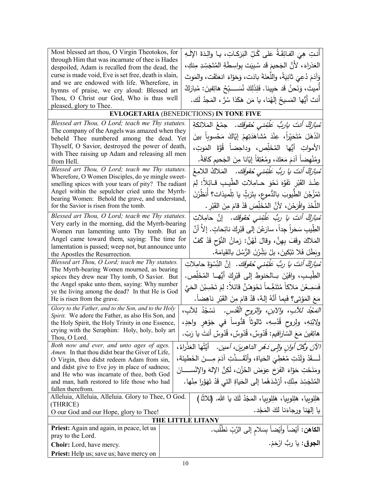| Most blessed art thou, O Virgin Theotokos, for<br>through Him that was incarnate of thee is Hades         | أَنتِ هِيَ الفائِقَةُ عَلى كُلِّ البَرَكاتِ، يـا والِدَةَ الإِلَـهِ                 |
|-----------------------------------------------------------------------------------------------------------|-------------------------------------------------------------------------------------|
| despoiled, Adam is recalled from the dead, the                                                            | العَذراءَ ، لأنَّ الجَحيمَ قَد سُبِيَت بِواسِطَةِ المُتَجَسِّدِ مِنكِ،              |
| curse is made void, Eve is set free, death is slain,                                                      | وَأَدَمَ دُعِيَ ثَانِيَةً، واللُّعنَةَ بادَت، وَحَوّاءَ انعَتَقَت، والمَوتَ         |
| and we are endowed with life. Wherefore, in                                                               |                                                                                     |
| hymns of praise, we cry aloud: Blessed art                                                                | أَميتَ، وَنَحنُ قَد حَيِينا. فَلِذَلِكَ نُسَـــبّحُ هاتِفينَ: مُبارَكٌ              |
| Thou, O Christ our God, Who is thus well                                                                  | أنتَ أيُّها المَسيحُ إلَهُنا، يا مَن هَكَذا سُرَّ ، المَجدُ لَك.                    |
| pleased, glory to Thee.                                                                                   |                                                                                     |
|                                                                                                           | <b>EVLOGETARIA (BENEDICTIONS) IN TONE FIVE</b>                                      |
| Blessed art Thou, O Lord; teach me Thy statutes.                                                          | ُ <i>مْبازڭْ أَنتَ ياربُّ عَلَّفِني خُقوقَك.</i> جمْعُ المَلائكةِ                   |
| The company of the Angels was amazed when they<br>beheld Thee numbered among the dead. Yet                | انْذَهَلَ مُتَحَيِّراً، عِنْدَ مُشاهَدَتِهِمْ إيّاكَ مَحْسوباً بينَ                 |
| Thyself, O Savior, destroyed the power of death,                                                          |                                                                                     |
| with Thee raising up Adam and releasing all men                                                           | الأمواتِ أَيُّها المُخَلِّص، وداحِضاً قُوَّةَ المَوتِ،                              |
| from Hell.                                                                                                | ومُنْهِضاً آدَمَ مَعَكَ، ومُعْتِقاً إيّانا مِنَ الجَحيم كافةً.                      |
| Blessed art Thou, O Lord; teach me Thy statutes.                                                          | مُ <i>بارَكٌ أنتَ يا ربُّ عَلَّفِنى حُقوقَك.</i> المَلاكُ اللامِعُ                  |
| Wherefore, O Women Disciples, do ye mingle sweet-<br>smelling spices with your tears of pity? The radiant | عِنْدَ الْقَبْرِ تَفَوَّهَ نَحْوَ حـامِلاتِ الطَّيـبِ قـائِلاً: لِمَ                |
| Angel within the sepulcher cried unto the Myrrh-                                                          |                                                                                     |
| bearing Women: Behold the grave, and understand,                                                          | تَمْزُجْنَ الطَّيوبَ بالدُّموعِ، بتَرَثِّ يا تِلْميذات؟ أَنظُرْنَ                   |
| for the Savior is risen from the tomb.                                                                    | اللَّحْدَ وافْرَحْنَ، لأَنَّ المُخَلِّصَ قَدْ قامَ مِنَ القَبْرِ .                  |
| Blessed art Thou, O Lord; teach me Thy statutes.                                                          | مُ <i>بازِكٌ أنتَ يا ربُّ عَلَّفِنى حُقوقَك.</i> إنَّ حامِلاتِ                      |
| Very early in the morning, did the Myrrh-bearing                                                          | الطِّيبِ سَحَراً جِداً، سارَعْنَ إلى قَبْرِكَ نائِحاتٍ. إلاّ أَنَّ                  |
| Women run lamenting unto Thy tomb. But an                                                                 |                                                                                     |
| Angel came toward them, saying: The time for<br>lamentation is passed; weep not, but announce unto        | المَلاكَ وقَفَ بِهِنَّ، وقالَ لَهُنَّ: زمانُ النَّوْحِ قَدْ كَفَّ                   |
| the Apostles the Resurrection.                                                                            | وبَطَلَ فَلا تَبْكينَ، بلْ بَشِّرْنَ الرُّسُلَ بِالْقِيامَةِ.                       |
| Blessed art Thou, O Lord; teach me Thy statutes.                                                          | ُ <i>مبارَكٌ أنتَ يا ربُّ عَلَّفِني حُقوقَك.</i> إنَّ النِّسْوَةَ حامِلاتِ          |
| The Myrrh-bearing Women mourned, as bearing                                                               |                                                                                     |
| spices they drew near Thy tomb, O Savior. But                                                             | الطِّيبِ، وافَيْنَ بــالحَنوطِ إلى قَبْرِكَ أَيُّهــا المُخَلِّص.                   |
| the Angel spake unto them, saying: Why number<br>ye the living among the dead? In that He is God          | فَسَمِـعْنَ مَلاكاً مُتَنَغِّـماً نَحْوَهُنَّ قائلاً: لِمَ تَحْسِبْنَ الْحَيَّ      |
| He is risen from the grave.                                                                               | مَعَ المَوْتي؟ فَبِما أَنَّهُ إِلهٌ، قَدْ قامَ مِنَ القَبْرِ ناهِضاً.               |
| Glory to the Father, and to the Son, and to the Holy                                                      | الصَجُد للأبِ، والابنِ، والتروح القُدُسِ. ۚ نَسْجُدُ لِلآبِ،                        |
| Spirit. We adore the Father, as also His Son, and                                                         |                                                                                     |
| the Holy Spirit, the Holy Trinity in one Essence,                                                         | ولِأَبْنِهِ، وَلِروحٍ قَدْسِهِ، ثَالُوثًا قَدَّوسًا في جَوْهِرٍ وَاحِدٍ،            |
| crying with the Seraphim: Holy, holy, holy art<br>Thou, O Lord.                                           | هاتِفينَ مَعَ السّارافيم: قُدّوسٌ، قُدّوسٌ، قُدّوسٌ أنتَ يا رَبّ.                   |
| Both now and ever, and unto ages of ages.                                                                 |                                                                                     |
| <i>Amen.</i> In that thou didst bear the Giver of Life,                                                   | الآنَ وكُلَّ أُوانِ وإلى دَهْرِ الدَاهِرِينَ، آمين. أَيَّتُها الْعَذْراءُ،          |
| O Virgin, thou didst redeem Adam from sin,                                                                | لْـــقَدْ وَلَدْتِ مُعْطِيَ الْحَياة، وأَنْقَـــذْتِ آدَمَ مِـــنَ الْخَطْيئة،      |
| and didst give to Eve joy in place of sadness;                                                            | ومَنَحْتِ حَوّاءَ الفَرَحَ عِوَضَ الحُزْنِ، لَكِنَّ الإِلهَ والإِنْســــانَ         |
| and He who was incarnate of thee, both God                                                                |                                                                                     |
| and man, hath restored to life those who had<br>fallen therefrom.                                         | الْمُتَجَسِّدَ مِنْكِ، أَرْشَدَهُما إِلَى الْحَياةِ الَّتِي قَدْ تَهَوَّرِا مِنْها. |
| Alleluia, Alleluia, Alleluia. Glory to Thee, O God.                                                       | هَلِلوبِيا، هَلِلوبِيا، هَلِلوبِيا، المَجْدُ لَكَ يا الله. (ثلاثًا )                |
| (THRICE)                                                                                                  |                                                                                     |
| O our God and our Hope, glory to Thee!                                                                    | يا إلهَنا ورجاءَنا لكَ المَجْد.                                                     |
|                                                                                                           | THE LITTLE LITANY                                                                   |
| Priest: Again and again, in peace, let us                                                                 | ا <b>لكاهن:</b> أَيْضاً وأَيْضاً بِسَلامِ إلى الرَّبِّ نَطْلُب.                     |
| pray to the Lord.                                                                                         | ا <b>لجوق</b> : يا ربُّ ارْحَمْ.                                                    |
| Choir: Lord, have mercy.                                                                                  |                                                                                     |
| <b>Priest:</b> Help us; save us; have mercy on                                                            |                                                                                     |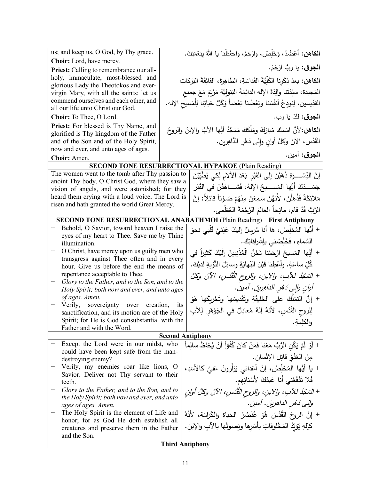| us; and keep us, O God, by Thy grace.                                                                      | الكاهن: أَعْضُدْ، وَخَلِّصْ، وارْحَمْ، واحفَظْنا يا اللهُ بِنِعْمَتِكَ.                  |
|------------------------------------------------------------------------------------------------------------|------------------------------------------------------------------------------------------|
| Choir: Lord, have mercy.                                                                                   |                                                                                          |
| <b>Priest:</b> Calling to remembrance our all-                                                             | ا <b>لجوق</b> : يا ربُّ ارْحَمْ.                                                         |
| holy, immaculate, most-blessed and                                                                         | ا <b>لكاهن:</b> بعدَ ذِكْرِنا الكُلِّيَّةَ القَداسَةِ، الطاهِرَةَ، الفائِقَةَ البَرَكاتِ |
| glorious Lady the Theotokos and ever-<br>virgin Mary, with all the saints: let us                          | المَجيدة، سيِّدَتَنا والِدَةَ الإِلهِ الدائِمَةَ البَتولِيَّةِ مَرْيَمَ مَعَ جميع        |
| commend ourselves and each other, and                                                                      | القدِّيسين، لِنودِعْ أنفُسَنا وبَعْضُنا بَعْضاً وَكُلَّ حَياتِنا لِلْمَسيح الإله.        |
| all our life unto Christ our God.                                                                          |                                                                                          |
| Choir: To Thee, O Lord.                                                                                    | ا <b>لجوق</b> : لكَ يا رب.                                                               |
| Priest: For blessed is Thy Name, and<br>glorified is Thy kingdom of the Father                             | ا <b>لكاهن:</b> 'لأنَّ اسْمَكَ مُبارَكٌ ومُلْكَكَ مُمَجَّدٌ أيُّها الآبُ والإبنُ والروحُ |
| and of the Son and of the Holy Spirit,                                                                     | الْقُدُس، الآنَ وكلَّ أُوانِ وإلى دَهْرِ الدَّاهِرين.                                    |
| now and ever, and unto ages of ages.                                                                       |                                                                                          |
| Choir: Amen.                                                                                               | ا <b>لجوق</b> : آمين.                                                                    |
|                                                                                                            | <b>SECOND TONE RESURRECTIONAL HYPAKOE (Plain Reading)</b>                                |
| The women went to the tomb after Thy passion to                                                            | إِنَّ النِّسْــــوَةَ ذَهَبْنَ إِلَى القَبْرِ بَعْدَ الآلامِ لِكِي يُطَيِّبْنَ           |
| anoint Thy body, O Christ God, where they saw a<br>vision of angels, and were astonished; for they         | جَسَـــدَكَ أَيُّها المَســــيحُ اﻹلهُ، فَشـــــاهَدْنَ فـى القَبْر                      |
| heard them crying with a loud voice, The Lord is                                                           | مَلائِكَةً فَذُهِلْنَ، لأَنَهُّنَ سَمِعْنَ مِنْهُمْ صَـوْتاً قائلِاً: إِنَّ              |
| risen and hath granted the world Great Mercy.                                                              | الرَّبَّ قَدْ قامَ، مانِحاً العالَمَ الرَّحْمَةَ العُظْمي.                               |
|                                                                                                            | <b>SECOND TONE RESURRECTIONAL ANABATHMOI (Plain Reading) First Antiphony</b>             |
| Behold, O Savior, toward heaven I raise the<br>$+$                                                         | + أَيُّها المُخَلِّصُ، ها أنا مُرسِلٌ إليكَ عَيْنَيْ قَلْبِي نحوَ                        |
| eyes of my heart to Thee. Save me by Thine                                                                 |                                                                                          |
| illumination.                                                                                              | السَّماءِ، فَخَلِّصْني بإشْراقاتِك.                                                      |
| O Christ, have mercy upon us guilty men who<br>$^{+}$<br>transgress against Thee often and in every        | + أَيُّها المَسيحُ ارْحَمْنا نَحْنُ الْمُذْنِبِينَ إِلَيْكَ كَثيراً في                   |
| hour. Give us before the end the means of                                                                  | كُلِّ ساعَةٍ. وأَعْطِنا قَبْلَ النِّهايَةِ وسائِلَ التَّوْبِةِ لديْكَ.                   |
| repentance acceptable to Thee.                                                                             | + المَجْدُ للآبِ، والإبنِ، والروح الْقُدُسِ، الآنَ وكلَّ                                 |
| Glory to the Father, and to the Son, and to the<br>$^{+}$<br>Holy Spirit; both now and ever, and unto ages | أوانِ وإلى دَهْرِ الداهرِينَ. آمين.                                                      |
| of ages. Amen.                                                                                             | + إنَّ النَّمَلَّكَ على الخَليقَةِ وتَقْديسَها وتَحْرِيكَها هُوَ                         |
| Verily, sovereignty over creation, its<br>$^{+}$                                                           |                                                                                          |
| sanctification, and its motion are of the Holy                                                             | لِلروحِ القُدُسِ، لأنهُ إلهٌ مُعادِلٌ في الْجَوْهَرِ لِلآبِ                              |
| Spirit; for He is God consubstantial with the                                                              | والكَلِمةِ.                                                                              |
| Father and with the Word.                                                                                  | <b>Second Antiphony</b>                                                                  |
| Except the Lord were in our midst, who<br>$^{+}$                                                           | + لَوْ لَمْ يَكُنِ الرَّبُّ مَعَنا فَمَنْ كانَ كُفْؤاً أَنْ يُحْفَظَ سالِماً             |
| could have been kept safe from the man-                                                                    |                                                                                          |
| destroying enemy?                                                                                          | مِنَ العَدُقِ قاتِلِ الإِنْسانِ.                                                         |
| Verily, my enemies roar like lions, O<br>$^+$                                                              | + يا أيُّها المُخَلِّصُ، إنَّ أعْدائي يَزأَرونَ عَليَّ كالأَسَدِ،                        |
| Savior. Deliver not Thy servant to their<br>teeth.                                                         | فَلا تَذْفَعْني أَنا عَبِدَكَ لأَسْنانِهِم.                                              |
| Glory to the Father, and to the Son, and to<br>$^{+}$                                                      | + المَجْدُ للآبِ، والابنِ، والروح الْقُدُسِ، الآنَ وكلَّ أُوانِ                          |
| the Holy Spirit; both now and ever, and unto<br>ages of ages. Amen.                                        | والِي دَهْرِ الداهرينَ. آمين.                                                            |
| The Holy Spirit is the element of Life and<br>$^{+}$                                                       | + إِنَّ الروحَ القُدُسَ هُوَ عُنْصُرُ الحَياةِ والكَرامَة، لأنَّهُ                       |
| honor; for as God He doth establish all                                                                    | كَإِلَهٍ يُؤَيِّدُ المَخْلُوقَاتِ بِأَسْرِهَا ويَصونُها بِالآبِ والإِبنِ.                |
| creatures and preserve them in the Father<br>and the Son.                                                  |                                                                                          |
|                                                                                                            | <b>Third Antiphony</b>                                                                   |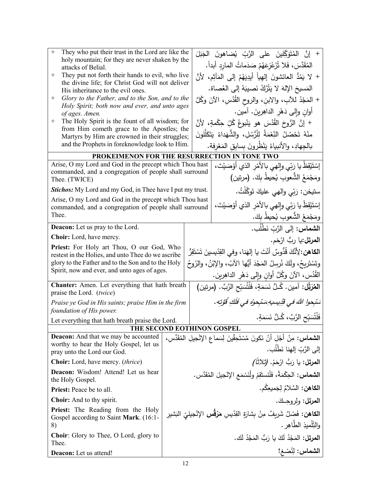| They who put their trust in the Lord are like the<br>holy mountain; for they are never shaken by the<br>attacks of Belial.<br>They put not forth their hands to evil, who live<br>$^+$<br>the divine life; for Christ God will not deliver<br>His inheritance to the evil ones. |  |                                                                                    |                                                          | + إِنَّ الْمُتَوَكِّلِينَ على الرَّبّ يُضاهونَ الْجَبَلَ<br>المُقَدَّسَ، فَلا تُزَعْزِعَهُمْ صَدَماتُ الماردِ أبداً.<br>+ لا يَمُدُّ العائشونَ إلهِياً أيدِيَهُمْ إلى المَآثِم، لأنَّ<br>المَسيحَ الإِلهَ لا يَتْرُكُ نَصيبَهُ إِلى العُصاة. |  |
|---------------------------------------------------------------------------------------------------------------------------------------------------------------------------------------------------------------------------------------------------------------------------------|--|------------------------------------------------------------------------------------|----------------------------------------------------------|----------------------------------------------------------------------------------------------------------------------------------------------------------------------------------------------------------------------------------------------|--|
| Glory to the Father, and to the Son, and to the<br>$^+$<br>Holy Spirit; both now and ever, and unto ages                                                                                                                                                                        |  |                                                                                    | + المَجْدُ للأبِ، والابنِ، والروح القُدُسِ، الآنَ وكُلَّ |                                                                                                                                                                                                                                              |  |
| of ages. Amen.                                                                                                                                                                                                                                                                  |  |                                                                                    |                                                          | أوان وإلى دَهْرِ الداهِرينَ. آمين.                                                                                                                                                                                                           |  |
| The Holy Spirit is the fount of all wisdom; for<br>$^{+}$<br>from Him cometh grace to the Apostles; the                                                                                                                                                                         |  | + إِنَّ الرُّوحَ القُدُسَ هو يَنْبوعُ كُلِّ حِكْمةٍ، لأَنَّ                        |                                                          |                                                                                                                                                                                                                                              |  |
| Martyrs by Him are crowned in their struggles;                                                                                                                                                                                                                                  |  | منْهُ تَحْصُلُ النِّعْمَةُ لِلْرُّسُلِ، والشُّهَداءُ يَتَكَلَّلونَ                 |                                                          |                                                                                                                                                                                                                                              |  |
| and the Prophets in foreknowledge look to Him.                                                                                                                                                                                                                                  |  |                                                                                    |                                                          | بالجهادِ، والأنبياءُ يَنْظُرونَ بسابق المَعْرفة.                                                                                                                                                                                             |  |
| PROKEIMENON FOR THE RESURRECTION IN TONE TWO                                                                                                                                                                                                                                    |  |                                                                                    |                                                          |                                                                                                                                                                                                                                              |  |
| Arise, O my Lord and God in the precept which Thou hast<br>commanded, and a congregation of people shall surround                                                                                                                                                               |  |                                                                                    |                                                          | إِسْتَيْقِظُ يا رَبِّي وإِلْهِي بِالْأَمْرِ الذي أَوْصَيْتَ،                                                                                                                                                                                 |  |
| Thee. (TWICE)                                                                                                                                                                                                                                                                   |  |                                                                                    |                                                          | ومَجْمَعُ الشَّعوبِ يُحيطُ بكَ. (مرتين)                                                                                                                                                                                                      |  |
| <b>Stichos:</b> My Lord and my God, in Thee have I put my trust.                                                                                                                                                                                                                |  |                                                                                    |                                                          | ستيخن: رَبِّي والهي عليكَ تَوكَّلْتُ.                                                                                                                                                                                                        |  |
| Arise, O my Lord and God in the precept which Thou hast<br>commanded, and a congregation of people shall surround                                                                                                                                                               |  |                                                                                    |                                                          | إِسْتَيْقِظْ يا رَبِّي وإِلهي بالأَمْرِ الذي أَوْصَيْتَ،                                                                                                                                                                                     |  |
| Thee.                                                                                                                                                                                                                                                                           |  |                                                                                    |                                                          | ومَجْمَعُ الشَّعوبِ يُحيطُ بكَ.                                                                                                                                                                                                              |  |
| <b>Deacon:</b> Let us pray to the Lord.                                                                                                                                                                                                                                         |  |                                                                                    |                                                          | ا <b>لشماس:</b> إلى الرَّبّ نَطْلُب.                                                                                                                                                                                                         |  |
| Choir: Lord, have mercy.                                                                                                                                                                                                                                                        |  | ا <b>لمرتل:</b> يا ربُّ ارْحَم.                                                    |                                                          |                                                                                                                                                                                                                                              |  |
| Priest: For Holy art Thou, O our God, Who                                                                                                                                                                                                                                       |  | ا <b>لكاهن:</b> لِأَنَّكَ قُدُّوسٌ أَنْتَ يا إِلهَنا، وفي القِدِّيسينَ تَسْتَقِرُّ |                                                          |                                                                                                                                                                                                                                              |  |
| restest in the Holies, and unto Thee do we ascribe<br>glory to the Father and to the Son and to the Holy                                                                                                                                                                        |  | وتَسْتَرِيحُ، ولَكَ نُرسِلُ المَجْدَ أَيُّها الآبُ، والإِبْنُ، والرّوحُ            |                                                          |                                                                                                                                                                                                                                              |  |
| Spirit, now and ever, and unto ages of ages.                                                                                                                                                                                                                                    |  | الْقُدُس، الْأَنَ وَكُلَّ أُوانِ وإِلَى دَهْرِ الداهِرين.                          |                                                          |                                                                                                                                                                                                                                              |  |
| Chanter: Amen. Let everything that hath breath                                                                                                                                                                                                                                  |  |                                                                                    |                                                          | ا <b>لمُرَتِّل:</b> آمين. كُـلُّ نَسَمَةٍ، فَلْتُسَبِّحِ الرَّبَّ. (مرتين)                                                                                                                                                                   |  |
| praise the Lord. (twice)                                                                                                                                                                                                                                                        |  |                                                                                    |                                                          |                                                                                                                                                                                                                                              |  |
| Praise ye God in His saints; praise Him in the firm<br>foundation of His power.                                                                                                                                                                                                 |  |                                                                                    |                                                          | سَبْحوا اللهَ في قَدِيسِيهِ سَبْحوهُ في فَلَكِ قُوَّتِه .                                                                                                                                                                                    |  |
| Let everything that hath breath praise the Lord.                                                                                                                                                                                                                                |  | فَلْتُسَبِّحِ الرَّبَّ، كُـلُّ نَسَمَةٍ.                                           |                                                          |                                                                                                                                                                                                                                              |  |
| THE SECOND EOTHINON GOSPEL                                                                                                                                                                                                                                                      |  |                                                                                    |                                                          |                                                                                                                                                                                                                                              |  |
| Deacon: And that we may be accounted<br>worthy to hear the Holy Gospel, let us                                                                                                                                                                                                  |  |                                                                                    |                                                          | ا <b>لشماس:</b> مِنْ أَجْلِ أَنْ نَكونَ مُسْتَحِقِّينَ لِسَماعِ الإِنْجِيلِ المُقَدَّسِ،                                                                                                                                                     |  |
| pray unto the Lord our God.                                                                                                                                                                                                                                                     |  |                                                                                    |                                                          | إلى الرَّبِّ إلهنا نَطْلُبٍ.                                                                                                                                                                                                                 |  |
| Choir: Lord, have mercy. (thrice)                                                                                                                                                                                                                                               |  |                                                                                    |                                                          | ا <b>لمرتل:</b> يا رَبُّ ارْحَمْ. <i>(ثلاثاً)</i>                                                                                                                                                                                            |  |
| Deacon: Wisdom! Attend! Let us hear<br>the Holy Gospel.                                                                                                                                                                                                                         |  |                                                                                    |                                                          | ا <b>لشماس:</b> الحِكْمَةُ، فَلْنَستَقِمْ ولْنَسْمَعِ الإِنْجِيلَ المُقَدَّس.                                                                                                                                                                |  |
| Priest: Peace be to all.                                                                                                                                                                                                                                                        |  |                                                                                    |                                                          | ا <b>لكاهن:</b> السَّلامُ لِجَميعِكُم.                                                                                                                                                                                                       |  |
| <b>Choir:</b> And to thy spirit.                                                                                                                                                                                                                                                |  |                                                                                    |                                                          | المرتل: ولروحِكَ.                                                                                                                                                                                                                            |  |
| <b>Priest:</b> The Reading from the Holy<br>Gospel according to Saint Mark. (16:1-                                                                                                                                                                                              |  |                                                                                    |                                                          | ا <b>لكاهن:</b> فَصْلٌ شَريفٌ مِنْ بِشارَةِ القِدّيسِ <b>مَرْقَس</b> ِ الإِنْجيليِّ البَشيرِ                                                                                                                                                 |  |
| 8)                                                                                                                                                                                                                                                                              |  |                                                                                    |                                                          | والتِّلْميذِ الطَّاهِرِ .                                                                                                                                                                                                                    |  |
| <b>Choir:</b> Glory to Thee, O Lord, glory to<br>Thee.                                                                                                                                                                                                                          |  |                                                                                    |                                                          | ا <b>لمرتل:</b> المَجْدُ لَكَ يا رَبُّ المَجْدُ لَك.                                                                                                                                                                                         |  |
| Deacon: Let us attend!                                                                                                                                                                                                                                                          |  |                                                                                    |                                                          | الشماس: لِنُصْغ!                                                                                                                                                                                                                             |  |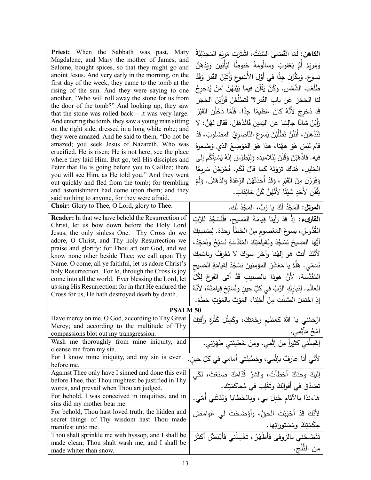| Priest: When the Sabbath was past, Mary                                                                             | ا <b>لكاهن:</b> لَمّا انْقَضى السَّبْتُ، اشْتَرَت مَريَمُ المَجدَلِيَّةُ                 |
|---------------------------------------------------------------------------------------------------------------------|------------------------------------------------------------------------------------------|
| Magdalene, and Mary the mother of James, and<br>Salome, bought spices, so that they might go and                    | وَمَرِيَمُ أَمُّ يَعْقوبَ وَسالُومَةُ حَنوطًا لِيَأْتِينَ وَيَدْهَنَّ                    |
| anoint Jesus. And very early in the morning, on the                                                                 |                                                                                          |
| first day of the week, they came to the tomb at the                                                                 | يَسوع. وَبَكَّرْنَ جِدًّا في أَوَّلِ الأَسْبوعِ وَأَتَيْنَ القَبرَ وَقَدْ                |
| rising of the sun. And they were saying to one                                                                      | طَلَعَتِ الشَّمْسِ. وَكُنَّ يَقُلْنَ فيما بَيْنَهُنَّ "مَنْ يُدَحرِجُ                    |
| another, "Who will roll away the stone for us from                                                                  | لَنا الحَجَرَ  عَن بابِ  القَبرِ ؟" فَتَطَلّعْنَ  فَرَأَيْنَ  الحَجَرَ                   |
| the door of the tomb?" And looking up, they saw                                                                     |                                                                                          |
| that the stone was rolled back $-$ it was very large.                                                               | قَد دُحْرِجَ لأَنَّهُ كانَ عَظيمًا جِدًّا. فَلَمّا دَخَلْنَ القَبْرَ                     |
| And entering the tomb, they saw a young man sitting                                                                 | رَأَيْنَ شابًّا جالِسًا عَنِ النِمينِ فَانْذَهَلنَ. فَقالَ لَهُنَّ: لا                   |
| on the right side, dressed in a long white robe; and<br>they were amazed. And he said to them, "Do not be           | تَنْذَهِلنَ، أَنْثُنَّ تَطْلُبْنَ يَسوعَ النّاصِرِيَّ المَصْلوبَ، قَدْ                   |
| amazed; you seek Jesus of Nazareth, Who was                                                                         |                                                                                          |
| crucified. He is risen; He is not here; see the place                                                               | قامَ لَيْسَ هُوَ هَهُنا، هَذا هُوَ المَوْضِعُ الذي وَضَعوهُ                              |
| where they laid Him. But go, tell His disciples and                                                                 | فيه. فاذْهَبْنَ وَقُلْنَ لِتَلاميذِهِ وَلِبُطْرُسَ إِنَّهُ يَسْبِقُكُم إِل <sub>َى</sub> |
| Peter that He is going before you to Galilee; there                                                                 | الْجَلِيلِ، هُناكَ تَرَوْنَهُ كَما قالَ لَكُم. فَخَرَجْنَ سَرِيعًا                       |
| you will see Him, as He told you." And they went                                                                    | وَفَرَرْنَ مِنَ القَبْرِ ، وَقَدْ أَخَذَتْهُنَ الرِّعْدَةُ والدَّهَشُ. وَلَمْ            |
| out quickly and fled from the tomb; for trembling                                                                   |                                                                                          |
| and astonishment had come upon them; and they<br>said nothing to anyone, for they were afraid.                      | يَقُلْنَ لأَحَدٍ شَيْئًا لأَنَّهُنَّ كُنَّ خائِفاتٍ.                                     |
| Choir: Glory to Thee, O Lord, glory to Thee.                                                                        | ا <b>لمرتل:</b> المَجْدُ لَكَ يا رَبُّ، المَجْدُ لَك.                                    |
| Reader: In that we have beheld the Resurrection of                                                                  | ا <b>لقارىء :</b> إذْ قَدْ رأينا قِيامَةَ المَسيح، فَلْنَسْجُدْ لِلرَّبِّ                |
| Christ, let us bow down before the Holy Lord                                                                        |                                                                                          |
| Jesus, the only sinless One. Thy Cross do we                                                                        | القُدُّوسِّ، يَسوعَ المَعْصومِ مِنَ الخَطَأَ وحدَهُ. لِصَليبِكَ                          |
| adore, O Christ, and Thy holy Resurrection we                                                                       | أَيُّها المَسيحُ نَسْجُدُ ولقِيامَتِكَ المُقَدَّسَةِ نُسَبِّحُ ونُمَجِّدُ،               |
| praise and glorify: for Thou art our God, and we                                                                    |                                                                                          |
| know none other beside Thee; we call upon Thy                                                                       | لأَنَّكَ أَنتَ هو إلهُنا وآخَرَ سواكَ لا نَعْرِفُ وبِاسْمِكَ                             |
| Name. O come, all ye faithful, let us adore Christ's                                                                | نُسَمّي. هَلَمَّ يا مَعْشَرَ المؤمنينَ نَسْجُدْ لِقيامَةِ المَسيح                        |
| holy Resurrection. For lo, through the Cross is joy<br>come into all the world. Ever blessing the Lord, let         | المُقَدَّسة، لأنَّ هوذا بالصليبِ قَدْ أتى الفَرَحُ لِكُلِّ                               |
| us sing His Resurrection: for in that He endured the                                                                |                                                                                          |
| Cross for us, He hath destroyed death by death.                                                                     | العالَم. لِنُبارِكِ الرَّبَّ في كلِّ حينٍ ونُسَبِّحْ قِيامَتَهُ، لأَنَّهُ                |
|                                                                                                                     | إِذِ احْتَمَلَ الصَّلْبَ مِنْ أَجْلِنا، المَوْتَ بالمَوْتِ حَطَّمْ.                      |
| <b>PSALM 50</b>                                                                                                     |                                                                                          |
| ارْحَمْني يا اللهُ كعظيم رَحْمَتِكَ، وَكَمِثْلِ كَثْرَةِ رَأفتِكَ   Have mercy on me, O God, according to Thy Great |                                                                                          |
| Mercy; and according to the multitude of Thy                                                                        |                                                                                          |
| compassions blot out my transgression.                                                                              | امْحُ مَأْثِمي.                                                                          |
| Wash me thoroughly from mine iniquity, and<br>cleanse me from my sin.                                               |                                                                                          |
| For I know mine iniquity, and my sin is ever                                                                        |                                                                                          |
| before me.                                                                                                          | لأُنِّي أنا عارفٌ بإثْمي، وخَطيئَتي أمامي في كلِّ حينٍ.                                  |
| Against Thee only have I sinned and done this evil                                                                  | إليكَ وحدَكَ أخطأتُ، والشرَّ قُدَّامَكَ صَنَعْتُ، لكَي                                   |
| before Thee, that Thou mightest be justified in Thy                                                                 |                                                                                          |
| words, and prevail when Thou art judged.                                                                            | تَصْدُقَ في أقوالِكَ وتَغْلِبَ في مُحاكَمَتِك.                                           |
| For behold, I was conceived in iniquities, and in                                                                   | هاءنذا بالآثام حُبِلَ بي، وبالخَطايا وَلَدَتْني أَمّي.                                   |
| sins did my mother bear me.                                                                                         |                                                                                          |
| For behold, Thou hast loved truth; the hidden and                                                                   | لأَنَّكَ قَدْ أَحْبَبْتَ الحقَّ، وأَوْضَحْتَ ل <sub>َى</sub> غَوامِضَ                    |
| secret things of Thy wisdom hast Thou made                                                                          | حِكْمَتِكَ ومَسْتوراتِها.                                                                |
| manifest unto me.                                                                                                   |                                                                                          |
| Thou shalt sprinkle me with hyssop, and I shall be<br>made clean; Thou shalt wash me, and I shall be                | تَنْضَحُني بالزوفي فأطْهُرُ ، تَغْسِلُني فأبْيَضُ أكثَرَ                                 |
| made whiter than snow.                                                                                              | مِنَ الثَّلُج.                                                                           |
|                                                                                                                     |                                                                                          |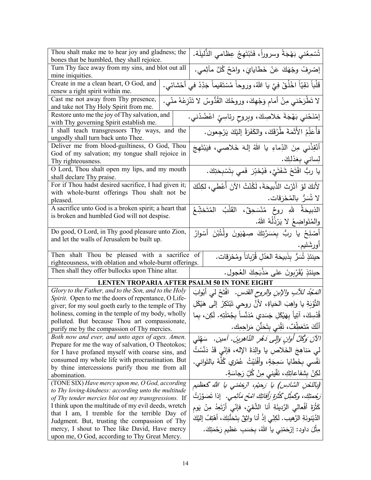| Thou shalt make me to hear joy and gladness; the<br>bones that be humbled, they shall rejoice. | تُسْمِعُني بَهْجَةً وسروراً، فَتَبْتَهِجُ عِظامي الذَّليلَة.                        |  |  |
|------------------------------------------------------------------------------------------------|-------------------------------------------------------------------------------------|--|--|
| Turn Thy face away from my sins, and blot out all                                              |                                                                                     |  |  |
| mine iniquities.                                                                               | إِصْرِفْ وِجْهَكَ عَنْ خَطَايايَ، وامْحُ كُلَّ مأْثِمي.                             |  |  |
| Create in me a clean heart, O God, and                                                         | قَلْباً نَقِيّاً اخْلُقْ فِيَّ يا اللهُ، وروحاً مُسْتَقيماً جَدِّدْ في أَحْشائي.    |  |  |
| renew a right spirit within me.                                                                |                                                                                     |  |  |
| Cast me not away from Thy presence,<br>and take not Thy Holy Spirit from me.                   | لا تَطْرَحْني مِنْ أمام وَجْهِكَ، وروحُكَ القُدُوسُ لا تَنْزِعْهُ منّي.             |  |  |
| Restore unto me the joy of Thy salvation, and                                                  | إمْنَحْني بَهْجَةَ خلاصِكَ، وبِروحِ رِئاسِيِّ اعْضُدْني.                            |  |  |
| with Thy governing Spirit establish me.                                                        |                                                                                     |  |  |
| I shall teach transgressors Thy ways,<br>and the<br>ungodly shall turn back unto Thee.         | فأُعَلِّمُ الأَثَمَةَ طُرُقَكَ، والكَفَرَةُ إليْكَ يَرْجِعون.                       |  |  |
| Deliver me from blood-guiltiness, O God, Thou                                                  | أَنْقِذْني مِنَ الدِّماءِ يا اللهُ إلهَ خَلاصي، فيَبْتَهِجَ                         |  |  |
| God of my salvation; my tongue shall rejoice in                                                |                                                                                     |  |  |
| Thy righteousness.                                                                             | لِساني بِعَدْلِكَ.                                                                  |  |  |
| O Lord, Thou shalt open my lips, and my mouth<br>shall declare Thy praise.                     | يا ربُّ افْتَحْ شَفَتَىَّ، فَيُخَبِّرَ فَمى بِتَسْبِحَتِكَ.                         |  |  |
| For if Thou hadst desired sacrifice, I had given it;                                           |                                                                                     |  |  |
| with whole-burnt offerings Thou shalt not be                                                   | لِأَنكَ لَوْ آثَرْتَ الذَّبِيحَةَ، لَكُنْتُ الآنَ أُعْطَي، لكِنَّكَ                 |  |  |
| pleased.                                                                                       | لا تُسَرُّ بالمُحْرَقات.                                                            |  |  |
| A sacrifice unto God is a broken spirit; a heart that                                          | الذبيحَةُ للهِ روحٌ مُنْسَجِقٌ، القَلْبُ المُتَخشِّعُ                               |  |  |
| is broken and humbled God will not despise.                                                    | والمُتَواضِعُ لا يَرْذُلُهُ اللهُ.                                                  |  |  |
|                                                                                                |                                                                                     |  |  |
| Do good, O Lord, in Thy good pleasure unto Zion,                                               | أَصْلِحْ يا ربُّ بِمَسَرَّتِكَ صِهْيَونَ ولْتُبْنَ أَسْوارُ                         |  |  |
| and let the walls of Jerusalem be built up.                                                    | أورشَليم.                                                                           |  |  |
| Then shalt Thou be pleased with a sacrifice of                                                 | حينئذٍ شُبَرٌ بِذَبِيحَةِ العَذْلِ قُرْبِاناً ومُحْرَقات.                           |  |  |
| righteousness, with oblation and whole-burnt offerings.                                        |                                                                                     |  |  |
| Then shall they offer bullocks upon Thine altar.                                               | حينئذٍ يُقَرِّبونَ على مَذْبَحِكَ العُجول.                                          |  |  |
| <b>LENTEN TROPARIA AFTER PSALM 50 IN TONE EIGHT</b>                                            |                                                                                     |  |  |
| Glory to the Father, and to the Son, and to the Holy                                           | <i>المَعْبُد للأبِ والإبنِ والروح القدّسِ.</i> افْتَحْ لمي أبْوابَ                  |  |  |
| Spirit. Open to me the doors of repentance, O Life-                                            |                                                                                     |  |  |
| giver; for my soul goeth early to the temple of Thy                                            | التَّوْبَةِ يا واهِبَ الحَياةِ، لأنَّ روحي تَبْتَكِرُ إلى هَيْكَلِ                  |  |  |
| holiness, coming in the temple of my body, wholly                                              | قُدْسِكَ، آتِياً بِهَيْكَلِ جَسَدي مُدَنَّساً بِجُمْلَتِهِ. لَكِن، بما              |  |  |
| polluted. But because Thou art compassionate,                                                  |                                                                                     |  |  |
| purify me by the compassion of Thy mercies.                                                    | ِ أَنَّكَ مُتَعَطِّفٌ، نَقِّنى بِتَحَنُّنِ مَراحِمِك.                               |  |  |
| Both now and ever, and unto ages of ages. Amen.                                                | الآنَ وَكُلَّ أُوانٍ وَالِي دَهْرِ الدَّاهِرِينَ. آمين.   سَقِلي                    |  |  |
| Prepare for me the way of salvation, O Theotokos;                                              | لى مَناهِجَ الخَلاصِ يا والِدَةَ الإِله، فإنّي قَدْ دَنَّسْتُ                       |  |  |
| for I have profaned myself with coarse sins, and                                               |                                                                                     |  |  |
| consumed my whole life with procrastination. But                                               | نَفْسى بخَطايا سَمِجَةٍ، وأَفْنَيْتُ عُمْرِي كُلَّهُ بِالتَواني.                    |  |  |
| by thine intercessions purify thou me from all<br>abomination.                                 | لكِنْ بِشفاعاتِكِ، نَقَّيني مِنْ كُلِّ رَجاسَةٍ.                                    |  |  |
| (TONE SIX) Have mercy upon me, O God, according                                                | (باللحْن السَّادِس) يا رَحيُم، ارْجَمْني يا الله كعظيم                              |  |  |
| to Thy loving-kindness: according unto the multitude                                           |                                                                                     |  |  |
| of Thy tender mercies blot out my transgressions. If                                           | رَحْمتِكَ، وكَمثِلِ كُثْرَةِ رَأَفاتِكَ امْحُ مَآثِمِي. ۖ إِذا نَصَوَّرْتُ          |  |  |
| I think upon the multitude of my evil deeds, wretch                                            | كَثْرَةَ أَفْعالـى الرَّديئَةِ أنا الشَّقـىّ، فإنّـى أرْتَعِدُ مِنْ يَوم            |  |  |
| that I am, I tremble for the terrible Day of<br>Judgment. But, trusting the compassion of Thy  | الدَّيْنونَةِ الرَّهيبِ. لَكِنِّي إِذْ أَنا واثِقٌ بِتَحَنُّنِكَ، أَهْتِفُ إِلَيْكَ |  |  |
| mercy, I shout to Thee like David, Have mercy                                                  | مِثْلَ داود: إرْحَمْنِي يا اللهُ، بِحَسَبِ عَظيمِ رَحْمَتِكَ.                       |  |  |
| upon me, O God, according to Thy Great Mercy.                                                  |                                                                                     |  |  |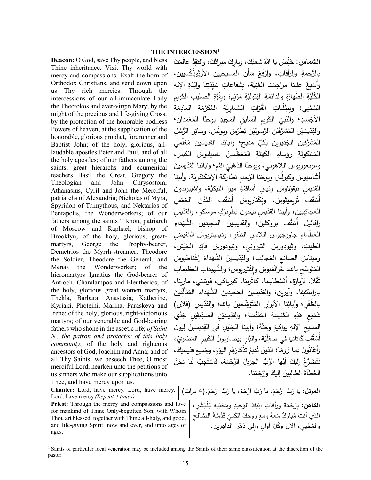| <b>THE INTERCESSION<sup>1</sup></b>                                                         |  |                                                                                            |  |
|---------------------------------------------------------------------------------------------|--|--------------------------------------------------------------------------------------------|--|
| Deacon: O God, save Thy people, and bless                                                   |  | <b>الشماس:</b> خَلِّصْ يا اللهُ شعبَكَ، وباركْ ميراثَكَ، وافتقِدْ عالَمَكَ                 |  |
| Thine inheritance. Visit Thy world with                                                     |  |                                                                                            |  |
| mercy and compassions. Exalt the horn of                                                    |  | بالرَّحمةِ والرأفاتِ، وارْفَعْ شأنَ المسيحيينَ الأرثوذُكْسيين،                             |  |
| Orthodox Christians, and send down upon                                                     |  | وأَسْبِغْ علينا مراحِمَكَ الغَنِيَّة، بِشَفاعاتِ سَيِّدَتِنا والِدَةِ الإِلْهِ             |  |
| us Thy rich mercies. Through the                                                            |  | الْكَٰلِّيَّةِ الطَّهارَةِ والدائِمَةِ البَتولِيَّةِ مَرْيَمٍ؛ وبِقُوَّةِ الصليبِ الكَريمِ |  |
| intercessions of our all-immaculate Lady                                                    |  |                                                                                            |  |
| the Theotokos and ever-virgin Mary; by the                                                  |  | المُحْيى؛ وبطِلْباتِ القُوّاتِ السَّماوِيَّةِ المُكَرَّمَةِ العادِمَةِ                     |  |
| might of the precious and life-giving Cross;<br>by the protection of the honorable bodiless |  | الأجْسادِ؛ والنَّبيِّ الكَريمِ السابِقِ المَجيدِ يوحنّا المَعْمَدانِ؛                      |  |
| Powers of heaven; at the supplication of the                                                |  | والقِدّيسَيْنِ المُشَرَّفَيْنِ الرَّسولَيْنِ بُطْرُسَ وبولَسَ، وسائِرِ الرُّسُلِ           |  |
| honorable, glorious prophet, forerunner and                                                 |  |                                                                                            |  |
| Baptist John; of the holy, glorious, all-                                                   |  | الْمُشَرَّفِينَ الْجَديرِينَ بِكُلِّ مَديحِ؛ وآبائِنا القِدِّيسينَ مُعَلَّمـِي             |  |
| laudable apostles Peter and Paul, and of all                                                |  | الْمَسْكُونَةِ رؤساءِ الْكَهَنَةِ الْمُعَظّْمِينَ بِاسْلِيوسَ الْكبيرِ،                    |  |
| the holy apostles; of our fathers among the                                                 |  |                                                                                            |  |
| saints, great hierarchs and ecumenical                                                      |  | وغريغوريوسَ اللاهوتي، ويوحَنّا الذَهَبِيّ الفَم؛ وآبائِنا القِدّيسينَ                      |  |
| teachers Basil the Great, Gregory the                                                       |  | أَثَناسيوسَ وكيرلِّسَ وبِوحَنا الرَّحيم بَطاركَةِ الإِسْكَنْدَرِيَّة، وأبينا               |  |
| Theologian and John Chrysostom;                                                             |  | القِديسِ نيقولِاوسَ رَئِيسِ أَساقِفَةِ ميرا الليكِيَّة، واسْبيريدونَ                       |  |
| Athanasius, Cyril and John the Merciful,                                                    |  |                                                                                            |  |
| patriarchs of Alexandria; Nicholas of Myra,<br>Spyridon of Trimythous, and Nektarios of     |  | أَسْقُفِ تْرِيمِيثوسَ، ونِكْتارِيوسَ أَسْقُفِ المُدُنِ الْخَمْسِ                           |  |
| Pentapolis, the Wonderworkers; of our                                                       |  | العَجائِبِيين، وأبينا القدّيس تيخون بَطْرِيَرْكِ موسكو ، والقدّيس                          |  |
| fathers among the saints Tikhon, patriarch                                                  |  | رافائيل أَسْقُفِ بروكلين؛ والقديسِينَ المجيدينَ الشَّهَداءِ                                |  |
| of Moscow and Raphael, bishop of                                                            |  |                                                                                            |  |
| Brooklyn; of the holy, glorious, great-                                                     |  | العُظَماءِ جاورجيوسَ اللابِسِ الظفرِ ، وديميتربوسَ المُفيضِ                                |  |
| martyrs, George the Trophy-bearer,<br>Demetrios the Myrrh-streamer, Theodore                |  | الطيبَ، وثيودورسَ التيروني، وثيودورسَ قائِدِ الْجَيْش،                                     |  |
| the Soldier, Theodore the General, and                                                      |  | وميناسَ الصانِعِ العَجائِبِ؛ والقِدّيسينَ الشُّهَداءَ إغْناطِيوسَ                          |  |
| the Wonderworker; of the<br>Menas                                                           |  | المُتَوَشِّح بالله، خَرالَمْبوسَ والِفْثيريوس؛ والشُّهيداتِ العَظيماتِ                     |  |
| hieromartyrs Ignatius the God-bearer of                                                     |  | تَقْلا، بَرْبِارَة، أَنَسْطَاسِيا، كَاتْرِينا، كَيرِياكي، فوتيني، مارينا،                  |  |
| Antioch, Charalampos and Eleutherios; of                                                    |  |                                                                                            |  |
| the holy, glorious great women martyrs,<br>Thekla, Barbara, Anastasia, Katherine,           |  | باراسكيفا، وآيرين؛ والقِدّيسينَ المَجيدينَ الشَّهَداءِ المُتَأَلِّقِينَ                    |  |
| Kyriaki, Photeini, Marina, Paraskeva and                                                    |  | بالظَفَرِ ؛ وأبائِنا الأبرار المُتَوَشِّحينَ بالله؛ والقدّيس (فلان)                        |  |
| Irene; of the holy, glorious, right-victorious<br>martyrs; of our venerable and God-bearing |  | شَفيع هَذِهِ الكَنيسَةِ المُقَدَّسَة؛ والقِدِّيسَيْنِ الصدِّيقَيْنِ جَدَّي                 |  |
| fathers who shone in the ascetic life; of Saint                                             |  | المسيح الإلهِ يواكيمَ وحَنَّةَ؛ وأَبِينا الجَليلِ في القِديسينَ لِيونَ                     |  |
| N., the patron and protector of this holy                                                   |  | أَسْقُفِ كَاتانيا في صِقِلِّيَة، والبَّارِ بِيصارِيونَ الكَبيرِ المَصْرِيِّ،               |  |
| <i>community</i> ; of the holy and righteous                                                |  | وأَغَاثُونَ بابا رُومَا؛ الذينَ نُقيمُ تَذْكارَهُم اليَوْمَ، وجَميع قِدّيسيكَ،             |  |
| ancestors of God, Joachim and Anna; and of<br>all Thy Saints: we beseech Thee, O most       |  |                                                                                            |  |
| merciful Lord, hearken unto the petitions of                                                |  | نَتَضَرَّعُ إِلَيكَ أَيُّها الرَّبُّ الْجزيلُ الرَّحْمَةِ، فَاسْتَجِبْ لَٰذا نَحْنُ        |  |
| us sinners who make our supplications unto                                                  |  | الخَطَأَةَ الطالِبينَ إليكَ وارْحَمْنا.                                                    |  |
| Thee, and have mercy upon us.                                                               |  |                                                                                            |  |
| Chanter: Lord, have mercy. Lord, have mercy.                                                |  | ا <b>لمرتل:</b> يا رَبُّ ارْحَمْ، يا رَبُّ ارْحَمْ، يا رَبُّ ارْحَمْ. (4 مرات)             |  |
| Lord, have mercy.(Repeat 4 times)                                                           |  |                                                                                            |  |
| <b>Priest:</b> Through the mercy and compassions and love                                   |  | ا <b>لكاهن:</b> برَحْمَةِ ورَأفاتِ ابْنِكَ الوَحيدِ ومَحَبَّتِهِ لِلْبَشَرِ ،              |  |
| for mankind of Thine Only-begotten Son, with Whom                                           |  | الذي أنتَ مُبارَكٌ مَعَهُ ومعَ روحِكَ الكُلِّيِّ قُدْسُهُ الصَّالِح                        |  |
| Thou art blessed, together with Thine all-holy, and good,                                   |  |                                                                                            |  |
| and life-giving Spirit: now and ever, and unto ages of<br>ages.                             |  | والمُحْيي، الآنَ وكُلَّ أُوانٍ وإِلَى دَهْرِ الداهِرينِ.                                   |  |
|                                                                                             |  |                                                                                            |  |

<span id="page-14-0"></span><sup>&</sup>lt;sup>1</sup> Saints of particular local veneration may be included among the Saints of their same classification at the discretion of the pastor.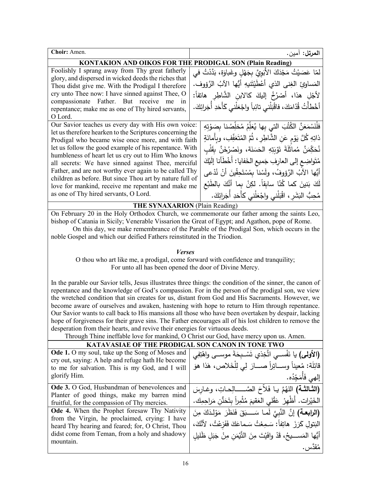| Choir: Amen.                                                                                                                                                                                                                                                                                                                                                                                                                                                                                                                                                       | المرتل: آمين.                                                                                                                                                                                                                                                                                                                                                                                                                                                              |  |  |
|--------------------------------------------------------------------------------------------------------------------------------------------------------------------------------------------------------------------------------------------------------------------------------------------------------------------------------------------------------------------------------------------------------------------------------------------------------------------------------------------------------------------------------------------------------------------|----------------------------------------------------------------------------------------------------------------------------------------------------------------------------------------------------------------------------------------------------------------------------------------------------------------------------------------------------------------------------------------------------------------------------------------------------------------------------|--|--|
| <b>KONTAKION AND OIKOS FOR THE PRODIGAL SON (Plain Reading)</b>                                                                                                                                                                                                                                                                                                                                                                                                                                                                                                    |                                                                                                                                                                                                                                                                                                                                                                                                                                                                            |  |  |
| Foolishly I sprang away from Thy great fatherly<br>glory, and dispersed in wicked deeds the riches that<br>Thou didst give me. With the Prodigal I therefore<br>cry unto Thee now: I have sinned against Thee, O<br>compassionate Father. But receive me in<br>repentance; make me as one of Thy hired servants,<br>O Lord.                                                                                                                                                                                                                                        | لمّا عَصَيْتُ مَجْدَكَ الأَبَوِيَّ بِجَهْلٍ وغَباوَة، بَدَّدْتُ في<br>المَساوِئِ الغِني الذي أَعْطَيْتَنِيهِ أَيُّها الآبُ الرَّؤوف.<br>لأَجْلِ هذا، أَصْرُخُ إِليكَ كالآبن الشَّاطِرِ هاتفاً:<br>أَخْطَأْتُ قُدّامَكَ، فاقْبَلْني تائِباً واجْعَلْني كَأَحَدِ أَجَرائِكَ.                                                                                                                                                                                                 |  |  |
| Our Savior teaches us every day with His own voice:<br>let us therefore hearken to the Scriptures concerning the<br>Prodigal who became wise once more, and with faith<br>let us follow the good example of his repentance. With<br>humbleness of heart let us cry out to Him Who knows<br>all secrets: We have sinned against Thee, merciful<br>Father, and are not worthy ever again to be called Thy<br>children as before. But since Thou art by nature full of<br>love for mankind, receive me repentant and make me<br>as one of Thy hired servants, O Lord. | فلْنَسْمَعَنَّ الكُتُبَ التي بها يُعَلِّمُ مُخلِّصُنا بِصَوْتِهِ<br>ذاتِهِ كُلَّ يَوْم عَنِ الشَّاطِرِ ، ثُمَّ المُتَعَفِّفِ، وبأَمانَةٍ<br>نُحَكِّمَنَّ مُماثَلَةَ تَوْبَتِهِ الحَسَنَة، ونَصْرُخَنَّ بقَلْبِ<br>مُتَواضِعٍ إلى العارِفِ جَميعٍ الخَفايا: أَخْطَأنا إِلَيْكَ<br>أَيُّها الآبُ الرَّؤوفُ، ولَسْنا بِمُسْتَحِقِّينَ أَنْ نُدْعِي<br>لَكَ بَنينَ كما كُنّا سابقاً. لكِنْ بما أنَّكَ بالطَّبْع<br>مُحِبٌ النِّشَرِ ، اقْبَلْني واجْعَلْني كأَحَدِ أَجَرائِكَ. |  |  |
| <b>THE SYNAXARION</b> (Plain Reading)                                                                                                                                                                                                                                                                                                                                                                                                                                                                                                                              |                                                                                                                                                                                                                                                                                                                                                                                                                                                                            |  |  |

On February 20 in the Holy Orthodox Church, we commemorate our father among the saints Leo, bishop of Catania in Sicily; Venerable Vissarion the Great of Egypt; and Agathon, pope of Rome.

On this day, we make remembrance of the Parable of the Prodigal Son, which occurs in the noble Gospel and which our deified Fathers reinstituted in the Triodion.

*Verses*

O thou who art like me, a prodigal, come forward with confidence and tranquility; For unto all has been opened the door of Divine Mercy.

In the parable our Savior tells, Jesus illustrates three things: the condition of the sinner, the canon of repentance and the knowledge of God's compassion. For in the person of the prodigal son, we view the wretched condition that sin creates for us, distant from God and His Sacraments. However, we become aware of ourselves and awaken, hastening with hope to return to Him through repentance. Our Savior wants to call back to His mansions all those who have been overtaken by despair, lacking hope of forgiveness for their grave sins. The Father encourages all of his lost children to remove the desperation from their hearts, and revive their energies for virtuous deeds.

Through Thine ineffable love for mankind, O Christ our God, have mercy upon us. Amen.

| NATAVASIAE VE THE ENVIJKAL SVN VANVN IN TVNE TWV                                                            |                                                                             |  |  |
|-------------------------------------------------------------------------------------------------------------|-----------------------------------------------------------------------------|--|--|
| <b>Ode 1.</b> O my soul, take up the Song of Moses and<br>cry out, saying: A help and refuge hath He become | (الأولى) يا نَفْســى اتَّخِذي تَسْــبحَةَ موســى واهْتِفِي                  |  |  |
| to me for salvation. This is my God, and I will                                                             | قائِلَة: مُعيناً وســـاتِراً صــــارَ لِـي لِلْـخَلاص، هَذا هوَ             |  |  |
| glorify Him.                                                                                                | إلهي فَأَمَجِّدُه.                                                          |  |  |
| <b>Ode 3.</b> O God, Husbandman of benevolences and                                                         | (ا <b>لثـالثـة)</b> اللهُمَّ يـا فَلاَّحَ الصَّـــــالِحـاتِ، وغـارسَ       |  |  |
| Planter of good things, make my barren mind                                                                 | الخَيْرات. أَظْهِرْ عَقْلي العَقيمَ مُثْمِراً بتَحَنُّن مَراحِمِك.          |  |  |
| fruitful, for the compassion of Thy mercies.                                                                |                                                                             |  |  |
| Ode 4. When the Prophet foresaw Thy Nativity                                                                | (ا <b>لرابعـة)</b> إنَّ النَّبيَّ لَمـا سَـــبَقَ فَنَظَرَ مَوْلَـدَكَ مِنَ |  |  |
| from the Virgin, he proclaimed, crying: I have                                                              |                                                                             |  |  |
| heard Thy hearing and feared; for, O Christ, Thou                                                           | البَتولِ كَرَزَ ۖ هاتِفاً: سَـمِعْتُ سَـماعَكَ فَفَرْعْتُ، لأَنَّكَ،        |  |  |
| didst come from Teman, from a holy and shadowy                                                              | أَيُّها المَســـيحُ، قَدْ وافَيْتَ مِنَ التَّيْمَنِ مِنْ جَبَلِ ظَليلٍ      |  |  |
| mountain.                                                                                                   | مُقدَّس                                                                     |  |  |
|                                                                                                             |                                                                             |  |  |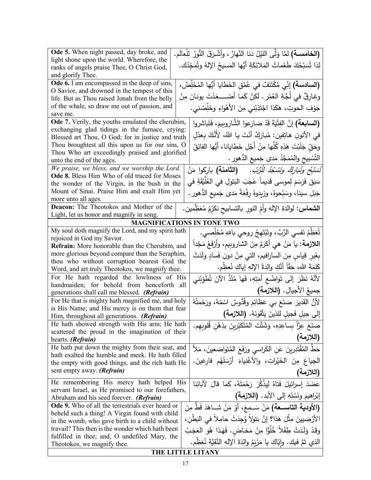| Ode 5. When night passed, day broke, and                                                       | (الخامســة) لمَّا وَلَّـى اللَّيْلُ دَنا النَّهارُ ، وأشْـرَقَ النُّورُ لِلْعالَمِ. |  |  |
|------------------------------------------------------------------------------------------------|-------------------------------------------------------------------------------------|--|--|
| light shone upon the world. Wherefore, the                                                     | لِذا شُبَحُكَ طَغَماتُ المَلائِكَةِ أَيُّها المَسيحُ الإِلهُ وتُمَجِّدُك.           |  |  |
| ranks of angels praise Thee, O Christ God,<br>and glorify Thee.                                |                                                                                     |  |  |
| Ode 6. I am encompassed in the deep of sins,                                                   |                                                                                     |  |  |
| O Savior, and drowned in the tempest of this                                                   | (السادسة) إِنِّي مُكْتَنَفٌ في عُمْقِ الخَطايا أَيُّها المُخَلِّصُ،                 |  |  |
| life. But as Thou raised Jonah from the belly                                                  | وغارِقٌ في لُجَّةِ العُمْرِ . لَكِنْ كَما أَصْــــعَدْتَ يونانَ مِنْ                |  |  |
| of the whale, so draw me out of passion, and                                                   | جَوْفِ الحوتِ، هَكَذَا اجْتَذِبْني مِنَ الأهْواءِ وخَلِّصْني.                       |  |  |
| save me.                                                                                       |                                                                                     |  |  |
| Ode 7. Verily, the youths emulated the cherubim,                                               | (ا <b>لسابعة)</b> إنَّ الفِتْيَةَ قَدْ ضارَعوا الشَّاروبيمَ، فَتَباشَروا            |  |  |
| exchanging glad tidings in the furnace, crying:                                                |                                                                                     |  |  |
| Blessed art Thou, O God; for in justice and truth                                              | في الأتونِ هاتِفين: مُبارَكٌ أَنْتَ يا اللهُ، لأَنَّكَ بِعَدْلِ                     |  |  |
| Thou broughtest all this upon us for our sins, O                                               | وِحَقّ جَلَبْتَ هَذِهِ كُلَّها مِنْ أَجْلِ خَطايانا، أَيُّها الفائِقُ               |  |  |
| Thou Who art exceedingly praised and glorified                                                 | التَّسْبيح والمُمَجَّدُ مَدى جَميع الدُّهور .                                       |  |  |
| unto the end of the ages.                                                                      |                                                                                     |  |  |
| We praise, we bless, and we worship the Lord.<br>Ode 8. Bless Him Who of old traced for Moses  | <i>َنَسَبَّحٍ وَنُباركُ وَنَسْجُدُ لِلْرَّبِّ.</i> (ا <b>نثامنة)</b> باركوا مَنْ    |  |  |
| the wonder of the Virgin, in the bush in the                                                   | سَبَقَ فَرَسَمَ لِموسى قَديماً عَجَبَ البَتولِ في العُلَّيْقَةِ في                  |  |  |
| Mount of Sinai. Praise Him and exalt Him yet                                                   | جَبَلِ سينا، وسَبِّحوهُ، وزيدوهُ رِفْعَةً مَدى جَميع الدُّهور .                     |  |  |
| more unto all ages.                                                                            |                                                                                     |  |  |
| Deacon: The Theotokos and Mother of the                                                        | ا <b>لشماس:</b> لوالدَةِ الإلهِ وأمِّ النورِ بالتسابيح نكرِّمُ مُعَظِّمين.          |  |  |
| Light, let us honor and magnify in song.                                                       |                                                                                     |  |  |
|                                                                                                | <b>MAGNIFICATIONS IN TONE TWO</b>                                                   |  |  |
| My soul doth magnify the Lord, and my spirit hath                                              | تُعَظِّمُ نَفسي الرَّبَّ، وتَبْتَهِجُ روحي باللهِ مُخَلِّصي.                        |  |  |
| rejoiced in God my Savior.                                                                     |                                                                                     |  |  |
| <b>Refrain:</b> More honorable than the Cherubim, and                                          | ا <b>للازمة:</b> يا مَنْ هي أكرَمُ مِنَ الشاروبِيم، وأَرْفَعُ مَجْداً               |  |  |
| more glorious beyond compare than the Seraphim,                                                | بِغَيرِ قِياسٍ مِنَ الساراِفيمِ، التي مِنْ دونِ فَسادٍ وَلَدَتْ                     |  |  |
| thou who without corruption bearest God the<br>Word, and art truly Theotokos, we magnify thee. | كَلِمَةَ الله، حَقًّا أَنَّكِ والدةُ الإِلهِ إياكِ نُعظِّم.                         |  |  |
| For He hath regarded the lowliness of His                                                      |                                                                                     |  |  |
| handmaiden; for behold from henceforth all                                                     | لأَنَّهُ نَظَرَ إلى تَواضُعٍ أَمَتِهِ، فَها مُنْذُ الآنَ تُطَوِّبُني                |  |  |
| generations shall call me blessed. (Refrain)                                                   | جميعُ الأجيالِ. (اللازمة)                                                           |  |  |
| For He that is mighty hath magnified me, and holy                                              | لأنَّ القَديرَ صَنَعَ بي عَظائِمَ وقُدُّوسٌ اسْمُهُ، ورَحْمَتُهُ                    |  |  |
| is His Name; and His mercy is on them that fear                                                |                                                                                     |  |  |
| Him, throughout all generations. (Refrain)                                                     | إلى جيلِ فَجيلِ للذينَ يَتَّقونَهُ. (اللازمة)                                       |  |  |
| He hath showed strength with His arm; He hath                                                  | صَنَعَ عِزّاً بساعِدِهِ، وَشَتَّتَ المُتَكَبِّرينَ بذِهْنِ قُلوبِهِم.               |  |  |
| scattered the proud in the imagination of their                                                |                                                                                     |  |  |
| hearts. (Refrain)                                                                              | (اللازمة)                                                                           |  |  |
| He hath put down the mighty from their seat, and                                               | حَطٌّ المُقْتَدِرِينَ عَنِ الكَراسي ورَفَعَ المُتَواضعينَ، مَلأُ                    |  |  |
| hath exalted the humble and meek. He hath filled                                               | الْجِياعَ مِنَ الْخَيْرِاتِ، والأَغْنِياءَ أَرْسَلَهُم فَارِغِينَ.                  |  |  |
| the empty with good things, and the rich hath He<br>sent empty away. (Refrain)                 |                                                                                     |  |  |
|                                                                                                | (اللازمة)                                                                           |  |  |
| He remembering His mercy hath helped His                                                       | عَضَدَ إسرائيلَ فَتاهُ لِيذْكُرَ رَحْمَتَهُ، كما قالَ لآبائِنا                      |  |  |
| servant Israel, as He promised to our forefathers,                                             | إبْراهيمَ ونَسْلِهِ إلى الأبد. (اللازمة)                                            |  |  |
| Abraham and his seed forever. (Refrain)<br>Ode 9. Who of all the terrestrials ever heard or    |                                                                                     |  |  |
| beheld such a thing! A Virgin found with child                                                 | (الأودية التاسـعة) مَنْ سَـمِعَ، أَوْ مَنْ شَــاهَدَ قَطُّ مِنَ                     |  |  |
| in the womb, who gave birth to a child without                                                 | الأَرْضِيينَ مِثْلَ هَذا؟ إنَّ بَتولاً وُجِدَتْ حامِلاً في البَطنِ،                 |  |  |
| travail? This then is the wonder which hath been                                               | وقَدْ وَلَدَتْ طِفْلاً خُلُوًّا مِنْ مَخاض. فَهَذا هُوَ العَجَبُ                    |  |  |
| fulfilled in thee; and, O undefiled Mary, the                                                  | الذي تَمَّ فيكِ. وإِيّاكِ يا مَرْبَعُ والِدَةَ الإِلهِ النَّقِيَّةَ نُعَظِّم.       |  |  |
| Theotokos, we magnify thee.                                                                    |                                                                                     |  |  |
| THE LITTLE LITANY                                                                              |                                                                                     |  |  |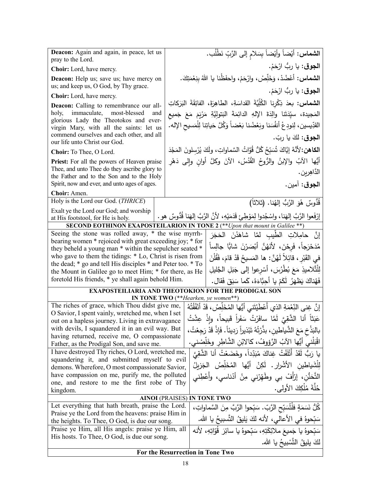| Deacon: Again and again, in peace, let us<br>pray to the Lord.                                                                                                                                                                                                                                                                                                                                                                                                                                                                                                     | ال <b>شماس:</b> أيْضاً وأيْضاً بِسَلامِ إلى الرَّبِّ نَطْلُب.                                                                                                                                                                                                                                                                                                                                                                                                                                                                                                                                          |  |
|--------------------------------------------------------------------------------------------------------------------------------------------------------------------------------------------------------------------------------------------------------------------------------------------------------------------------------------------------------------------------------------------------------------------------------------------------------------------------------------------------------------------------------------------------------------------|--------------------------------------------------------------------------------------------------------------------------------------------------------------------------------------------------------------------------------------------------------------------------------------------------------------------------------------------------------------------------------------------------------------------------------------------------------------------------------------------------------------------------------------------------------------------------------------------------------|--|
| Choir: Lord, have mercy.                                                                                                                                                                                                                                                                                                                                                                                                                                                                                                                                           | ا <b>لجوق</b> : يا ربُّ ارْحَمْ.                                                                                                                                                                                                                                                                                                                                                                                                                                                                                                                                                                       |  |
| Deacon: Help us; save us; have mercy on<br>us; and keep us, O God, by Thy grace.                                                                                                                                                                                                                                                                                                                                                                                                                                                                                   | ا <b>لشماس:</b> أَعْضُدْ، وَخَلِّصْ، وارْحَمْ، واحفَظْنا يا اللهُ بِنِعْمَتِكَ.                                                                                                                                                                                                                                                                                                                                                                                                                                                                                                                        |  |
| <b>Choir:</b> Lord, have mercy.                                                                                                                                                                                                                                                                                                                                                                                                                                                                                                                                    | ا <b>لجوق</b> : يا ربُّ ارْحَمْ.                                                                                                                                                                                                                                                                                                                                                                                                                                                                                                                                                                       |  |
| Deacon: Calling to remembrance our all-<br>immaculate,<br>most-blessed<br>holy,<br>and<br>glorious Lady the Theotokos and ever-<br>virgin Mary, with all the saints: let us<br>commend ourselves and each other, and all<br>our life unto Christ our God.                                                                                                                                                                                                                                                                                                          | ا <b>لشماس:</b> بعدَ ذِكْرِنا الكُلِّيَّةَ القداسَةِ، الطاهِرَةَ، الفائِقَةَ البَرَكاتِ<br>المَجيدة، سيِّدَتَنا والِدَةَ الإِلهِ الدائِمَةَ البَتولِيَّةِ مَرْيَمَ مَعَ جَميعِ<br>القدِّيسين، لِنودِعْ أنفُسَنا وبَعْضُنا بَعْضاً وَكُلَّ حَياتِنا لِلْمَسيحِ الإله.<br>الجوق: لكَ يا ربّ.                                                                                                                                                                                                                                                                                                             |  |
| Choir: To Thee, O Lord.                                                                                                                                                                                                                                                                                                                                                                                                                                                                                                                                            | الكاهن: لأنَّهُ إِيَّاكَ شُبَبِّحُ كُلُّ قُوَّاتُ السَّماواتِ، ولَكَ يُرْسِلونَ المَجْدَ                                                                                                                                                                                                                                                                                                                                                                                                                                                                                                               |  |
| Priest: For all the powers of Heaven praise<br>Thee, and unto Thee do they ascribe glory to<br>the Father and to the Son and to the Holy<br>Spirit, now and ever, and unto ages of ages.                                                                                                                                                                                                                                                                                                                                                                           | أَيُّها الآبُ والإِبنُ والرُّوحُ القُدُسُ، الآنَ وكلَّ أوانٍ وإلى دَهْرِ<br>الدَّاهِرِينِ.<br>ا <b>لجوق</b> : آمين.                                                                                                                                                                                                                                                                                                                                                                                                                                                                                    |  |
| Choir: Amen.<br>Holy is the Lord our God. (THRICE)                                                                                                                                                                                                                                                                                                                                                                                                                                                                                                                 |                                                                                                                                                                                                                                                                                                                                                                                                                                                                                                                                                                                                        |  |
|                                                                                                                                                                                                                                                                                                                                                                                                                                                                                                                                                                    | قُدُّوسٌ هُوَ الرَّبُّ إلهُنا. (ثلاثاً)                                                                                                                                                                                                                                                                                                                                                                                                                                                                                                                                                                |  |
| Exalt ye the Lord our God; and worship<br>at His footstool, for He is holy.                                                                                                                                                                                                                                                                                                                                                                                                                                                                                        | إِرْفَعوا الرَّبَّ إِلهَنا، واسْجُدوا لِمَوْطِئٍ قَدَمَيْهِ، لأَنَّ الرَّبَّ إِلهَنا قُدُّوسٌ هو .                                                                                                                                                                                                                                                                                                                                                                                                                                                                                                     |  |
|                                                                                                                                                                                                                                                                                                                                                                                                                                                                                                                                                                    | SECOND EOTHINON EXAPOSTEILARION IN TONE 2 (**Vpon that mount in Galilee **)                                                                                                                                                                                                                                                                                                                                                                                                                                                                                                                            |  |
| Seeing the stone was rolled away, * the wise myrrh-<br>bearing women * rejoiced with great exceeding joy; * for                                                                                                                                                                                                                                                                                                                                                                                                                                                    | إِنَّ   حامِلاتِ   الطَّيبِ   لمَّا   شاهَدْنَ   الحَجَرَ                                                                                                                                                                                                                                                                                                                                                                                                                                                                                                                                              |  |
| they beheld a young man * within the sepulcher seated *                                                                                                                                                                                                                                                                                                                                                                                                                                                                                                            | مُدَحْرَجاً، فَرِحْنَ، لأَنَهُنَّ أَبْصَرْنَ شابًّا جالِساً                                                                                                                                                                                                                                                                                                                                                                                                                                                                                                                                            |  |
| who gave to them the tidings: * Lo, Christ is risen from<br>the dead; * go and tell His disciples * and Peter too. * To<br>the Mount in Galilee go to meet Him; * for there, as He<br>foretold His friends, * ye shall again behold Him.                                                                                                                                                                                                                                                                                                                           | في القَبْرِ ، قَائِلاً لَهُنَّ: ها المَسيحُ قَدْ قامَ، فَقُلْنَ<br>لِلْتَّلاميذِ مَعَ بُطْرُسَ، أَسْرِعوا إِلَى جَبَلِ الجَّليلِ<br>فَهُناكَ يَظْهَرُ لَكَمْ يا أَحِبَّاءَهُ، كَما سَبَقَ فَقال.                                                                                                                                                                                                                                                                                                                                                                                                       |  |
| <b>EXAPOSTEILIARIA AND THEOTOKION FOR THE PRODIGAL SON</b>                                                                                                                                                                                                                                                                                                                                                                                                                                                                                                         |                                                                                                                                                                                                                                                                                                                                                                                                                                                                                                                                                                                                        |  |
| The riches of grace, which Thou didst give me,<br>O Savior, I spent vainly, wretched me, when I set<br>out on a hapless journey. Living in extravagance<br>with devils, I squandered it in an evil way. But<br>having returned, receive me, O compassionate<br>Father, as the Prodigal Son, and save me.<br>I have destroyed Thy riches, O Lord, wretched me,<br>squandering it, and submitted myself to evil<br>demons. Wherefore, O most compassionate Savior,<br>have compassion on me, purify me, the polluted<br>one, and restore to me the first robe of Thy | IN TONE TWO (**Hearken, ye women**)<br>إِنَّ غِنـى النِّعْمَةِ الذي أَعْطَيْتَني أَيُّها المُخَلِّصُ، قَدْ أَنْفْقْتُهُ<br>عَبَثاً أنا الشَّقِيَّ لَمَّا سافَرْتُ سَفَراً قَبيحاً، وإذْ عِشْتُ<br>بالبَذْخِ مَعَ الشَّياطينِ، بذَّرْتُهُ تَبْذيراً رَدِيئاً. فَإِذْ قَدْ رَجِعْتُ،<br>اقْبَلْنِي أَيُّها الآبُ الرَّؤوفُ، كالابْنِ الشَّاطِرِ وخَلِّصْنِي.<br>يا رَبُّ لَقَدْ أَتْلَفْتُ غِناكَ مُبَدِّداً، وخَضَعْتُ أنا الشَّقِيَّ<br>لِلْشَياطين الأَشْرارِ . لَكِنْ أَيُّها الْمُخَلِّصُ الجَزِيلُ<br>التَّحَنُّنِ، إِرْأَفْ بِي وطَهِّرْنِي مِنْ أَدْناسي، وأَعْطِني<br>حُلَّةَ مُلْكِكَ الأُولى. |  |
| kingdom.<br><b>AINOI</b> (PRAISES) IN TONE TWO                                                                                                                                                                                                                                                                                                                                                                                                                                                                                                                     |                                                                                                                                                                                                                                                                                                                                                                                                                                                                                                                                                                                                        |  |
| Let everything that hath breath, praise the Lord.                                                                                                                                                                                                                                                                                                                                                                                                                                                                                                                  | كُلُّ نَسَمَةٍ فَلْثُسَبِّحِ الرَّبِّ. سَبِّحوا الرَّبَّ مِنَ السَّماواتِ،                                                                                                                                                                                                                                                                                                                                                                                                                                                                                                                             |  |
| Praise ye the Lord from the heavens: praise Him in                                                                                                                                                                                                                                                                                                                                                                                                                                                                                                                 |                                                                                                                                                                                                                                                                                                                                                                                                                                                                                                                                                                                                        |  |
| the heights. To Thee, O God, is due our song.                                                                                                                                                                                                                                                                                                                                                                                                                                                                                                                      | سَبّحوهُ في الأعالى، لأنه لكَ يَليقُ النَّسبيحُ يا الله.                                                                                                                                                                                                                                                                                                                                                                                                                                                                                                                                               |  |
| Praise ye Him, all His angels: praise ye Him, all                                                                                                                                                                                                                                                                                                                                                                                                                                                                                                                  | سَبِّحوهُ يا جَميعَ ملائِكَتِهِ، سَبّحوهُ يا سائِرَ قُوّاتِهِ، لأنه                                                                                                                                                                                                                                                                                                                                                                                                                                                                                                                                    |  |
| His hosts. To Thee, O God, is due our song.                                                                                                                                                                                                                                                                                                                                                                                                                                                                                                                        | لكَ يليقُ التَّسْبِيحُ يا الله.                                                                                                                                                                                                                                                                                                                                                                                                                                                                                                                                                                        |  |
|                                                                                                                                                                                                                                                                                                                                                                                                                                                                                                                                                                    | For the Resurrection in Tone Two                                                                                                                                                                                                                                                                                                                                                                                                                                                                                                                                                                       |  |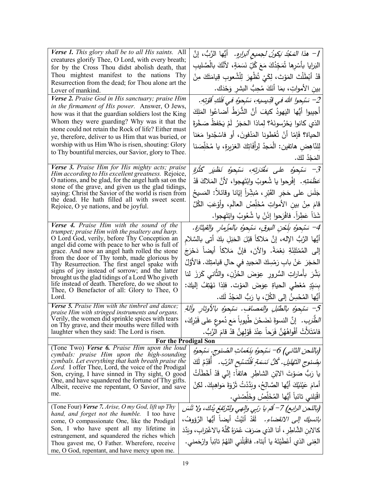| Verse 1. This glory shall be to all His saints. All                                                         |  | 1– هذ <i>ا المَجْدُ يَكونُ لِجِميعِ أُبْرارِهِ.</i> أَيُّها الرَّبُ، إنَّ     |  |  |
|-------------------------------------------------------------------------------------------------------------|--|-------------------------------------------------------------------------------|--|--|
| creatures glorify Thee, O Lord, with every breath;<br>for by the Cross Thou didst abolish death, that       |  | البَرايا بأَسْرِها تُمَجِّدُكَ مَعَ كُلِّ نَسَمَةٍ، لأَنَّكَ بالْصَّليبِ      |  |  |
| Thou mightest manifest to the nations Thy                                                                   |  | قَدْ أَبْطَلْتَ المَوْتَ، لِكَيْ تُظْهِرَ لِلْشُعوبِ قِيامَتَكَ مِنْ          |  |  |
| Resurrection from the dead; for Thou alone art the                                                          |  | بين الأمواتِ، بمَا أَنَكَ مُحِبٌ البشرِ وَحْدَك.                              |  |  |
| Lover of mankind.<br>Verse 2. Praise God in His sanctuary; praise Him                                       |  |                                                                               |  |  |
| in the firmament of His power. Answer, O Jews,                                                              |  | 2– سَبْحوا اللهَ في قَدِيسِيهِ، سَبْحوهُ في فَلَكِ قُوَّتِهِ.                 |  |  |
| how was it that the guardian soldiers lost the King                                                         |  | أجيبوا أيُّها اليَهودُ كيفَ أنَّ الشُّرَطُ أضاعُوا المَلِكَ                   |  |  |
| Whom they were guarding? Why was it that the<br>stone could not retain the Rock of life? Either must        |  | الذي كانوا يَحْرُسونَهُ؟ لِماذا الحَجَرُ ۖ لَمْ يَحْفظُ صَخْرةَ               |  |  |
| ye, therefore, deliver to us Him that was buried, or                                                        |  | الحياة؟ فَإِمّا أَنْ تُعْطُونا المَدْفونَ، أَو فاسْجُدوا مَعَنا               |  |  |
| worship with us Him Who is risen, shouting: Glory                                                           |  | لِلنّاهِض هاتفين: الْمَجِدُ لِرِأَفَاتِكَ الغزيرةِ، يا مُخَلِّصَنا            |  |  |
| to Thy bountiful mercies, our Savior, glory to Thee.                                                        |  | المَجْدُ لكَ.                                                                 |  |  |
| <b>Verse 3.</b> Praise Him for His mighty acts; praise                                                      |  | سَبْحوُهِ على مَقْدَرتِهِ، سَبْحوُهِ نَظْيَرِ كَثْرَةِ –                      |  |  |
| Him according to His excellent greatness. Rejoice,<br>O nations, and be glad, for the angel hath sat on the |  | َع <i>ظَمَتِهِ.</i> إفْرحوا يا شُعوبُ وابْتَهِجوا، لأنَّ المَلاكَ قَدْ        |  |  |
| stone of the grave, and given us the glad tidings,<br>saying: Christ the Savior of the world is risen from  |  | جَلَسَ على حَجَرِ القَبْرِ، مُبشِّراً إيّانا وقائلاً: المَسيحُ                |  |  |
| the dead. He hath filled all with sweet scent.                                                              |  | قامَ مِنْ بينِ الأمواتِ مُخَلِّصُ العالَمِ، وأَوْعَبَ الكُلَّ                 |  |  |
| Rejoice, O ye nations, and be joyful.                                                                       |  |                                                                               |  |  |
|                                                                                                             |  | شَذاً عَطِراً. فافْرَحوا إذَنْ يا شُعُوبُ وابْتَهِجوا.                        |  |  |
| <b>Verse 4.</b> Praise Him with the sound of the<br>trumpet; praise Him with the psaltery and harp.         |  | 4– سَبْحوُهِ بِلَحْنِ البوقِ، سَبْحوُهِ بالمِزْمارِ والقيثارَةِ.              |  |  |
| O Lord God, verily, before Thy Conception an<br>angel did come with peace to her who is full of             |  | أَيُّها الرَّبُّ الإله، إنَّ مَلاكاً قَبْلَ الحَبَلِ بكَ أتى بالسَّلام        |  |  |
| grace. And now an angel hath rolled the stone                                                               |  | إِلَى الْمُمْتَلِئَةِ نِعْمَةً. والآنَ، فإنَّ مَلاكاً أيضاً دَحْرَجَ          |  |  |
| from the door of Thy tomb, made glorious by<br>Thy Resurrection. The first angel spake with                 |  | الْحَجَرَ  عَنْ بابِ رَمْسِكَ الْمَجيدِ في حالِ قيامتِكَ. فالأوَّلُ           |  |  |
| signs of joy instead of sorrow; and the latter                                                              |  | بَشِّرَ بأماراتِ السُّرورِ عِوَضَ الحُزْنِ، والثَّاني كَرَزَ لنا              |  |  |
| brought us the glad tidings of a Lord Who giveth<br>life instead of death. Therefore, do we shout to        |  |                                                                               |  |  |
| Thee, O Benefactor of all: Glory to Thee, O                                                                 |  | بِسَيِّدٍ مُعْطَى الْحياةِ عِوَضَ الْمَوْت. فَلِذَا نَهْتِفُ إِلَيْكَ:        |  |  |
| Lord.                                                                                                       |  | أَيُّها المُحْسِنُ إِلى الكُلِّ، يا رَبُّ المَجْدُ لَك.                       |  |  |
| Verse 5. Praise Him with the timbrel and dance;<br>praise Him with stringed instruments and organs.         |  | 5– سَبْحوُه بالطُّبْلِ والمَصافِ. سَبْحوُه بالأوتار وآلةِ                     |  |  |
| Verily, the women did sprinkle spices with tears                                                            |  | الطَّرَبِ. [نَّ النسوةَ نَضَحْنَ طُيوباً مَع دُموع على قَبْرِكَ،              |  |  |
| on Thy grave, and their mouths were filled with<br>laughter when they said: The Lord is risen.              |  | فامْتَلأَتْ أَفْواهُهُنَّ فَرَحاً عِنْدَ قَوْلِهِنَّ قدْ قامَ الرَّبُّ.       |  |  |
|                                                                                                             |  | <b>For the Prodigal Son</b>                                                   |  |  |
| (Tone Two) Verse 6. Praise Him upon the loud<br>cymbals: praise Him upon the high-sounding                  |  | (باللحن الثاني) 6– سَبْحوهُ بِنَغَماتِ الصُنوجِ. سَبْحوهُ                     |  |  |
| cymbals. Let everything that hath breath praise the                                                         |  | بِضُنوجِ النَّهْليلِ. كُلُّ نَسَمَةٍ فَلْتُسَبِّحِ الرَّبِّ.   أَقَدِّمُ لَكَ |  |  |
| <i>Lord.</i> I offer Thee, Lord, the voice of the Prodigal                                                  |  | يا رَبُّ صَوْتَ الابْنِ الشاطِرِ هاتفاً: إنِّي قَدْ أَخْطَأْتُ                |  |  |
| Son, crying, I have sinned in Thy sight, O good<br>One, and have squandered the fortune of Thy gifts.       |  |                                                                               |  |  |
| Albeit, receive me repentant, O Savior, and save<br>me.                                                     |  | أَمامَ عَيْنَيْكَ أَيُّها الصَّالِحُ، وبَدَّدْتُ ثَرْوَةَ مَواهِبِكَ. لكِنْ   |  |  |
|                                                                                                             |  | اقْبَلني تائباً أَيُّها المُخَلِّصُ وخَلِّصْني.                               |  |  |
| (Tone Four) <i>Verse 7. Arise, O my God, lift up Thy</i><br>hand, and forget not the humble. I too have     |  | (باللحن الرابع) 7– قَمّ يا رَبِي والِهي ولتَرتَفعْ يُدُكّ، ولا تَتْسَ         |  |  |
| come, O compassionate One, like the Prodigal                                                                |  | <i>بِانَسيكَ إلى الانقضاءِ.</i> لَقَدْ أَتَيْتُ أيضاً أَيُّها الرَّؤوفُ،      |  |  |
| Son, I who have spent all my lifetime in                                                                    |  | كالابن الشَّاطِرِ ، أنا الذي صَرَفَ عُمْرَهُ كُلَّهُ بالاغْتِرابِ، وبَدَّدَ   |  |  |
| estrangement, and squandered the riches which<br>Thou gavest me, O Father. Wherefore, receive               |  | الغِنـى الذي أَعْطَيْتَهُ يا أَبَتاه. فاقْبَلْني اللهُمَّ تائِباً وارْحَمني.  |  |  |
| me, O God, repentant, and have mercy upon me.                                                               |  |                                                                               |  |  |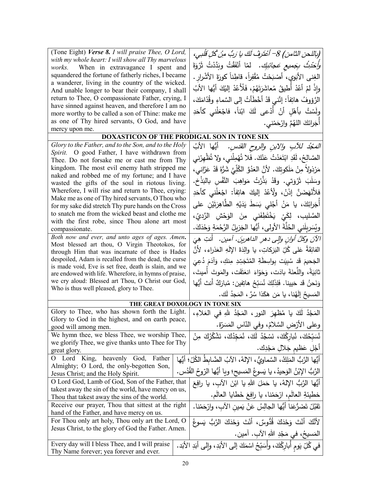| (Tone Eight) Verse 8. I will praise Thee, O Lord,<br>with my whole heart: I will show all Thy marvelous<br>When in extravagance I spent and<br>works.<br>squandered the fortune of fatherly riches, I became<br>a wanderer, living in the country of the wicked.<br>And unable longer to bear their company, I shall<br>return to Thee, O compassionate Father, crying, I<br>have sinned against heaven, and therefore I am no<br>more worthy to be called a son of Thine: make me<br>as one of Thy hired servants, O God, and have<br>mercy upon me.                                                                                                                                                                                                                                                                                                                                                                                                                                                                                |  | (باللحن الثامن) 8– أُعْتَرِفُ لَكَ يا رَبُّ مِنْ كُلِّ قَلْبِي،<br><i>ولَٰحَدِثُ بجميع عَجائِبِك.</i> لمّا أَنْفَقْتُ وبَدَّدْتُ ثَرْوَةَ<br>الغِنى الأبَوي، أَصْبَحْتُ مُقْفِراً، قاطِناً كورَةَ الأَشْرارِ .<br>وإِذْ لمْ أَعُدْ أَطيقُ مُعاشَرَتَهُمْ، فَلأَعُدْ إِليْكَ أَيُّها الأَبُ<br>الرَّؤوفُ هاتِفاً: إنَّني قَدْ أَخْطَأَتُ إلى السَّماءِ وقُدّامَكَ،<br>ولَسْتُ بأهْلِ أَنْ أُدْعى لَكَ ابْناً، فاجْعَلْني كأَحَدِ<br>أَجَرائَكَ اللَّهُمَّ وارْحَمْني.                                                                                                                                                                                                                                                                                                                                                                                                                                                                                                                      |  |  |
|--------------------------------------------------------------------------------------------------------------------------------------------------------------------------------------------------------------------------------------------------------------------------------------------------------------------------------------------------------------------------------------------------------------------------------------------------------------------------------------------------------------------------------------------------------------------------------------------------------------------------------------------------------------------------------------------------------------------------------------------------------------------------------------------------------------------------------------------------------------------------------------------------------------------------------------------------------------------------------------------------------------------------------------|--|-------------------------------------------------------------------------------------------------------------------------------------------------------------------------------------------------------------------------------------------------------------------------------------------------------------------------------------------------------------------------------------------------------------------------------------------------------------------------------------------------------------------------------------------------------------------------------------------------------------------------------------------------------------------------------------------------------------------------------------------------------------------------------------------------------------------------------------------------------------------------------------------------------------------------------------------------------------------------------------------|--|--|
|                                                                                                                                                                                                                                                                                                                                                                                                                                                                                                                                                                                                                                                                                                                                                                                                                                                                                                                                                                                                                                      |  | DOXASTICON OF THE PRODIGAL SON IN TONE SIX                                                                                                                                                                                                                                                                                                                                                                                                                                                                                                                                                                                                                                                                                                                                                                                                                                                                                                                                                |  |  |
| Glory to the Father, and to the Son, and to the Holy<br>Spirit. O good Father, I have withdrawn from<br>Thee. Do not forsake me or cast me from Thy<br>kingdom. The most evil enemy hath stripped me<br>naked and robbed me of my fortune; and I have<br>wasted the gifts of the soul in riotous living.<br>Wherefore, I will rise and return to Thee, crying:<br>Make me as one of Thy hired servants, O Thou who<br>for my sake did stretch Thy pure hands on the Cross<br>to snatch me from the wicked beast and clothe me<br>with the first robe, since Thou alone art most<br>compassionate.<br>Both now and ever, and unto ages of ages. Amen.<br>Most blessed art thou, O Virgin Theotokos, for<br>through Him that was incarnate of thee is Hades<br>despoiled, Adam is recalled from the dead, the curse<br>is made void, Eve is set free, death is slain, and we<br>are endowed with life. Wherefore, in hymns of praise,<br>we cry aloud: Blessed art Thou, O Christ our God,<br>Who is thus well pleased, glory to Thee. |  | <i>المَخْذ للأبِ والابن والروح القدّس.</i> ايُها  الأبُ<br>الصَّالِحُ، لَقَدِ ابْتَعَدْتُ عَنْكَ. فَلا تُهْمِلْني، ولا تُظْهِرْني<br>مَرْذولاً مِنْ مَلَكونِكَ. لأنَّ العَدُوَّ الكُلِّيَّ شَرُّهُ قَدْ عَرَّاني،<br>وسَلَبَ ثَرْوَتي. وقَدْ بَذَّرْتُ مَواهِبَ النَّفْسِ بِالبَذْخِ.<br>فلأَنْهَضَنَّ إِذَنْ، ولْأَعُدْ إليكَ هاتِفاً: اجْعَلْني كأَحَدِ<br>أَجَرائِكَ، يا مَنْ أَجْلى بَسَطَ يَدَيْهِ الطَّاهِرَتَيْن على<br>الصَّليب، لِكَيْ يَخْتَطِفَني مِنَ الوَحْشِ الرَّديِّ،<br>ويُسَرِبِلَني الحُلَّةَ الأُولى، أيُّها الجَزيلُ الرَّحْمَةِ وَحْدَكَ.<br>الآنَ وكلَّ أوانِ وإلى دهرِ الداهرينَ. آمين.   أُنتِ هِيَ<br>الفائِقَةُ عَلى كُلِّ البَرَكاتِ، يا والِدَةَ الإِلَهِ العَذراءِ، لأَنَّ<br>الجَحيمَ قَد سُبِيَت بِواسِطَةِ المُتَجَسِّدِ مِنكِ، وَآدَمَ دُعِيَ<br>ثانِيَةً، واللُّعنَةَ بادَت، وَحَوّاءَ انعَتَقَت، والمَوتَ أَميتَ،<br>وَنَحنُ قَد حَيينا. فَلِذَلِكَ نُسَبِّحُ هاتِفين: مُبارَكٌ أنتَ أَيُّها<br>المَسيحُ إِلَهُنا، يا مَن هَكَذا سُرَّ ، المَجدُ لَك. |  |  |
|                                                                                                                                                                                                                                                                                                                                                                                                                                                                                                                                                                                                                                                                                                                                                                                                                                                                                                                                                                                                                                      |  | THE GREAT DOXOLOGY IN TONE SIX                                                                                                                                                                                                                                                                                                                                                                                                                                                                                                                                                                                                                                                                                                                                                                                                                                                                                                                                                            |  |  |
| Glory to Thee, who has shown forth the Light.<br>Glory to God in the highest, and on earth peace,                                                                                                                                                                                                                                                                                                                                                                                                                                                                                                                                                                                                                                                                                                                                                                                                                                                                                                                                    |  | المَجْدُ لَكَ يا مُظْهِرَ النورِ ، المَجْدُ للهِ في العَلاءِ ،                                                                                                                                                                                                                                                                                                                                                                                                                                                                                                                                                                                                                                                                                                                                                                                                                                                                                                                            |  |  |
| good will among men.                                                                                                                                                                                                                                                                                                                                                                                                                                                                                                                                                                                                                                                                                                                                                                                                                                                                                                                                                                                                                 |  | وعلى الأرْض السَّلامُ، وفي النَّاس المَسَرَّة.                                                                                                                                                                                                                                                                                                                                                                                                                                                                                                                                                                                                                                                                                                                                                                                                                                                                                                                                            |  |  |
| We hymn thee, we bless Thee, we worship Thee,                                                                                                                                                                                                                                                                                                                                                                                                                                                                                                                                                                                                                                                                                                                                                                                                                                                                                                                                                                                        |  | نُسَبّحُكَ، نُبارِكُكَ، نَسْجُدُ لَكَ، نُمَجّدُكَ، نَشْكُرُكَ مِنْ                                                                                                                                                                                                                                                                                                                                                                                                                                                                                                                                                                                                                                                                                                                                                                                                                                                                                                                        |  |  |
| we glorify Thee, we give thanks unto Thee for Thy<br>great glory.                                                                                                                                                                                                                                                                                                                                                                                                                                                                                                                                                                                                                                                                                                                                                                                                                                                                                                                                                                    |  | أَجْلِ عَظيمِ جَلالٍ مَجْدِك.                                                                                                                                                                                                                                                                                                                                                                                                                                                                                                                                                                                                                                                                                                                                                                                                                                                                                                                                                             |  |  |
| O Lord King, heavenly God, Father<br>Almighty; O Lord, the only-begotten Son,<br>Jesus Christ; and the Holy Spirit.                                                                                                                                                                                                                                                                                                                                                                                                                                                                                                                                                                                                                                                                                                                                                                                                                                                                                                                  |  | أَيُّها الرَّبُّ المَلِكُ، السَّماوِيُّ، الإِلهُ، الآبُ الضَّابِطُ الكُلِّ؛ أَيُّها<br>الرَّبُّ الإِبْنُ الوَحيدُ، يا يَسوعُ المَسيح؛ ويا أَيُّها الرّوحُ القُدُس.                                                                                                                                                                                                                                                                                                                                                                                                                                                                                                                                                                                                                                                                                                                                                                                                                        |  |  |
| O Lord God, Lamb of God, Son of the Father, that                                                                                                                                                                                                                                                                                                                                                                                                                                                                                                                                                                                                                                                                                                                                                                                                                                                                                                                                                                                     |  | أَيُّها الرَّبُّ الإلهُ، يا حَمَلَ اللهِ يا ابْنَ الآبٍ، يا رافِعَ                                                                                                                                                                                                                                                                                                                                                                                                                                                                                                                                                                                                                                                                                                                                                                                                                                                                                                                        |  |  |
| takest away the sin of the world, have mercy on us,<br>Thou that takest away the sins of the world.                                                                                                                                                                                                                                                                                                                                                                                                                                                                                                                                                                                                                                                                                                                                                                                                                                                                                                                                  |  | خطيئةِ العالَم، ارْحَمْنا، يا رافِعَ خَطايا العالَم.                                                                                                                                                                                                                                                                                                                                                                                                                                                                                                                                                                                                                                                                                                                                                                                                                                                                                                                                      |  |  |
| Receive our prayer, Thou that sittest at the right<br>hand of the Father, and have mercy on us.                                                                                                                                                                                                                                                                                                                                                                                                                                                                                                                                                                                                                                                                                                                                                                                                                                                                                                                                      |  | نَقَبَّلْ تَضَرُّعَنا أَيُّها الجالِسُ عَنْ يَمينِ الآبِ، وارْحَمْنا.                                                                                                                                                                                                                                                                                                                                                                                                                                                                                                                                                                                                                                                                                                                                                                                                                                                                                                                     |  |  |
| For Thou only art holy, Thou only art the Lord, O                                                                                                                                                                                                                                                                                                                                                                                                                                                                                                                                                                                                                                                                                                                                                                                                                                                                                                                                                                                    |  | لأَنَّكَ أَنْتَ وَحْدَكَ قُدُّوسٌ، أَنْتَ وَحْدَكَ الرَّبُّ يَسوعُ                                                                                                                                                                                                                                                                                                                                                                                                                                                                                                                                                                                                                                                                                                                                                                                                                                                                                                                        |  |  |
| Jesus Christ, to the glory of God the Father. Amen.                                                                                                                                                                                                                                                                                                                                                                                                                                                                                                                                                                                                                                                                                                                                                                                                                                                                                                                                                                                  |  | المَسيحُ، في مَجْدِ اللهِ الآبِ. آمين.                                                                                                                                                                                                                                                                                                                                                                                                                                                                                                                                                                                                                                                                                                                                                                                                                                                                                                                                                    |  |  |
| Every day will I bless Thee, and I will praise<br>Thy Name forever; yea forever and ever.                                                                                                                                                                                                                                                                                                                                                                                                                                                                                                                                                                                                                                                                                                                                                                                                                                                                                                                                            |  | في كُلِّ يَوم أبارِكُكَ، وأَسَبِّحُ اسْمَكَ إلى الأَبَدِ، وإلى أَبَدِ الأَبَد.                                                                                                                                                                                                                                                                                                                                                                                                                                                                                                                                                                                                                                                                                                                                                                                                                                                                                                            |  |  |
|                                                                                                                                                                                                                                                                                                                                                                                                                                                                                                                                                                                                                                                                                                                                                                                                                                                                                                                                                                                                                                      |  |                                                                                                                                                                                                                                                                                                                                                                                                                                                                                                                                                                                                                                                                                                                                                                                                                                                                                                                                                                                           |  |  |